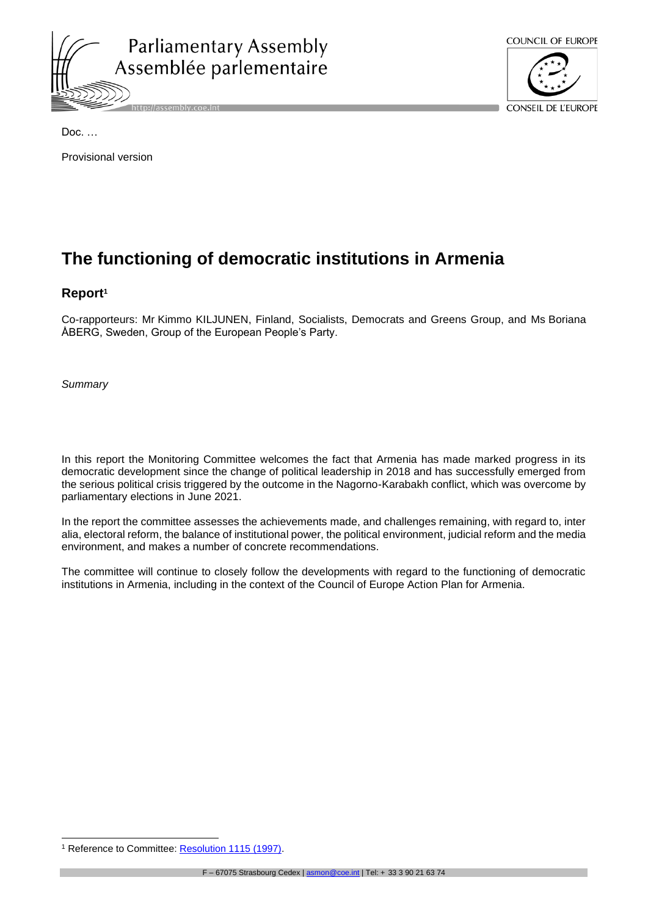



Provisional version

# **The functioning of democratic institutions in Armenia**

# **Report<sup>1</sup>**

Co-rapporteurs: Mr Kimmo KILJUNEN, Finland, Socialists, Democrats and Greens Group, and Ms Boriana ÅBERG, Sweden, Group of the European People's Party.

*Summary*

In this report the Monitoring Committee welcomes the fact that Armenia has made marked progress in its democratic development since the change of political leadership in 2018 and has successfully emerged from the serious political crisis triggered by the outcome in the Nagorno-Karabakh conflict, which was overcome by parliamentary elections in June 2021.

In the report the committee assesses the achievements made, and challenges remaining, with regard to, inter alia, electoral reform, the balance of institutional power, the political environment, judicial reform and the media environment, and makes a number of concrete recommendations.

The committee will continue to closely follow the developments with regard to the functioning of democratic institutions in Armenia, including in the context of the Council of Europe Action Plan for Armenia.

<sup>&</sup>lt;sup>1</sup> Reference to Committee: **Resolution 1115 (1997)**.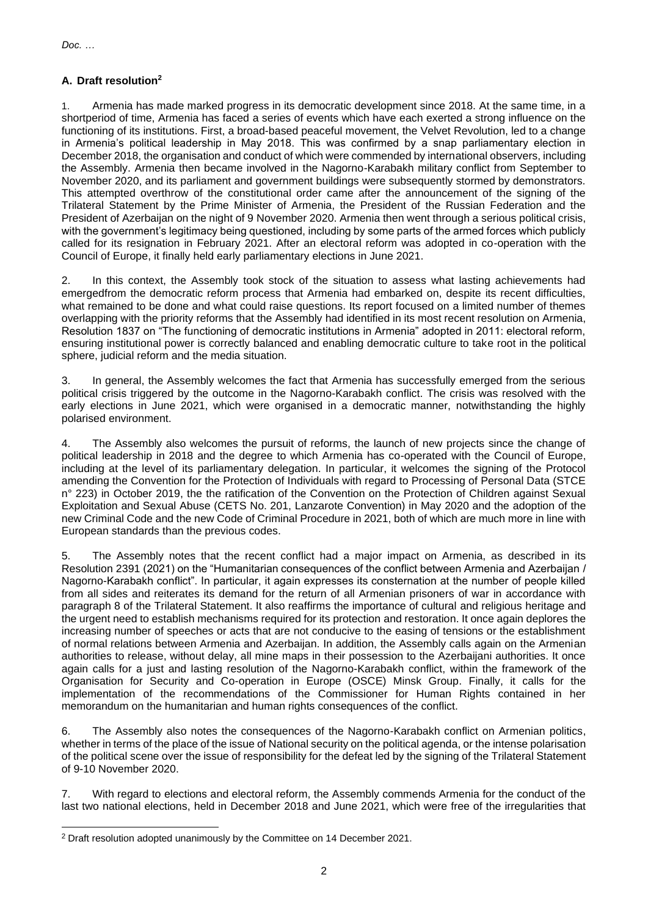# **A. Draft resolution<sup>2</sup>**

1. Armenia has made marked progress in its democratic development since 2018. At the same time, in a shortperiod of time, Armenia has faced a series of events which have each exerted a strong influence on the functioning of its institutions. First, a broad-based peaceful movement, the Velvet Revolution, led to a change in Armenia's political leadership in May 2018. This was confirmed by a snap parliamentary election in December 2018, the organisation and conduct of which were commended by international observers, including the Assembly. Armenia then became involved in the Nagorno-Karabakh military conflict from September to November 2020, and its parliament and government buildings were subsequently stormed by demonstrators. This attempted overthrow of the constitutional order came after the announcement of the signing of the Trilateral Statement by the Prime Minister of Armenia, the President of the Russian Federation and the President of Azerbaijan on the night of 9 November 2020. Armenia then went through a serious political crisis, with the government's legitimacy being questioned, including by some parts of the armed forces which publicly called for its resignation in February 2021. After an electoral reform was adopted in co-operation with the Council of Europe, it finally held early parliamentary elections in June 2021.

2. In this context, the Assembly took stock of the situation to assess what lasting achievements had emergedfrom the democratic reform process that Armenia had embarked on, despite its recent difficulties, what remained to be done and what could raise questions. Its report focused on a limited number of themes overlapping with the priority reforms that the Assembly had identified in its most recent resolution on Armenia, Resolution 1837 on "The functioning of democratic institutions in Armenia" adopted in 2011: electoral reform, ensuring institutional power is correctly balanced and enabling democratic culture to take root in the political sphere, judicial reform and the media situation.

3. In general, the Assembly welcomes the fact that Armenia has successfully emerged from the serious political crisis triggered by the outcome in the Nagorno-Karabakh conflict. The crisis was resolved with the early elections in June 2021, which were organised in a democratic manner, notwithstanding the highly polarised environment.

4. The Assembly also welcomes the pursuit of reforms, the launch of new projects since the change of political leadership in 2018 and the degree to which Armenia has co-operated with the Council of Europe, including at the level of its parliamentary delegation. In particular, it welcomes the signing of the Protocol amending the Convention for the Protection of Individuals with regard to Processing of Personal Data (STCE n° 223) in October 2019, the the ratification of the Convention on the Protection of Children against Sexual Exploitation and Sexual Abuse (CETS No. 201, Lanzarote Convention) in May 2020 and the adoption of the new Criminal Code and the new Code of Criminal Procedure in 2021, both of which are much more in line with European standards than the previous codes.

5. The Assembly notes that the recent conflict had a major impact on Armenia, as described in its Resolution 2391 (2021) on the "Humanitarian consequences of the conflict between Armenia and Azerbaijan / Nagorno-Karabakh conflict". In particular, it again expresses its consternation at the number of people killed from all sides and reiterates its demand for the return of all Armenian prisoners of war in accordance with paragraph 8 of the Trilateral Statement. It also reaffirms the importance of cultural and religious heritage and the urgent need to establish mechanisms required for its protection and restoration. It once again deplores the increasing number of speeches or acts that are not conducive to the easing of tensions or the establishment of normal relations between Armenia and Azerbaijan. In addition, the Assembly calls again on the Armenian authorities to release, without delay, all mine maps in their possession to the Azerbaijani authorities. It once again calls for a just and lasting resolution of the Nagorno-Karabakh conflict, within the framework of the Organisation for Security and Co-operation in Europe (OSCE) Minsk Group. Finally, it calls for the implementation of the recommendations of the Commissioner for Human Rights contained in her memorandum on the humanitarian and human rights consequences of the conflict.

6. The Assembly also notes the consequences of the Nagorno-Karabakh conflict on Armenian politics, whether in terms of the place of the issue of National security on the political agenda, or the intense polarisation of the political scene over the issue of responsibility for the defeat led by the signing of the Trilateral Statement of 9-10 November 2020.

7. With regard to elections and electoral reform, the Assembly commends Armenia for the conduct of the last two national elections, held in December 2018 and June 2021, which were free of the irregularities that

<sup>&</sup>lt;sup>2</sup> Draft resolution adopted unanimously by the Committee on 14 December 2021.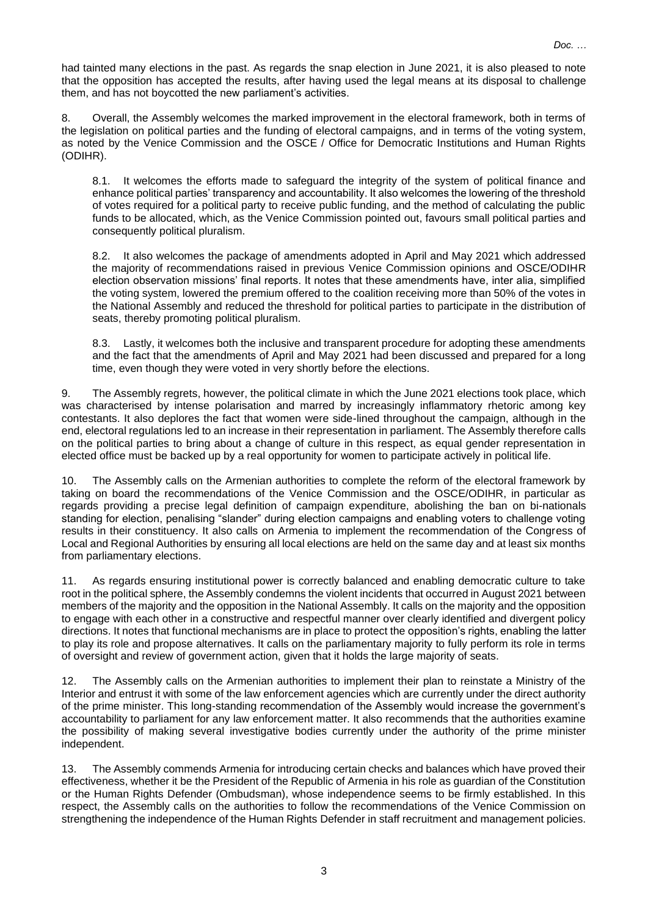had tainted many elections in the past. As regards the snap election in June 2021, it is also pleased to note that the opposition has accepted the results, after having used the legal means at its disposal to challenge them, and has not boycotted the new parliament's activities.

8. Overall, the Assembly welcomes the marked improvement in the electoral framework, both in terms of the legislation on political parties and the funding of electoral campaigns, and in terms of the voting system, as noted by the Venice Commission and the OSCE / Office for Democratic Institutions and Human Rights (ODIHR).

8.1. It welcomes the efforts made to safeguard the integrity of the system of political finance and enhance political parties' transparency and accountability. It also welcomes the lowering of the threshold of votes required for a political party to receive public funding, and the method of calculating the public funds to be allocated, which, as the Venice Commission pointed out, favours small political parties and consequently political pluralism.

8.2. It also welcomes the package of amendments adopted in April and May 2021 which addressed the majority of recommendations raised in previous Venice Commission opinions and OSCE/ODIHR election observation missions' final reports. It notes that these amendments have, inter alia, simplified the voting system, lowered the premium offered to the coalition receiving more than 50% of the votes in the National Assembly and reduced the threshold for political parties to participate in the distribution of seats, thereby promoting political pluralism.

8.3. Lastly, it welcomes both the inclusive and transparent procedure for adopting these amendments and the fact that the amendments of April and May 2021 had been discussed and prepared for a long time, even though they were voted in very shortly before the elections.

9. The Assembly regrets, however, the political climate in which the June 2021 elections took place, which was characterised by intense polarisation and marred by increasingly inflammatory rhetoric among key contestants. It also deplores the fact that women were side-lined throughout the campaign, although in the end, electoral regulations led to an increase in their representation in parliament. The Assembly therefore calls on the political parties to bring about a change of culture in this respect, as equal gender representation in elected office must be backed up by a real opportunity for women to participate actively in political life.

10. The Assembly calls on the Armenian authorities to complete the reform of the electoral framework by taking on board the recommendations of the Venice Commission and the OSCE/ODIHR, in particular as regards providing a precise legal definition of campaign expenditure, abolishing the ban on bi-nationals standing for election, penalising "slander" during election campaigns and enabling voters to challenge voting results in their constituency. It also calls on Armenia to implement the recommendation of the Congress of Local and Regional Authorities by ensuring all local elections are held on the same day and at least six months from parliamentary elections.

11. As regards ensuring institutional power is correctly balanced and enabling democratic culture to take root in the political sphere, the Assembly condemns the violent incidents that occurred in August 2021 between members of the majority and the opposition in the National Assembly. It calls on the majority and the opposition to engage with each other in a constructive and respectful manner over clearly identified and divergent policy directions. It notes that functional mechanisms are in place to protect the opposition's rights, enabling the latter to play its role and propose alternatives. It calls on the parliamentary majority to fully perform its role in terms of oversight and review of government action, given that it holds the large majority of seats.

12. The Assembly calls on the Armenian authorities to implement their plan to reinstate a Ministry of the Interior and entrust it with some of the law enforcement agencies which are currently under the direct authority of the prime minister. This long-standing recommendation of the Assembly would increase the government's accountability to parliament for any law enforcement matter. It also recommends that the authorities examine the possibility of making several investigative bodies currently under the authority of the prime minister independent.

13. The Assembly commends Armenia for introducing certain checks and balances which have proved their effectiveness, whether it be the President of the Republic of Armenia in his role as guardian of the Constitution or the Human Rights Defender (Ombudsman), whose independence seems to be firmly established. In this respect, the Assembly calls on the authorities to follow the recommendations of the Venice Commission on strengthening the independence of the Human Rights Defender in staff recruitment and management policies.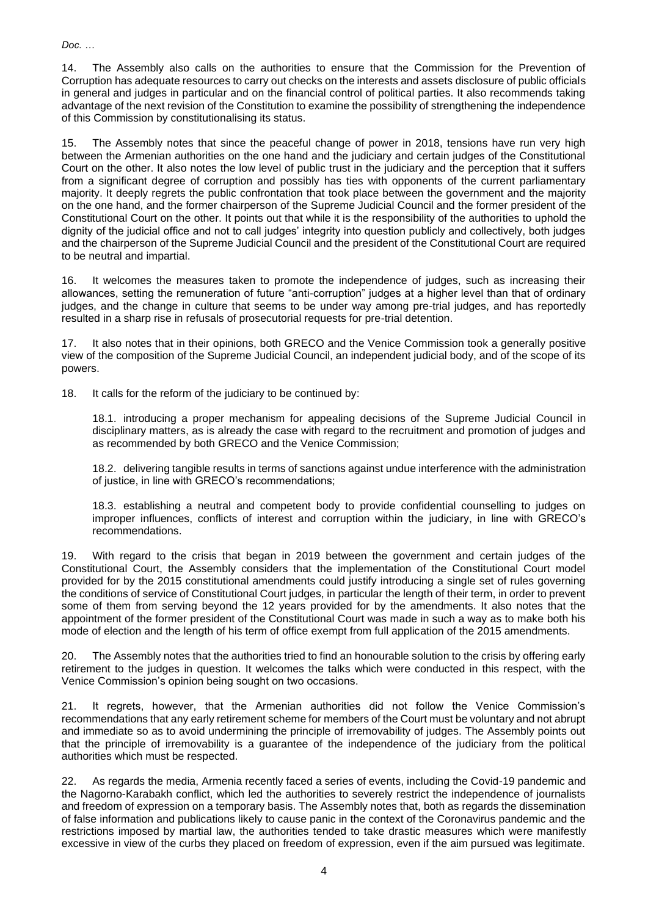14. The Assembly also calls on the authorities to ensure that the Commission for the Prevention of Corruption has adequate resources to carry out checks on the interests and assets disclosure of public officials in general and judges in particular and on the financial control of political parties. It also recommends taking advantage of the next revision of the Constitution to examine the possibility of strengthening the independence of this Commission by constitutionalising its status.

15. The Assembly notes that since the peaceful change of power in 2018, tensions have run very high between the Armenian authorities on the one hand and the judiciary and certain judges of the Constitutional Court on the other. It also notes the low level of public trust in the judiciary and the perception that it suffers from a significant degree of corruption and possibly has ties with opponents of the current parliamentary majority. It deeply regrets the public confrontation that took place between the government and the majority on the one hand, and the former chairperson of the Supreme Judicial Council and the former president of the Constitutional Court on the other. It points out that while it is the responsibility of the authorities to uphold the dignity of the judicial office and not to call judges' integrity into question publicly and collectively, both judges and the chairperson of the Supreme Judicial Council and the president of the Constitutional Court are required to be neutral and impartial.

16. It welcomes the measures taken to promote the independence of judges, such as increasing their allowances, setting the remuneration of future "anti-corruption" judges at a higher level than that of ordinary judges, and the change in culture that seems to be under way among pre-trial judges, and has reportedly resulted in a sharp rise in refusals of prosecutorial requests for pre-trial detention.

17. It also notes that in their opinions, both GRECO and the Venice Commission took a generally positive view of the composition of the Supreme Judicial Council, an independent judicial body, and of the scope of its powers.

18. It calls for the reform of the judiciary to be continued by:

18.1. introducing a proper mechanism for appealing decisions of the Supreme Judicial Council in disciplinary matters, as is already the case with regard to the recruitment and promotion of judges and as recommended by both GRECO and the Venice Commission;

18.2. delivering tangible results in terms of sanctions against undue interference with the administration of justice, in line with GRECO's recommendations;

18.3. establishing a neutral and competent body to provide confidential counselling to judges on improper influences, conflicts of interest and corruption within the judiciary, in line with GRECO's recommendations.

19. With regard to the crisis that began in 2019 between the government and certain judges of the Constitutional Court, the Assembly considers that the implementation of the Constitutional Court model provided for by the 2015 constitutional amendments could justify introducing a single set of rules governing the conditions of service of Constitutional Court judges, in particular the length of their term, in order to prevent some of them from serving beyond the 12 years provided for by the amendments. It also notes that the appointment of the former president of the Constitutional Court was made in such a way as to make both his mode of election and the length of his term of office exempt from full application of the 2015 amendments.

20. The Assembly notes that the authorities tried to find an honourable solution to the crisis by offering early retirement to the judges in question. It welcomes the talks which were conducted in this respect, with the Venice Commission's opinion being sought on two occasions.

21. It regrets, however, that the Armenian authorities did not follow the Venice Commission's recommendations that any early retirement scheme for members of the Court must be voluntary and not abrupt and immediate so as to avoid undermining the principle of irremovability of judges. The Assembly points out that the principle of irremovability is a guarantee of the independence of the judiciary from the political authorities which must be respected.

22. As regards the media, Armenia recently faced a series of events, including the Covid-19 pandemic and the Nagorno-Karabakh conflict, which led the authorities to severely restrict the independence of journalists and freedom of expression on a temporary basis. The Assembly notes that, both as regards the dissemination of false information and publications likely to cause panic in the context of the Coronavirus pandemic and the restrictions imposed by martial law, the authorities tended to take drastic measures which were manifestly excessive in view of the curbs they placed on freedom of expression, even if the aim pursued was legitimate.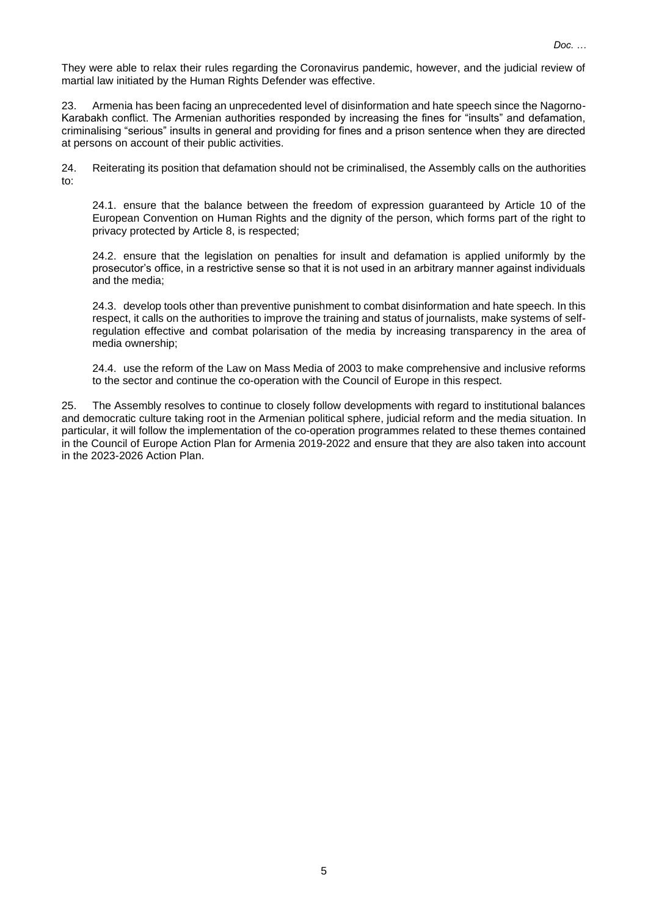They were able to relax their rules regarding the Coronavirus pandemic, however, and the judicial review of martial law initiated by the Human Rights Defender was effective.

23. Armenia has been facing an unprecedented level of disinformation and hate speech since the Nagorno-Karabakh conflict. The Armenian authorities responded by increasing the fines for "insults" and defamation, criminalising "serious" insults in general and providing for fines and a prison sentence when they are directed at persons on account of their public activities.

24. Reiterating its position that defamation should not be criminalised, the Assembly calls on the authorities to:

24.1. ensure that the balance between the freedom of expression guaranteed by Article 10 of the European Convention on Human Rights and the dignity of the person, which forms part of the right to privacy protected by Article 8, is respected;

24.2. ensure that the legislation on penalties for insult and defamation is applied uniformly by the prosecutor's office, in a restrictive sense so that it is not used in an arbitrary manner against individuals and the media;

24.3. develop tools other than preventive punishment to combat disinformation and hate speech. In this respect, it calls on the authorities to improve the training and status of journalists, make systems of selfregulation effective and combat polarisation of the media by increasing transparency in the area of media ownership;

24.4. use the reform of the Law on Mass Media of 2003 to make comprehensive and inclusive reforms to the sector and continue the co-operation with the Council of Europe in this respect.

25. The Assembly resolves to continue to closely follow developments with regard to institutional balances and democratic culture taking root in the Armenian political sphere, judicial reform and the media situation. In particular, it will follow the implementation of the co-operation programmes related to these themes contained in the Council of Europe Action Plan for Armenia 2019-2022 and ensure that they are also taken into account in the 2023-2026 Action Plan.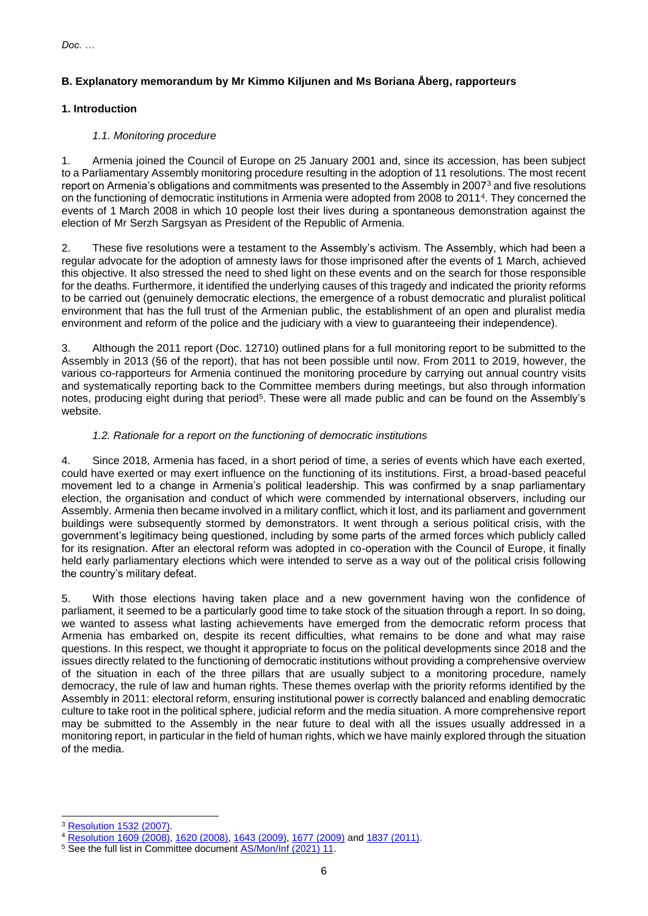# **B. Explanatory memorandum by Mr Kimmo Kiljunen and Ms Boriana Åberg, rapporteurs**

# **1. Introduction**

# *1.1. Monitoring procedure*

1. Armenia joined the Council of Europe on 25 January 2001 and, since its accession, has been subject to a Parliamentary Assembly monitoring procedure resulting in the adoption of 11 resolutions. The most recent report on Armenia's obligations and commitments was presented to the Assembly in 2007<sup>3</sup> and five resolutions on the functioning of democratic institutions in Armenia were adopted from 2008 to 2011<sup>4</sup> . They concerned the events of 1 March 2008 in which 10 people lost their lives during a spontaneous demonstration against the election of Mr Serzh Sargsyan as President of the Republic of Armenia.

2. These five resolutions were a testament to the Assembly's activism. The Assembly, which had been a regular advocate for the adoption of amnesty laws for those imprisoned after the events of 1 March, achieved this objective. It also stressed the need to shed light on these events and on the search for those responsible for the deaths. Furthermore, it identified the underlying causes of this tragedy and indicated the priority reforms to be carried out (genuinely democratic elections, the emergence of a robust democratic and pluralist political environment that has the full trust of the Armenian public, the establishment of an open and pluralist media environment and reform of the police and the judiciary with a view to guaranteeing their independence).

3. Although the 2011 report (Doc. 12710) outlined plans for a full monitoring report to be submitted to the Assembly in 2013 (§6 of the report), that has not been possible until now. From 2011 to 2019, however, the various co-rapporteurs for Armenia continued the monitoring procedure by carrying out annual country visits and systematically reporting back to the Committee members during meetings, but also through information notes, producing eight during that period<sup>5</sup>. These were all made public and can be found on the Assembly's website.

# *1.2. Rationale for a report on the functioning of democratic institutions*

4. Since 2018, Armenia has faced, in a short period of time, a series of events which have each exerted, could have exerted or may exert influence on the functioning of its institutions. First, a broad-based peaceful movement led to a change in Armenia's political leadership. This was confirmed by a snap parliamentary election, the organisation and conduct of which were commended by international observers, including our Assembly. Armenia then became involved in a military conflict, which it lost, and its parliament and government buildings were subsequently stormed by demonstrators. It went through a serious political crisis, with the government's legitimacy being questioned, including by some parts of the armed forces which publicly called for its resignation. After an electoral reform was adopted in co-operation with the Council of Europe, it finally held early parliamentary elections which were intended to serve as a way out of the political crisis following the country's military defeat.

5. With those elections having taken place and a new government having won the confidence of parliament, it seemed to be a particularly good time to take stock of the situation through a report. In so doing, we wanted to assess what lasting achievements have emerged from the democratic reform process that Armenia has embarked on, despite its recent difficulties, what remains to be done and what may raise questions. In this respect, we thought it appropriate to focus on the political developments since 2018 and the issues directly related to the functioning of democratic institutions without providing a comprehensive overview of the situation in each of the three pillars that are usually subject to a monitoring procedure, namely democracy, the rule of law and human rights. These themes overlap with the priority reforms identified by the Assembly in 2011: electoral reform, ensuring institutional power is correctly balanced and enabling democratic culture to take root in the political sphere, judicial reform and the media situation. A more comprehensive report may be submitted to the Assembly in the near future to deal with all the issues usually addressed in a monitoring report, in particular in the field of human rights, which we have mainly explored through the situation of the media.

<sup>3</sup> [Resolution](https://pace.coe.int/en/files/17502) 1532 (2007).

<sup>4</sup> [Resolution](https://pace.coe.int/en/files/17643) 1609 (2008), 1620 [\(2008\),](https://pace.coe.int/en/files/17662) 1643 [\(2009\),](https://pace.coe.int/en/files/17699) 1677 [\(2009\)](https://pace.coe.int/en/files/17758) and 1837 [\(2011\).](https://pace.coe.int/en/files/18032)

<sup>&</sup>lt;sup>5</sup> See the full list in Committee document [AS/Mon/Inf](https://assembly.coe.int/LifeRay/MON/Pdf/DocsAndDecs/OverviewMON-EN.pdf) (2021) 11.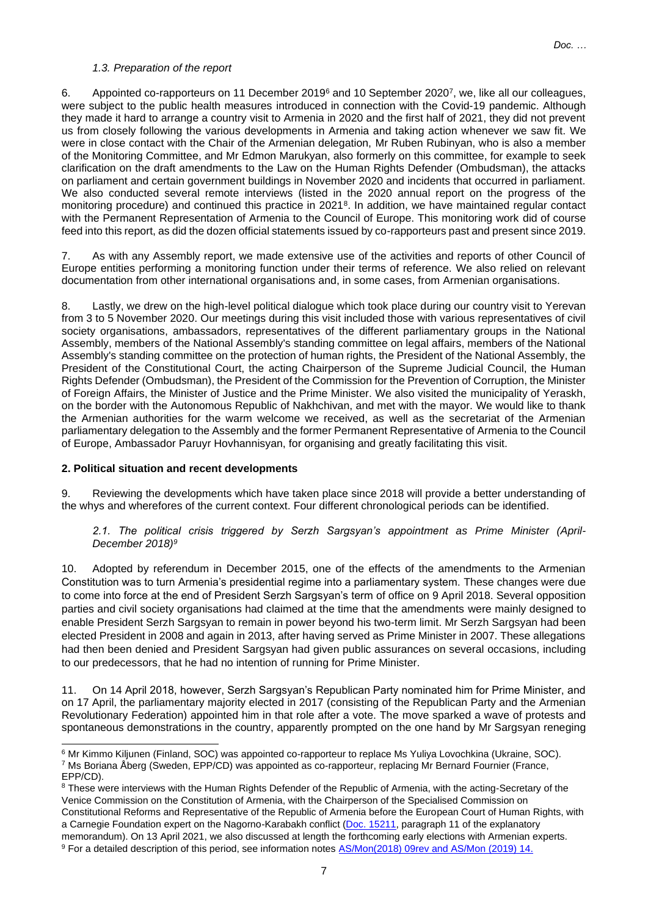### *1.3. Preparation of the report*

6. Appointed co-rapporteurs on 11 December 2019<sup>6</sup> and 10 September 2020<sup>7</sup> , we, like all our colleagues, were subject to the public health measures introduced in connection with the Covid-19 pandemic. Although they made it hard to arrange a country visit to Armenia in 2020 and the first half of 2021, they did not prevent us from closely following the various developments in Armenia and taking action whenever we saw fit. We were in close contact with the Chair of the Armenian delegation, Mr Ruben Rubinyan, who is also a member of the Monitoring Committee, and Mr Edmon Marukyan, also formerly on this committee, for example to seek clarification on the draft amendments to the Law on the Human Rights Defender (Ombudsman), the attacks on parliament and certain government buildings in November 2020 and incidents that occurred in parliament. We also conducted several remote interviews (listed in the 2020 annual report on the progress of the monitoring procedure) and continued this practice in 2021<sup>8</sup>. In addition, we have maintained regular contact with the Permanent Representation of Armenia to the Council of Europe. This monitoring work did of course feed into this report, as did the dozen official statements issued by co-rapporteurs past and present since 2019.

7. As with any Assembly report, we made extensive use of the activities and reports of other Council of Europe entities performing a monitoring function under their terms of reference. We also relied on relevant documentation from other international organisations and, in some cases, from Armenian organisations.

8. Lastly, we drew on the high-level political dialogue which took place during our country visit to Yerevan from 3 to 5 November 2020. Our meetings during this visit included those with various representatives of civil society organisations, ambassadors, representatives of the different parliamentary groups in the National Assembly, members of the National Assembly's standing committee on legal affairs, members of the National Assembly's standing committee on the protection of human rights, the President of the National Assembly, the President of the Constitutional Court, the acting Chairperson of the Supreme Judicial Council, the Human Rights Defender (Ombudsman), the President of the Commission for the Prevention of Corruption, the Minister of Foreign Affairs, the Minister of Justice and the Prime Minister. We also visited the municipality of Yeraskh, on the border with the Autonomous Republic of Nakhchivan, and met with the mayor. We would like to thank the Armenian authorities for the warm welcome we received, as well as the secretariat of the Armenian parliamentary delegation to the Assembly and the former Permanent Representative of Armenia to the Council of Europe, Ambassador Paruyr Hovhannisyan, for organising and greatly facilitating this visit.

# **2. Political situation and recent developments**

9. Reviewing the developments which have taken place since 2018 will provide a better understanding of the whys and wherefores of the current context. Four different chronological periods can be identified.

### *2.1. The political crisis triggered by Serzh Sargsyan's appointment as Prime Minister (April-December 2018)<sup>9</sup>*

10. Adopted by referendum in December 2015, one of the effects of the amendments to the Armenian Constitution was to turn Armenia's presidential regime into a parliamentary system. These changes were due to come into force at the end of President Serzh Sargsyan's term of office on 9 April 2018. Several opposition parties and civil society organisations had claimed at the time that the amendments were mainly designed to enable President Serzh Sargsyan to remain in power beyond his two-term limit. Mr Serzh Sargsyan had been elected President in 2008 and again in 2013, after having served as Prime Minister in 2007. These allegations had then been denied and President Sargsyan had given public assurances on several occasions, including to our predecessors, that he had no intention of running for Prime Minister.

11. On 14 April 2018, however, Serzh Sargsyan's Republican Party nominated him for Prime Minister, and on 17 April, the parliamentary majority elected in 2017 (consisting of the Republican Party and the Armenian Revolutionary Federation) appointed him in that role after a vote. The move sparked a wave of protests and spontaneous demonstrations in the country, apparently prompted on the one hand by Mr Sargsyan reneging

<sup>6</sup> Mr Kimmo Kiljunen (Finland, SOC) was appointed co-rapporteur to replace Ms Yuliya Lovochkina (Ukraine, SOC). <sup>7</sup> Ms Boriana Åberg (Sweden, EPP/CD) was appointed as co-rapporteur, replacing Mr Bernard Fournier (France, EPP/CD).

<sup>&</sup>lt;sup>8</sup> These were interviews with the Human Rights Defender of the Republic of Armenia, with the acting-Secretary of the Venice Commission on the Constitution of Armenia, with the Chairperson of the Specialised Commission on Constitutional Reforms and Representative of the Republic of Armenia before the European Court of Human Rights, with a Carnegie Foundation expert on the Nagorno-Karabakh conflict (Doc. [15211,](https://pace.coe.int/en/files/28915) paragraph 11 of the explanatory memorandum). On 13 April 2021, we also discussed at length the forthcoming early elections with Armenian experts.

<sup>9</sup> For a detailed description of this period, see information notes [AS/Mon\(2018\)](http://www.assembly.coe.int/LifeRay/MON/Pdf/DocsAndDecs/2018/AS-MON-2018-09-EN.pdf) 09rev and [AS/Mon](http://www.assembly.coe.int/LifeRay/MON/Pdf/DocsAndDecs/2019/AS-MON-2019-14-EN.pdf) (2019) 14.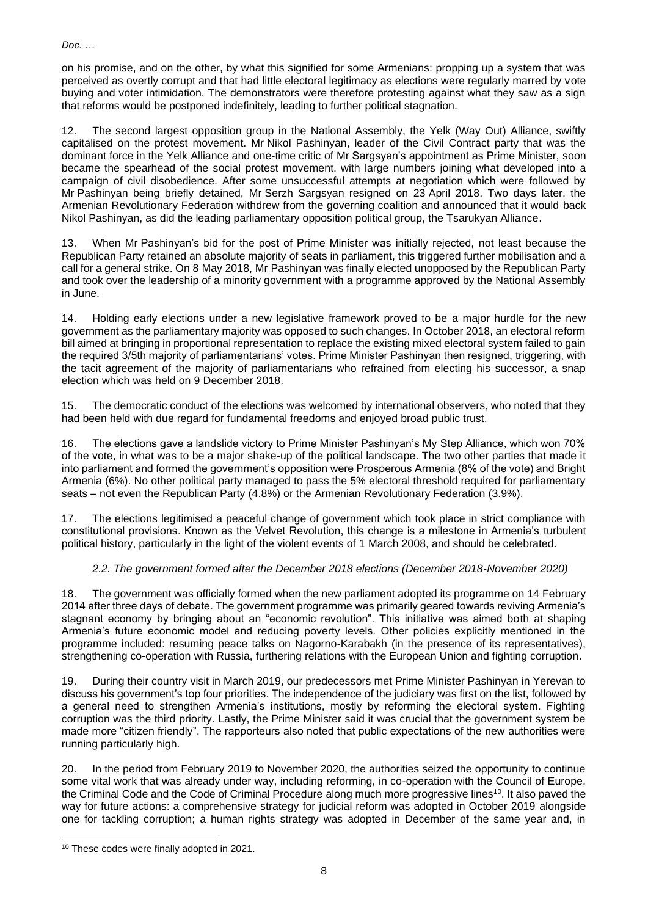on his promise, and on the other, by what this signified for some Armenians: propping up a system that was perceived as overtly corrupt and that had little electoral legitimacy as elections were regularly marred by vote buying and voter intimidation. The demonstrators were therefore protesting against what they saw as a sign that reforms would be postponed indefinitely, leading to further political stagnation.

12. The second largest opposition group in the National Assembly, the Yelk (Way Out) Alliance, swiftly capitalised on the protest movement. Mr Nikol Pashinyan, leader of the Civil Contract party that was the dominant force in the Yelk Alliance and one-time critic of Mr Sargsyan's appointment as Prime Minister, soon became the spearhead of the social protest movement, with large numbers joining what developed into a campaign of civil disobedience. After some unsuccessful attempts at negotiation which were followed by Mr Pashinyan being briefly detained, Mr Serzh Sargsyan resigned on 23 April 2018. Two days later, the Armenian Revolutionary Federation withdrew from the governing coalition and announced that it would back Nikol Pashinyan, as did the leading parliamentary opposition political group, the Tsarukyan Alliance.

13. When Mr Pashinyan's bid for the post of Prime Minister was initially rejected, not least because the Republican Party retained an absolute majority of seats in parliament, this triggered further mobilisation and a call for a general strike. On 8 May 2018, Mr Pashinyan was finally elected unopposed by the Republican Party and took over the leadership of a minority government with a programme approved by the National Assembly in June.

14. Holding early elections under a new legislative framework proved to be a major hurdle for the new government as the parliamentary majority was opposed to such changes. In October 2018, an electoral reform bill aimed at bringing in proportional representation to replace the existing mixed electoral system failed to gain the required 3/5th majority of parliamentarians' votes. Prime Minister Pashinyan then resigned, triggering, with the tacit agreement of the majority of parliamentarians who refrained from electing his successor, a snap election which was held on 9 December 2018.

15. The democratic conduct of the elections was welcomed by international observers, who noted that they had been held with due regard for fundamental freedoms and enjoyed broad public trust.

16. The elections gave a landslide victory to Prime Minister Pashinyan's My Step Alliance, which won 70% of the vote, in what was to be a major shake-up of the political landscape. The two other parties that made it into parliament and formed the government's opposition were Prosperous Armenia (8% of the vote) and Bright Armenia (6%). No other political party managed to pass the 5% electoral threshold required for parliamentary seats – not even the Republican Party (4.8%) or the Armenian Revolutionary Federation (3.9%).

17. The elections legitimised a peaceful change of government which took place in strict compliance with constitutional provisions. Known as the Velvet Revolution, this change is a milestone in Armenia's turbulent political history, particularly in the light of the violent events of 1 March 2008, and should be celebrated.

# *2.2. The government formed after the December 2018 elections (December 2018-November 2020)*

18. The government was officially formed when the new parliament adopted its programme on 14 February 2014 after three days of debate. The government programme was primarily geared towards reviving Armenia's stagnant economy by bringing about an "economic revolution". This initiative was aimed both at shaping Armenia's future economic model and reducing poverty levels. Other policies explicitly mentioned in the programme included: resuming peace talks on Nagorno-Karabakh (in the presence of its representatives), strengthening co-operation with Russia, furthering relations with the European Union and fighting corruption.

19. During their country visit in March 2019, our predecessors met Prime Minister Pashinyan in Yerevan to discuss his government's top four priorities. The independence of the judiciary was first on the list, followed by a general need to strengthen Armenia's institutions, mostly by reforming the electoral system. Fighting corruption was the third priority. Lastly, the Prime Minister said it was crucial that the government system be made more "citizen friendly". The rapporteurs also noted that public expectations of the new authorities were running particularly high.

20. In the period from February 2019 to November 2020, the authorities seized the opportunity to continue some vital work that was already under way, including reforming, in co-operation with the Council of Europe, the Criminal Code and the Code of Criminal Procedure along much more progressive lines<sup>10</sup>. It also paved the way for future actions: a comprehensive strategy for judicial reform was adopted in October 2019 alongside one for tackling corruption; a human rights strategy was adopted in December of the same year and, in

<sup>&</sup>lt;sup>10</sup> These codes were finally adopted in 2021.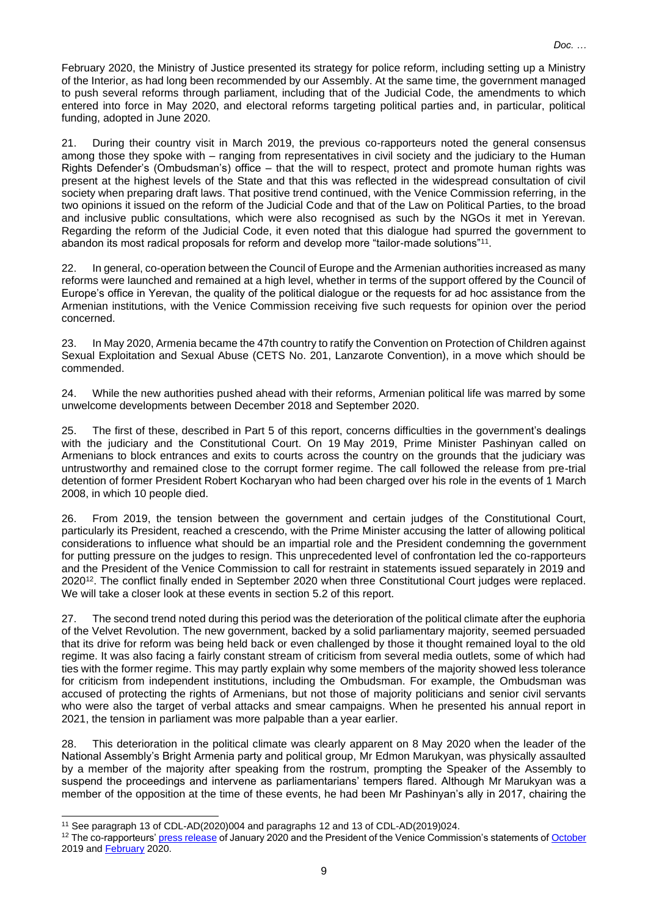February 2020, the Ministry of Justice presented its strategy for police reform, including setting up a Ministry of the Interior, as had long been recommended by our Assembly. At the same time, the government managed to push several reforms through parliament, including that of the Judicial Code, the amendments to which entered into force in May 2020, and electoral reforms targeting political parties and, in particular, political funding, adopted in June 2020.

21. During their country visit in March 2019, the previous co-rapporteurs noted the general consensus among those they spoke with – ranging from representatives in civil society and the judiciary to the Human Rights Defender's (Ombudsman's) office – that the will to respect, protect and promote human rights was present at the highest levels of the State and that this was reflected in the widespread consultation of civil society when preparing draft laws. That positive trend continued, with the Venice Commission referring, in the two opinions it issued on the reform of the Judicial Code and that of the Law on Political Parties, to the broad and inclusive public consultations, which were also recognised as such by the NGOs it met in Yerevan. Regarding the reform of the Judicial Code, it even noted that this dialogue had spurred the government to abandon its most radical proposals for reform and develop more "tailor-made solutions"<sup>11</sup>.

22. In general, co-operation between the Council of Europe and the Armenian authorities increased as many reforms were launched and remained at a high level, whether in terms of the support offered by the Council of Europe's office in Yerevan, the quality of the political dialogue or the requests for ad hoc assistance from the Armenian institutions, with the Venice Commission receiving five such requests for opinion over the period concerned.

23. In May 2020, Armenia became the 47th country to ratify the Convention on Protection of Children against Sexual Exploitation and Sexual Abuse (CETS No. 201, Lanzarote Convention), in a move which should be commended.

24. While the new authorities pushed ahead with their reforms, Armenian political life was marred by some unwelcome developments between December 2018 and September 2020.

25. The first of these, described in Part 5 of this report, concerns difficulties in the government's dealings with the judiciary and the Constitutional Court. On 19 May 2019, Prime Minister Pashinyan called on Armenians to block entrances and exits to courts across the country on the grounds that the judiciary was untrustworthy and remained close to the corrupt former regime. The call followed the release from pre-trial detention of former President Robert Kocharyan who had been charged over his role in the events of 1 March 2008, in which 10 people died.

26. From 2019, the tension between the government and certain judges of the Constitutional Court, particularly its President, reached a crescendo, with the Prime Minister accusing the latter of allowing political considerations to influence what should be an impartial role and the President condemning the government for putting pressure on the judges to resign. This unprecedented level of confrontation led the co-rapporteurs and the President of the Venice Commission to call for restraint in statements issued separately in 2019 and 2020<sup>12</sup>. The conflict finally ended in September 2020 when three Constitutional Court judges were replaced. We will take a closer look at these events in section 5.2 of this report.

27. The second trend noted during this period was the deterioration of the political climate after the euphoria of the Velvet Revolution. The new government, backed by a solid parliamentary majority, seemed persuaded that its drive for reform was being held back or even challenged by those it thought remained loyal to the old regime. It was also facing a fairly constant stream of criticism from several media outlets, some of which had ties with the former regime. This may partly explain why some members of the majority showed less tolerance for criticism from independent institutions, including the Ombudsman. For example, the Ombudsman was accused of protecting the rights of Armenians, but not those of majority politicians and senior civil servants who were also the target of verbal attacks and smear campaigns. When he presented his annual report in 2021, the tension in parliament was more palpable than a year earlier.

28. This deterioration in the political climate was clearly apparent on 8 May 2020 when the leader of the National Assembly's Bright Armenia party and political group, Mr Edmon Marukyan, was physically assaulted by a member of the majority after speaking from the rostrum, prompting the Speaker of the Assembly to suspend the proceedings and intervene as parliamentarians' tempers flared. Although Mr Marukyan was a member of the opposition at the time of these events, he had been Mr Pashinyan's ally in 2017, chairing the

<sup>11</sup> See paragraph 13 of CDL-AD(2020)004 and paragraphs 12 and 13 of CDL-AD(2019)024.

<sup>&</sup>lt;sup>12</sup> The co-rapporteurs[' press release](https://pace.coe.int/en/news/7786) of January 2020 and the President of the Venice Commission's statements o[f October](https://www.venice.coe.int/webforms/events/default.aspx?id=2837&lang=en) 2019 and **February** 2020.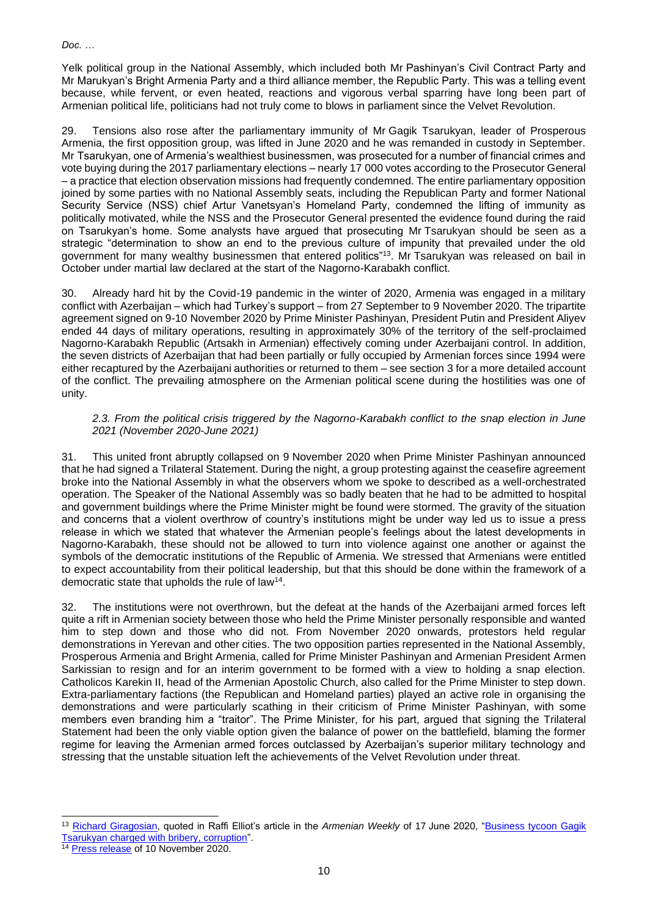Yelk political group in the National Assembly, which included both Mr Pashinyan's Civil Contract Party and Mr Marukyan's Bright Armenia Party and a third alliance member, the Republic Party. This was a telling event because, while fervent, or even heated, reactions and vigorous verbal sparring have long been part of Armenian political life, politicians had not truly come to blows in parliament since the Velvet Revolution.

29. Tensions also rose after the parliamentary immunity of Mr Gagik Tsarukyan, leader of Prosperous Armenia, the first opposition group, was lifted in June 2020 and he was remanded in custody in September. Mr Tsarukyan, one of Armenia's wealthiest businessmen, was prosecuted for a number of financial crimes and vote buying during the 2017 parliamentary elections – nearly 17 000 votes according to the Prosecutor General – a practice that election observation missions had frequently condemned. The entire parliamentary opposition joined by some parties with no National Assembly seats, including the Republican Party and former National Security Service (NSS) chief Artur Vanetsyan's Homeland Party, condemned the lifting of immunity as politically motivated, while the NSS and the Prosecutor General presented the evidence found during the raid on Tsarukyan's home. Some analysts have argued that prosecuting Mr Tsarukyan should be seen as a strategic "determination to show an end to the previous culture of impunity that prevailed under the old government for many wealthy businessmen that entered politics"<sup>13</sup> . Mr Tsarukyan was released on bail in October under martial law declared at the start of the Nagorno-Karabakh conflict.

30. Already hard hit by the Covid-19 pandemic in the winter of 2020, Armenia was engaged in a military conflict with Azerbaijan – which had Turkey's support – from 27 September to 9 November 2020. The tripartite agreement signed on 9-10 November 2020 by Prime Minister Pashinyan, President Putin and President Aliyev ended 44 days of military operations, resulting in approximately 30% of the territory of the self-proclaimed Nagorno-Karabakh Republic (Artsakh in Armenian) effectively coming under Azerbaijani control. In addition, the seven districts of Azerbaijan that had been partially or fully occupied by Armenian forces since 1994 were either recaptured by the Azerbaijani authorities or returned to them – see section 3 for a more detailed account of the conflict. The prevailing atmosphere on the Armenian political scene during the hostilities was one of unity.

# *2.3. From the political crisis triggered by the Nagorno-Karabakh conflict to the snap election in June 2021 (November 2020-June 2021)*

31. This united front abruptly collapsed on 9 November 2020 when Prime Minister Pashinyan announced that he had signed a Trilateral Statement. During the night, a group protesting against the ceasefire agreement broke into the National Assembly in what the observers whom we spoke to described as a well-orchestrated operation. The Speaker of the National Assembly was so badly beaten that he had to be admitted to hospital and government buildings where the Prime Minister might be found were stormed. The gravity of the situation and concerns that a violent overthrow of country's institutions might be under way led us to issue a press release in which we stated that whatever the Armenian people's feelings about the latest developments in Nagorno-Karabakh, these should not be allowed to turn into violence against one another or against the symbols of the democratic institutions of the Republic of Armenia. We stressed that Armenians were entitled to expect accountability from their political leadership, but that this should be done within the framework of a democratic state that upholds the rule of law<sup>14</sup>.

32. The institutions were not overthrown, but the defeat at the hands of the Azerbaijani armed forces left quite a rift in Armenian society between those who held the Prime Minister personally responsible and wanted him to step down and those who did not. From November 2020 onwards, protestors held regular demonstrations in Yerevan and other cities. The two opposition parties represented in the National Assembly, Prosperous Armenia and Bright Armenia, called for Prime Minister Pashinyan and Armenian President Armen Sarkissian to resign and for an interim government to be formed with a view to holding a snap election. Catholicos Karekin II, head of the Armenian Apostolic Church, also called for the Prime Minister to step down. Extra-parliamentary factions (the Republican and Homeland parties) played an active role in organising the demonstrations and were particularly scathing in their criticism of Prime Minister Pashinyan, with some members even branding him a "traitor". The Prime Minister, for his part, argued that signing the Trilateral Statement had been the only viable option given the balance of power on the battlefield, blaming the former regime for leaving the Armenian armed forces outclassed by Azerbaijan's superior military technology and stressing that the unstable situation left the achievements of the Velvet Revolution under threat.

<sup>13</sup> [Richard Giragosian,](https://www.institutmontaigne.org/en/experts/richard-giragosian?_wrapper_format=html) quoted in Raffi Elliot's article in the *Armenian Weekly* of 17 June 2020, ["Business tycoon Gagik](https://armenianweekly.com/2020/06/17/business-tycoon-gagik-tsarukyan-charged-with-bribery-corruption/)  [Tsarukyan charged with bribery, corruption"](https://armenianweekly.com/2020/06/17/business-tycoon-gagik-tsarukyan-charged-with-bribery-corruption/).

<sup>&</sup>lt;sup>14</sup> [Press release](https://pace.coe.int/en/news/8091/pace-monitors-concerned-about-outbreak-of-violence-during-protest-in-yerevan) of 10 November 2020.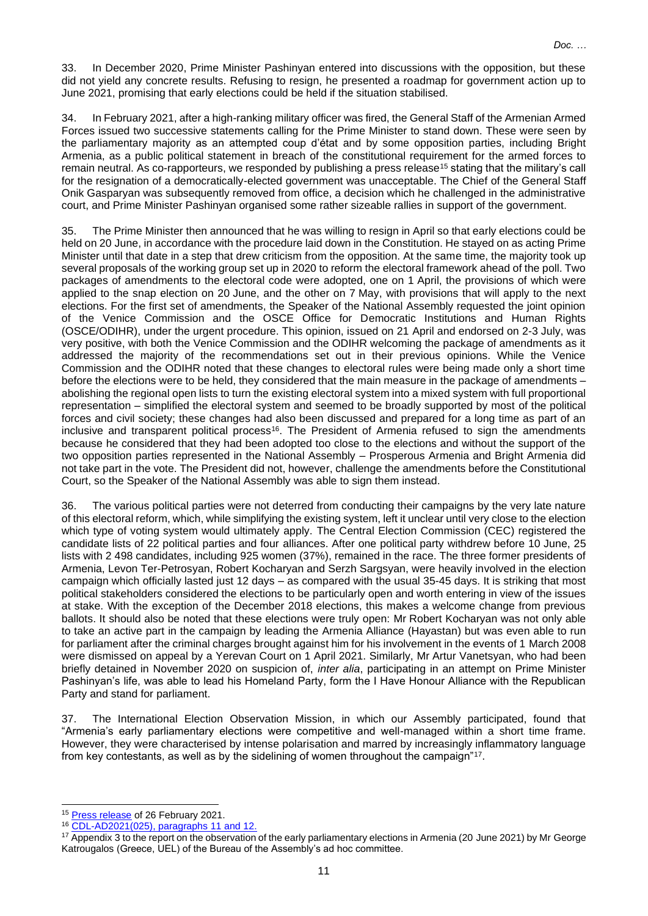33. In December 2020, Prime Minister Pashinyan entered into discussions with the opposition, but these did not yield any concrete results. Refusing to resign, he presented a roadmap for government action up to June 2021, promising that early elections could be held if the situation stabilised.

34. In February 2021, after a high-ranking military officer was fired, the General Staff of the Armenian Armed Forces issued two successive statements calling for the Prime Minister to stand down. These were seen by the parliamentary majority as an attempted coup d'état and by some opposition parties, including Bright Armenia, as a public political statement in breach of the constitutional requirement for the armed forces to remain neutral. As co-rapporteurs, we responded by publishing a press release<sup>15</sup> stating that the military's call for the resignation of a democratically-elected government was unacceptable. The Chief of the General Staff Onik Gasparyan was subsequently removed from office, a decision which he challenged in the administrative court, and Prime Minister Pashinyan organised some rather sizeable rallies in support of the government.

35. The Prime Minister then announced that he was willing to resign in April so that early elections could be held on 20 June, in accordance with the procedure laid down in the Constitution. He stayed on as acting Prime Minister until that date in a step that drew criticism from the opposition. At the same time, the majority took up several proposals of the working group set up in 2020 to reform the electoral framework ahead of the poll. Two packages of amendments to the electoral code were adopted, one on 1 April, the provisions of which were applied to the snap election on 20 June, and the other on 7 May, with provisions that will apply to the next elections. For the first set of amendments, the Speaker of the National Assembly requested the joint opinion of the Venice Commission and the OSCE Office for Democratic Institutions and Human Rights (OSCE/ODIHR), under the urgent procedure. This opinion, issued on 21 April and endorsed on 2-3 July, was very positive, with both the Venice Commission and the ODIHR welcoming the package of amendments as it addressed the majority of the recommendations set out in their previous opinions. While the Venice Commission and the ODIHR noted that these changes to electoral rules were being made only a short time before the elections were to be held, they considered that the main measure in the package of amendments – abolishing the regional open lists to turn the existing electoral system into a mixed system with full proportional representation – simplified the electoral system and seemed to be broadly supported by most of the political forces and civil society; these changes had also been discussed and prepared for a long time as part of an inclusive and transparent political process<sup>16</sup>. The President of Armenia refused to sign the amendments because he considered that they had been adopted too close to the elections and without the support of the two opposition parties represented in the National Assembly – Prosperous Armenia and Bright Armenia did not take part in the vote. The President did not, however, challenge the amendments before the Constitutional Court, so the Speaker of the National Assembly was able to sign them instead.

36. The various political parties were not deterred from conducting their campaigns by the very late nature of this electoral reform, which, while simplifying the existing system, left it unclear until very close to the election which type of voting system would ultimately apply. The Central Election Commission (CEC) registered the candidate lists of 22 political parties and four alliances. After one political party withdrew before 10 June, 25 lists with 2 498 candidates, including 925 women (37%), remained in the race. The three former presidents of Armenia, Levon Ter-Petrosyan, Robert Kocharyan and Serzh Sargsyan, were heavily involved in the election campaign which officially lasted just 12 days – as compared with the usual 35-45 days. It is striking that most political stakeholders considered the elections to be particularly open and worth entering in view of the issues at stake. With the exception of the December 2018 elections, this makes a welcome change from previous ballots. It should also be noted that these elections were truly open: Mr Robert Kocharyan was not only able to take an active part in the campaign by leading the Armenia Alliance (Hayastan) but was even able to run for parliament after the criminal charges brought against him for his involvement in the events of 1 March 2008 were dismissed on appeal by a Yerevan Court on 1 April 2021. Similarly, Mr Artur Vanetsyan, who had been briefly detained in November 2020 on suspicion of, *inter alia*, participating in an attempt on Prime Minister Pashinyan's life, was able to lead his Homeland Party, form the I Have Honour Alliance with the Republican Party and stand for parliament.

37. The International Election Observation Mission, in which our Assembly participated, found that "Armenia's early parliamentary elections were competitive and well-managed within a short time frame. However, they were characterised by intense polarisation and marred by increasingly inflammatory language from key contestants, as well as by the sidelining of women throughout the campaign"<sup>17</sup>.

<sup>&</sup>lt;sup>15</sup> [Press release](https://pace.coe.int/en/news/8198/pace-monitors-extremely-concerned-by-developments-in-armenia) of 26 February 2021.

<sup>16</sup> [CDL-AD2021\(025\),](https://www.venice.coe.int/webforms/documents/?pdf=CDL-AD(2021)025-e) paragraphs 11 and 12.

<sup>&</sup>lt;sup>17</sup> Appendix 3 to the report on the observation of the early parliamentary elections in Armenia (20 June 2021) by Mr George Katrougalos (Greece, UEL) of the Bureau of the Assembly's ad hoc committee.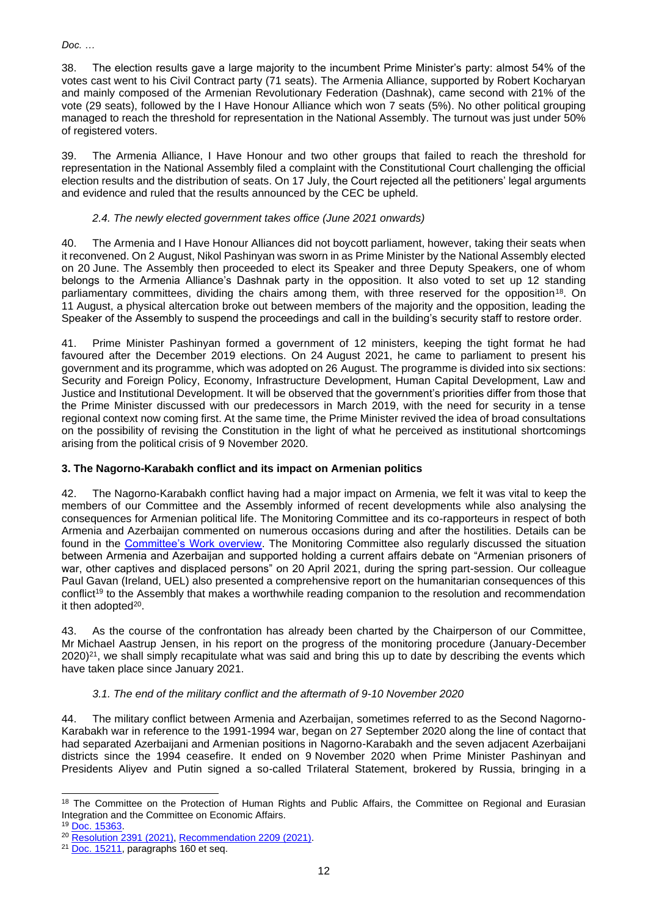38. The election results gave a large majority to the incumbent Prime Minister's party: almost 54% of the votes cast went to his Civil Contract party (71 seats). The Armenia Alliance, supported by Robert Kocharyan and mainly composed of the Armenian Revolutionary Federation (Dashnak), came second with 21% of the vote (29 seats), followed by the I Have Honour Alliance which won 7 seats (5%). No other political grouping managed to reach the threshold for representation in the National Assembly. The turnout was just under 50% of registered voters.

39. The Armenia Alliance, I Have Honour and two other groups that failed to reach the threshold for representation in the National Assembly filed a complaint with the Constitutional Court challenging the official election results and the distribution of seats. On 17 July, the Court rejected all the petitioners' legal arguments and evidence and ruled that the results announced by the CEC be upheld.

# *2.4. The newly elected government takes office (June 2021 onwards)*

40. The Armenia and I Have Honour Alliances did not boycott parliament, however, taking their seats when it reconvened. On 2 August, Nikol Pashinyan was sworn in as Prime Minister by the National Assembly elected on 20 June. The Assembly then proceeded to elect its Speaker and three Deputy Speakers, one of whom belongs to the Armenia Alliance's Dashnak party in the opposition. It also voted to set up 12 standing parliamentary committees, dividing the chairs among them, with three reserved for the opposition<sup>18</sup>. On 11 August, a physical altercation broke out between members of the majority and the opposition, leading the Speaker of the Assembly to suspend the proceedings and call in the building's security staff to restore order.

41. Prime Minister Pashinyan formed a government of 12 ministers, keeping the tight format he had favoured after the December 2019 elections. On 24 August 2021, he came to parliament to present his government and its programme, which was adopted on 26 August. The programme is divided into six sections: Security and Foreign Policy, Economy, Infrastructure Development, Human Capital Development, Law and Justice and Institutional Development. It will be observed that the government's priorities differ from those that the Prime Minister discussed with our predecessors in March 2019, with the need for security in a tense regional context now coming first. At the same time, the Prime Minister revived the idea of broad consultations on the possibility of revising the Constitution in the light of what he perceived as institutional shortcomings arising from the political crisis of 9 November 2020.

# **3. The Nagorno-Karabakh conflict and its impact on Armenian politics**

42. The Nagorno-Karabakh conflict having had a major impact on Armenia, we felt it was vital to keep the members of our Committee and the Assembly informed of recent developments while also analysing the consequences for Armenian political life. The Monitoring Committee and its co-rapporteurs in respect of both Armenia and Azerbaijan commented on numerous occasions during and after the hostilities. Details can be found in the [Committee's Work overview.](https://assembly.coe.int/LifeRay/MON/Pdf/DocsAndDecs/OverviewMON-EN.pdf) The Monitoring Committee also regularly discussed the situation between Armenia and Azerbaijan and supported holding a current affairs debate on "Armenian prisoners of war, other captives and displaced persons" on 20 April 2021, during the spring part-session. Our colleague Paul Gavan (Ireland, UEL) also presented a comprehensive report on the humanitarian consequences of this conflict<sup>19</sup> to the Assembly that makes a worthwhile reading companion to the resolution and recommendation it then adopted<sup>20</sup>.

43. As the course of the confrontation has already been charted by the Chairperson of our Committee, Mr Michael Aastrup Jensen, in his report on the progress of the monitoring procedure (January-December  $2020$ <sup>21</sup>, we shall simply recapitulate what was said and bring this up to date by describing the events which have taken place since January 2021.

# *3.1. The end of the military conflict and the aftermath of 9-10 November 2020*

44. The military conflict between Armenia and Azerbaijan, sometimes referred to as the Second Nagorno-Karabakh war in reference to the 1991-1994 war, began on 27 September 2020 along the line of contact that had separated Azerbaijani and Armenian positions in Nagorno-Karabakh and the seven adjacent Azerbaijani districts since the 1994 ceasefire. It ended on 9 November 2020 when Prime Minister Pashinyan and Presidents Aliyev and Putin signed a so-called Trilateral Statement, brokered by Russia, bringing in a

<sup>&</sup>lt;sup>18</sup> The Committee on the Protection of Human Rights and Public Affairs, the Committee on Regional and Eurasian Integration and the Committee on Economic Affairs.

<sup>19</sup> [Doc.](https://pace.coe.int/fr/files/29401) [15363.](https://pace.coe.int/en/files/29401)

<sup>20</sup> [Resolution](https://pace.coe.int/en/files/29483/pdf) 2391 (2021)[, Recommendation](https://pace.coe.int/en/files/29485/pdf) 2209 (2021).

<sup>&</sup>lt;sup>21</sup> [Doc.](https://pace.coe.int/fr/files/28915/html) [15211,](https://pace.coe.int/en/files/28915/html) paragraphs 160 et seg.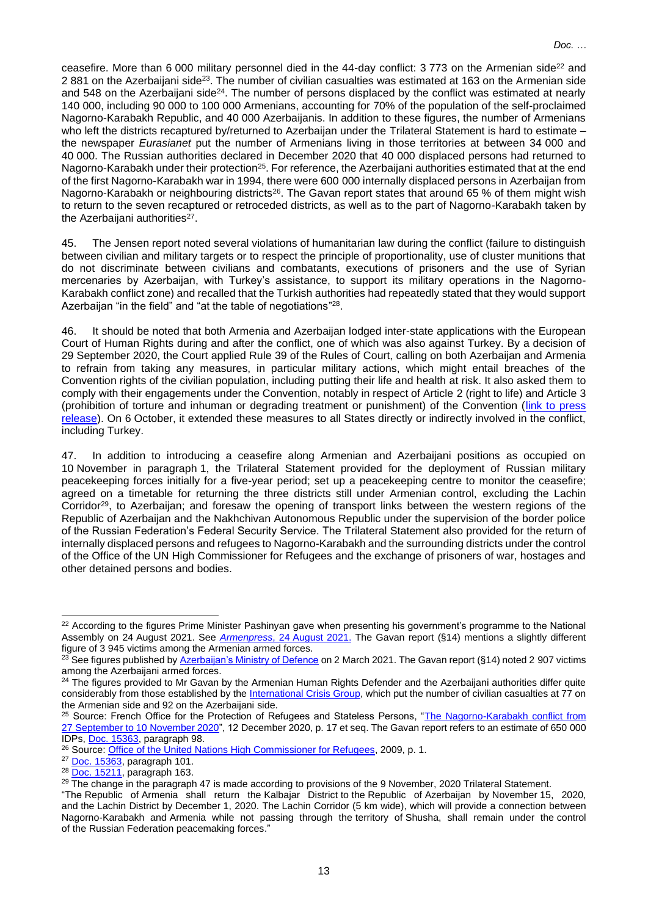ceasefire. More than 6 000 military personnel died in the 44-day conflict: 3 773 on the Armenian side<sup>22</sup> and 2 881 on the Azerbaijani side<sup>23</sup>. The number of civilian casualties was estimated at 163 on the Armenian side and 548 on the Azerbaijani side<sup>24</sup>. The number of persons displaced by the conflict was estimated at nearly 140 000, including 90 000 to 100 000 Armenians, accounting for 70% of the population of the self-proclaimed Nagorno-Karabakh Republic, and 40 000 Azerbaijanis. In addition to these figures, the number of Armenians who left the districts recaptured by/returned to Azerbaijan under the Trilateral Statement is hard to estimate – the newspaper *Eurasianet* put the number of Armenians living in those territories at between 34 000 and 40 000. The Russian authorities declared in December 2020 that 40 000 displaced persons had returned to Nagorno-Karabakh under their protection<sup>25</sup>. For reference, the Azerbaijani authorities estimated that at the end of the first Nagorno-Karabakh war in 1994, there were 600 000 internally displaced persons in Azerbaijan from Nagorno-Karabakh or neighbouring districts<sup>26</sup>. The Gavan report states that around 65 % of them might wish to return to the seven recaptured or retroceded districts, as well as to the part of Nagorno-Karabakh taken by the Azerbaijani authorities<sup>27</sup>.

45. The Jensen report noted several violations of humanitarian law during the conflict (failure to distinguish between civilian and military targets or to respect the principle of proportionality, use of cluster munitions that do not discriminate between civilians and combatants, executions of prisoners and the use of Syrian mercenaries by Azerbaijan, with Turkey's assistance, to support its military operations in the Nagorno-Karabakh conflict zone) and recalled that the Turkish authorities had repeatedly stated that they would support Azerbaijan "in the field" and "at the table of negotiations"<sup>28</sup>.

46. It should be noted that both Armenia and Azerbaijan lodged inter-state applications with the European Court of Human Rights during and after the conflict, one of which was also against Turkey. By a decision of 29 September 2020, the Court applied Rule 39 of the Rules of Court, calling on both Azerbaijan and Armenia to refrain from taking any measures, in particular military actions, which might entail breaches of the Convention rights of the civilian population, including putting their life and health at risk. It also asked them to comply with their engagements under the Convention, notably in respect of Article 2 (right to life) and Article 3 (prohibition of torture and inhuman or degrading treatment or punishment) of the Convention [\(link to press](https://hudoc.echr.coe.int/app/conversion/pdf/?library=ECHR&id=003-6844996-9168687&filename=Statement%20on%20requests%20for%20interim%20measures%20concerning%20the%20conflict%20in%20and%20around%20Nagorno-Karabakh.pdf)  [release\)](https://hudoc.echr.coe.int/app/conversion/pdf/?library=ECHR&id=003-6844996-9168687&filename=Statement%20on%20requests%20for%20interim%20measures%20concerning%20the%20conflict%20in%20and%20around%20Nagorno-Karabakh.pdf). On 6 October, it extended these measures to all States directly or indirectly involved in the conflict, including Turkey.

47. In addition to introducing a ceasefire along Armenian and Azerbaijani positions as occupied on 10 November in paragraph 1, the Trilateral Statement provided for the deployment of Russian military peacekeeping forces initially for a five-year period; set up a peacekeeping centre to monitor the ceasefire; agreed on a timetable for returning the three districts still under Armenian control, excluding the Lachin Corridor<sup>29</sup>, to Azerbaijan; and foresaw the opening of transport links between the western regions of the Republic of Azerbaijan and the Nakhchivan Autonomous Republic under the supervision of the border police of the Russian Federation's Federal Security Service. The Trilateral Statement also provided for the return of internally displaced persons and refugees to Nagorno-Karabakh and the surrounding districts under the control of the Office of the UN High Commissioner for Refugees and the exchange of prisoners of war, hostages and other detained persons and bodies.

<sup>&</sup>lt;sup>22</sup> According to the figures Prime Minister Pashinyan gave when presenting his government's programme to the National Assembly on 24 August 2021. See *[Armenpress](https://armenpress.am/eng/news/1061477.html)*, 24 August 2021. The Gavan report (§14) mentions a slightly different figure of 3 945 victims among the Armenian armed forces.

<sup>&</sup>lt;sup>23</sup> See figures published b[y Azerbaijan's Ministry of Defence](https://mod.gov.az/en/news/list-of-servicemen-who-died-as-shehids-in-the-patriotic-war-35049.html) on 2 March 2021. The Gavan report (§14) noted 2 907 victims among the Azerbaijani armed forces.

<sup>&</sup>lt;sup>24</sup> The figures provided to Mr Gavan by the Armenian Human Rights Defender and the Azerbaijani authorities differ quite considerably from those established by the [International Crisis Group,](https://www.crisisgroup.org/content/nagorno-karabakh-conflict-visual-explainer#3) which put the number of civilian casualties at 77 on the Armenian side and 92 on the Azerbaijani side.

<sup>&</sup>lt;sup>25</sup> Source: French Office for the Protection of Refugees and Stateless Persons, "The Nagorno-Karabakh conflict from 27 September to 10 [November 2020"](https://www.ofpra.gouv.fr/sites/default/files/atoms/files/2012_aze_haut_karabakh_2020_web.pdf), 12 December 2020, p. 17 et seq. The Gavan report refers to an estimate of 650 000 IDPs, Doc. [15363,](https://pace.coe.int/en/files/29401) paragraph 98.

<sup>&</sup>lt;sup>26</sup> Source: [Office of the United Nations High Commissioner for Refugees,](https://www.unhcr.org/4bd7edbd9.pdf) 2009, p. 1.

<sup>27</sup> Doc. [15363,](https://pace.coe.int/en/files/29401) paragraph 101.

<sup>28</sup> Doc. [15211,](https://pace.coe.int/en/files/28915/html#:~:text=It%20was%20characterised,table%20of%20negotiations.) paragraph 163.

<sup>&</sup>lt;sup>29</sup> The change in the paragraph 47 is made according to provisions of the 9 November, 2020 Trilateral Statement.

<sup>&</sup>quot;The Republic of Armenia shall return the Kalbajar District to the Republic of Azerbaijan by November 15, 2020, and the Lachin District by December 1, 2020. The Lachin Corridor (5 km wide), which will provide a connection between Nagorno-Karabakh and Armenia while not passing through the territory of Shusha, shall remain under the control of the Russian Federation peacemaking forces."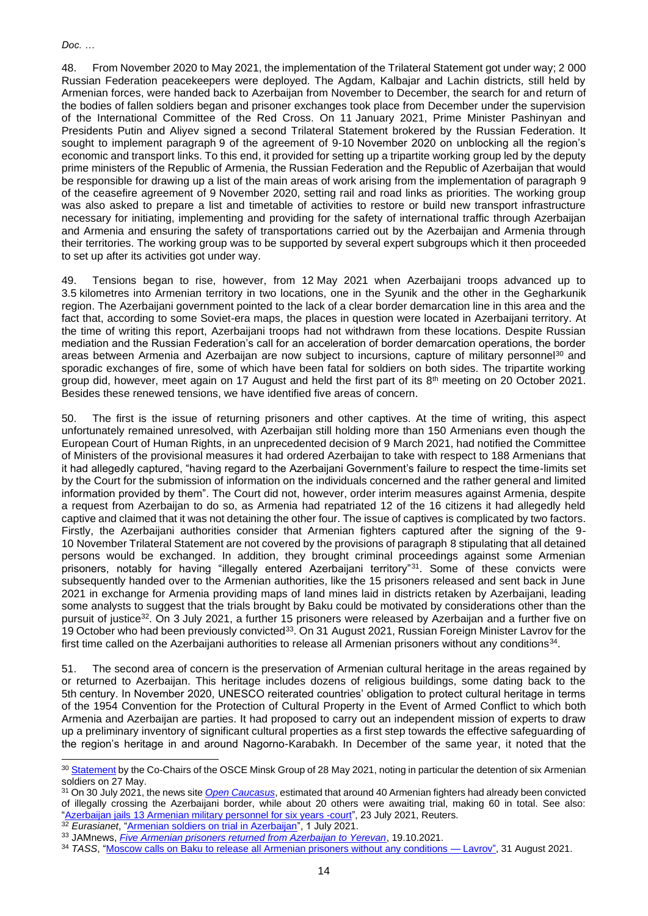48. From November 2020 to May 2021, the implementation of the Trilateral Statement got under way; 2 000 Russian Federation peacekeepers were deployed. The Agdam, Kalbajar and Lachin districts, still held by Armenian forces, were handed back to Azerbaijan from November to December, the search for and return of the bodies of fallen soldiers began and prisoner exchanges took place from December under the supervision of the International Committee of the Red Cross. On 11 January 2021, Prime Minister Pashinyan and Presidents Putin and Aliyev signed a second Trilateral Statement brokered by the Russian Federation. It sought to implement paragraph 9 of the agreement of 9-10 November 2020 on unblocking all the region's economic and transport links. To this end, it provided for setting up a tripartite working group led by the deputy prime ministers of the Republic of Armenia, the Russian Federation and the Republic of Azerbaijan that would be responsible for drawing up a list of the main areas of work arising from the implementation of paragraph 9 of the ceasefire agreement of 9 November 2020, setting rail and road links as priorities. The working group was also asked to prepare a list and timetable of activities to restore or build new transport infrastructure necessary for initiating, implementing and providing for the safety of international traffic through Azerbaijan and Armenia and ensuring the safety of transportations carried out by the Azerbaijan and Armenia through their territories. The working group was to be supported by several expert subgroups which it then proceeded to set up after its activities got under way.

49. Tensions began to rise, however, from 12 May 2021 when Azerbaijani troops advanced up to 3.5 kilometres into Armenian territory in two locations, one in the Syunik and the other in the Gegharkunik region. The Azerbaijani government pointed to the lack of a clear border demarcation line in this area and the fact that, according to some Soviet-era maps, the places in question were located in Azerbaijani territory. At the time of writing this report, Azerbaijani troops had not withdrawn from these locations. Despite Russian mediation and the Russian Federation's call for an acceleration of border demarcation operations, the border areas between Armenia and Azerbaijan are now subject to incursions, capture of military personnel<sup>30</sup> and sporadic exchanges of fire, some of which have been fatal for soldiers on both sides. The tripartite working group did, however, meet again on 17 August and held the first part of its 8<sup>th</sup> meeting on 20 October 2021. Besides these renewed tensions, we have identified five areas of concern.

50. The first is the issue of returning prisoners and other captives. At the time of writing, this aspect unfortunately remained unresolved, with Azerbaijan still holding more than 150 Armenians even though the European Court of Human Rights, in an unprecedented decision of 9 March 2021, had notified the Committee of Ministers of the provisional measures it had ordered Azerbaijan to take with respect to 188 Armenians that it had allegedly captured, "having regard to the Azerbaijani Government's failure to respect the time-limits set by the Court for the submission of information on the individuals concerned and the rather general and limited information provided by them". The Court did not, however, order interim measures against Armenia, despite a request from Azerbaijan to do so, as Armenia had repatriated 12 of the 16 citizens it had allegedly held captive and claimed that it was not detaining the other four. The issue of captives is complicated by two factors. Firstly, the Azerbaijani authorities consider that Armenian fighters captured after the signing of the 9- 10 November Trilateral Statement are not covered by the provisions of paragraph 8 stipulating that all detained persons would be exchanged. In addition, they brought criminal proceedings against some Armenian prisoners, notably for having "illegally entered Azerbaijani territory"<sup>31</sup>. Some of these convicts were subsequently handed over to the Armenian authorities, like the 15 prisoners released and sent back in June 2021 in exchange for Armenia providing maps of land mines laid in districts retaken by Azerbaijani, leading some analysts to suggest that the trials brought by Baku could be motivated by considerations other than the pursuit of justice<sup>32</sup>. On 3 July 2021, a further 15 prisoners were released by Azerbaijan and a further five on 19 October who had been previously convicted<sup>33</sup>. On 31 August 2021, Russian Foreign Minister Lavrov for the first time called on the Azerbaijani authorities to release all Armenian prisoners without any conditions<sup>34</sup>.

51. The second area of concern is the preservation of Armenian cultural heritage in the areas regained by or returned to Azerbaijan. This heritage includes dozens of religious buildings, some dating back to the 5th century. In November 2020, UNESCO reiterated countries' obligation to protect cultural heritage in terms of the [1954 Convention for the Protection of Cultural Property in the Event of Armed Conflict](http://www.unesco.org/new/en/culture/themes/armed-conflict-and-heritage/convention-and-protocols/1954-hague-convention/) to which both Armenia and Azerbaijan are parties. It had proposed to carry out an independent mission of experts to draw up a preliminary inventory of significant cultural properties as a first step towards the effective safeguarding of the region's heritage in and around Nagorno-Karabakh. In December of the same year, it noted that the

<sup>&</sup>lt;sup>30</sup> [Statement](https://www.osce.org/minsk-group/487879) by the Co-Chairs of the OSCE Minsk Group of 28 May 2021, noting in particular the detention of six Armenian soldiers on 27 May.

<sup>31</sup> On 30 July 2021, the news site *[Open Caucasus](https://oc-media.org/new-convictions-as-trials-of-armenian-captives-continues-in-azerbaijan/)*, estimated that around 40 Armenian fighters had already been convicted of illegally crossing the Azerbaijani border, while about 20 others were awaiting trial, making 60 in total. See also: ["Azerbaijan jails 13 Armenian military personnel for six years -court"](https://news.trust.org/item/20210723092622-f6v8h/), 23 July 2021, Reuters.

<sup>32</sup> *Eurasianet*, ["Armenian soldiers on trial in Azerbaijan"](https://eurasianet.org/armenian-soldiers-on-trial-in-azerbaijan), 1 July 2021.

<sup>33</sup> JAMnews, *[Five Armenian prisoners returned from Azerbaijan to Yerevan](https://jam-news.net/five-armenian-prisoners-returned-from-azerbaijan-to-yerevan/)*, 19.10.2021.

<sup>34</sup> *TASS*, ["Moscow calls on Baku to release all Armenian prisoners without any conditions —](https://tass.com/politics/1332183) Lavrov", 31 August 2021.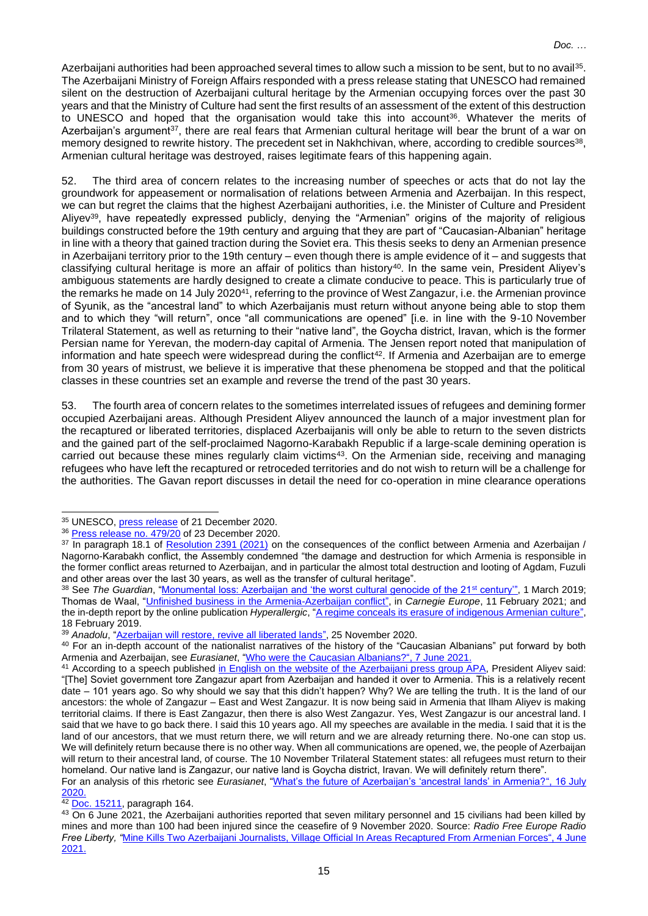Azerbaijani authorities had been approached several times to allow such a mission to be sent, but to no avail<sup>35</sup>. The Azerbaijani Ministry of Foreign Affairs responded with a press release stating that UNESCO had remained silent on the destruction of Azerbaijani cultural heritage by the Armenian occupying forces over the past 30 years and that the Ministry of Culture had sent the first results of an assessment of the extent of this destruction to UNESCO and hoped that the organisation would take this into account<sup>36</sup>. Whatever the merits of Azerbaijan's argument<sup>37</sup>, there are real fears that Armenian cultural heritage will bear the brunt of a war on memory designed to rewrite history. The precedent set in Nakhchivan, where, according to credible sources<sup>38</sup>, Armenian cultural heritage was destroyed, raises legitimate fears of this happening again.

52. The third area of concern relates to the increasing number of speeches or acts that do not lay the groundwork for appeasement or normalisation of relations between Armenia and Azerbaijan. In this respect, we can but regret the claims that the highest Azerbaijani authorities, i.e. the Minister of Culture and President Aliyev<sup>39</sup>, have repeatedly expressed publicly, denying the "Armenian" origins of the majority of religious buildings constructed before the 19th century and arguing that they are part of "Caucasian-Albanian" heritage in line with a theory that gained traction during the Soviet era. This thesis seeks to deny an Armenian presence in Azerbaijani territory prior to the 19th century – even though there is ample evidence of it – and suggests that classifying cultural heritage is more an affair of politics than history<sup>40</sup>. In the same vein, President Aliyev's ambiguous statements are hardly designed to create a climate conducive to peace. This is particularly true of the remarks he made on 14 July 2020<sup>41</sup>, referring to the province of West Zangazur, i.e. the Armenian province of Syunik, as the "ancestral land" to which Azerbaijanis must return without anyone being able to stop them and to which they "will return", once "all communications are opened" [i.e. in line with the 9-10 November Trilateral Statement, as well as returning to their "native land", the Goycha district, Iravan, which is the former Persian name for Yerevan, the modern-day capital of Armenia. The Jensen report noted that manipulation of information and hate speech were widespread during the conflict<sup>42</sup>. If Armenia and Azerbaijan are to emerge from 30 years of mistrust, we believe it is imperative that these phenomena be stopped and that the political classes in these countries set an example and reverse the trend of the past 30 years.

53. The fourth area of concern relates to the sometimes interrelated issues of refugees and demining former occupied Azerbaijani areas. Although President Aliyev announced the launch of a major investment plan for the recaptured or liberated territories, displaced Azerbaijanis will only be able to return to the seven districts and the gained part of the self-proclaimed Nagorno-Karabakh Republic if a large-scale demining operation is carried out because these mines regularly claim victims<sup>43</sup>. On the Armenian side, receiving and managing refugees who have left the recaptured or retroceded territories and do not wish to return will be a challenge for the authorities. The Gavan report discusses in detail the need for co-operation in mine clearance operations

 $42$  Doc. [15211,](https://pace.coe.int/en/files/28915/html#:~:text=Manipulation%20of%20information%2C%20as%20well%20as%20hate-speech%20were%20also%20widespread.) paragraph 164.

<sup>35</sup> UNESCO, *press release* of 21 December 2020.

<sup>&</sup>lt;sup>36</sup> [Press release no.](https://mfa.gov.az/en/news/no47920-commentary-of-the-press-service-department-of-the-ministry-of-foreign-affairs-of-the-republic-of-azerbaijan-to-the-unesco-press-release-on-sending-of-a-mission-to-azerbaijan) 479/20 of 23 December 2020.

<sup>&</sup>lt;sup>37</sup> In paragraph 18.1 of [Resolution](https://pace.coe.int/files/29483/pdf) 2391 (2021) on the consequences of the conflict between Armenia and Azerbaijan / Nagorno-Karabakh conflict, the Assembly condemned "the damage and destruction for which Armenia is responsible in the former conflict areas returned to Azerbaijan, and in particular the almost total destruction and looting of Agdam, Fuzuli and other areas over the last 30 years, as well as the transfer of cultural heritage".

<sup>&</sup>lt;sup>38</sup> See *The Guardian*, ["Monumental loss: Azerbaijan and 'the worst cultural genocide of the 21](https://www.theguardian.com/artanddesign/2019/mar/01/monumental-loss-azerbaijan-cultural-genocide-khachkars)<sup>st</sup> century'", 1 March 2019; Thomas de Waal, ["Unfinished business in the Armenia-Azerbaijan conflict"](https://carnegieeurope.eu/2021/02/11/unfinished-business-in-armenia-azerbaijan-conflict-pub-83844), in *Carnegie Europe*, 11 February 2021; and the in-depth report by the online publication *Hyperallergic*, ["A regime conceals its erasure of indigenous Armenian culture"](https://hyperallergic.com/482353/a-regime-conceals-its-erasure-of-indigenous-armenian-culture/), 18 February 2019.

<sup>39</sup> *Anadolu*, ["Azerbaijan will restore, revive all liberated lands"](https://www.aa.com.tr/en/azerbaijan-front-line/azerbaijan-will-restore-revive-all-liberated-lands/2056059), 25 November 2020.

<sup>40</sup> For an in-depth account of the nationalist narratives of the history of the "Caucasian Albanians" put forward by both Armenia and Azerbaijan, see *Eurasianet*, ["Who were the Caucasian Albanians?"](https://eurasianet.org/perspectives-who-were-the-caucasian-albanians), 7 June 2021.

<sup>&</sup>lt;sup>41</sup> According to a speech published [in English on the website of the Azerbaijani press group APA,](https://apa.az/en/xeber/social-news/president-ilham-aliyev-attended-ceremony-to-give-out-apartments-and-cars-to-families-of-martyrs-and-war-disabled-in-khojasan-settlement-photo-353855) President Aliyev said: "[The] Soviet government tore Zangazur apart from Azerbaijan and handed it over to Armenia. This is a relatively recent date – 101 years ago. So why should we say that this didn't happen? Why? We are telling the truth. It is the land of our ancestors: the whole of Zangazur – East and West Zangazur. It is now being said in Armenia that Ilham Aliyev is making territorial claims. If there is East Zangazur, then there is also West Zangazur. Yes, West Zangazur is our ancestral land. I said that we have to go back there. I said this 10 years ago. All my speeches are available in the media. I said that it is the land of our ancestors, that we must return there, we will return and we are already returning there. No-one can stop us. We will definitely return because there is no other way. When all communications are opened, we, the people of Azerbaijan will return to their ancestral land, of course. The 10 November Trilateral Statement states: all refugees must return to their homeland. Our native land is Zangazur, our native land is Goycha district, Iravan. We will definitely return there".

For an analysis of this rhetoric see *Eurasianet*, ["What's the future of Azerbaijan's 'ancestral lands' in Armenia?"](https://eurasianet.org/whats-the-future-of-azerbaijans-ancestral-lands-in-armenia), 16 July 2020.

<sup>&</sup>lt;sup>43</sup> On 6 June 2021, the Azerbaijani authorities reported that seven military personnel and 15 civilians had been killed by mines and more than 100 had been injured since the ceasefire of 9 November 2020. Source: *Radio Free Europe Radio Free Liberty, "*[Mine Kills Two Azerbaijani Journalists, Village Official In Areas Recaptured From Armenian Forces"](https://www.rferl.org/a/mine-azerbaijani-journalists/31290815.html#:~:text=A%20land%20mine%20explosion%20has,over%20the%20Nagorno%2DKarabakh%20region.), 4 June 2021.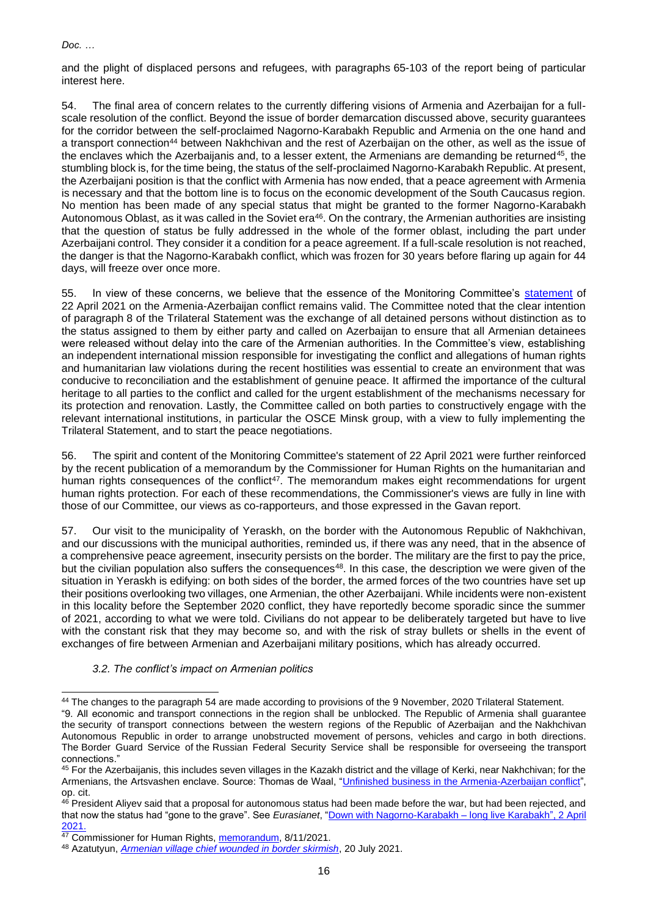and the plight of displaced persons and refugees, with paragraphs 65-103 of the report being of particular interest here.

54. The final area of concern relates to the currently differing visions of Armenia and Azerbaijan for a fullscale resolution of the conflict. Beyond the issue of border demarcation discussed above, security guarantees for the corridor between the self-proclaimed Nagorno-Karabakh Republic and Armenia on the one hand and a transport connection<sup>44</sup> between Nakhchivan and the rest of Azerbaijan on the other, as well as the issue of the enclaves which the Azerbaijanis and, to a lesser extent, the Armenians are demanding be returned<sup>45</sup>, the stumbling block is, for the time being, the status of the self-proclaimed Nagorno-Karabakh Republic. At present, the Azerbaijani position is that the conflict with Armenia has now ended, that a peace agreement with Armenia is necessary and that the bottom line is to focus on the economic development of the South Caucasus region. No mention has been made of any special status that might be granted to the former Nagorno-Karabakh Autonomous Oblast, as it was called in the Soviet era<sup>46</sup>. On the contrary, the Armenian authorities are insisting that the question of status be fully addressed in the whole of the former oblast, including the part under Azerbaijani control. They consider it a condition for a peace agreement. If a full-scale resolution is not reached, the danger is that the Nagorno-Karabakh conflict, which was frozen for 30 years before flaring up again for 44 days, will freeze over once more.

55. In view of these concerns, we believe that the essence of the Monitoring Committee's [statement](https://pace.coe.int/en/news/8279/statement-by-the-monitoring-committee-on-the-conflict-between-armenia-and-azerbaijan) of 22 April 2021 on the Armenia-Azerbaijan conflict remains valid. The Committee noted that the clear intention of paragraph 8 of the Trilateral Statement was the exchange of all detained persons without distinction as to the status assigned to them by either party and called on Azerbaijan to ensure that all Armenian detainees were released without delay into the care of the Armenian authorities. In the Committee's view, establishing an independent international mission responsible for investigating the conflict and allegations of human rights and humanitarian law violations during the recent hostilities was essential to create an environment that was conducive to reconciliation and the establishment of genuine peace. It affirmed the importance of the cultural heritage to all parties to the conflict and called for the urgent establishment of the mechanisms necessary for its protection and renovation. Lastly, the Committee called on both parties to constructively engage with the relevant international institutions, in particular the OSCE Minsk group, with a view to fully implementing the Trilateral Statement, and to start the peace negotiations.

56. The spirit and content of the Monitoring Committee's statement of 22 April 2021 were further reinforced by the recent publication of a memorandum by the Commissioner for Human Rights on the humanitarian and human rights consequences of the conflict<sup>47</sup>. The memorandum makes eight recommendations for urgent human rights protection. For each of these recommendations, the Commissioner's views are fully in line with those of our Committee, our views as co-rapporteurs, and those expressed in the Gavan report.

57. Our visit to the municipality of Yeraskh, on the border with the Autonomous Republic of Nakhchivan, and our discussions with the municipal authorities, reminded us, if there was any need, that in the absence of a comprehensive peace agreement, insecurity persists on the border. The military are the first to pay the price, but the civilian population also suffers the consequences<sup>48</sup>. In this case, the description we were given of the situation in Yeraskh is edifying: on both sides of the border, the armed forces of the two countries have set up their positions overlooking two villages, one Armenian, the other Azerbaijani. While incidents were non-existent in this locality before the September 2020 conflict, they have reportedly become sporadic since the summer of 2021, according to what we were told. Civilians do not appear to be deliberately targeted but have to live with the constant risk that they may become so, and with the risk of stray bullets or shells in the event of exchanges of fire between Armenian and Azerbaijani military positions, which has already occurred.

*3.2. The conflict's impact on Armenian politics*

<sup>44</sup> The changes to the paragraph 54 are made according to provisions of the 9 November, 2020 Trilateral Statement.

<sup>&</sup>quot;9. All economic and transport connections in the region shall be unblocked. The Republic of Armenia shall guarantee the security of transport connections between the western regions of the Republic of Azerbaijan and the Nakhchivan Autonomous Republic in order to arrange unobstructed movement of persons, vehicles and cargo in both directions. The Border Guard Service of the Russian Federal Security Service shall be responsible for overseeing the transport connections."

<sup>&</sup>lt;sup>45</sup> For the Azerbaijanis, this includes seven villages in the Kazakh district and the village of Kerki, near Nakhchivan; for the Armenians, the Artsvashen enclave. Source: Thomas de Waal, ["Unfinished business in the Armenia-Azerbaijan conflict"](https://carnegieeurope.eu/2021/02/11/unfinished-business-in-armenia-azerbaijan-conflict-pub-83844), op. cit.

<sup>46</sup> President Aliyev said that a proposal for autonomous status had been made before the war, but had been rejected, and that now the status had "gone to the grave". See *Eurasianet*, ["Down with Nagorno-Karabakh –](https://eurasianet.org/down-with-nagorno-karabakh-long-live-karabakh) long live Karabakh", 2 April 2021.

<sup>&</sup>lt;sup>47</sup> Commissioner for Human Rights, [memorandum,](https://www.coe.int/en/web/commissioner/-/humanitarian-and-human-rights-protection-needed-following-the-2020-outbreak-of-hostilities-between-armenia-and-azerbaijan-over-nagorno-karabakh) 8/11/2021.

<sup>48</sup> Azatutyun, *[Armenian village chief wounded in border skirmish](https://www.azatutyun.am/a/31368702.html)*, 20 July 2021.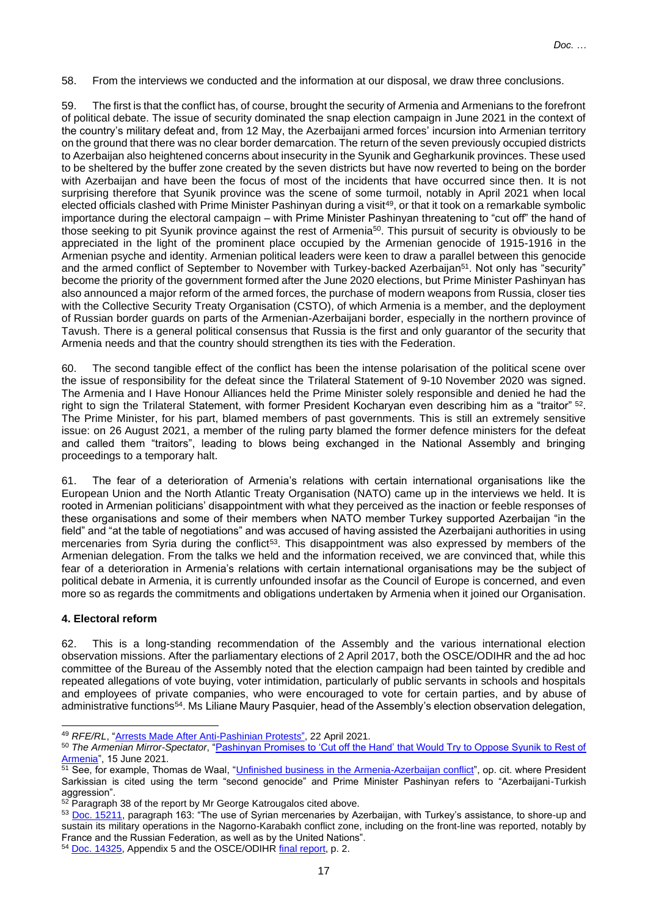58. From the interviews we conducted and the information at our disposal, we draw three conclusions.

59. The first is that the conflict has, of course, brought the security of Armenia and Armenians to the forefront of political debate. The issue of security dominated the snap election campaign in June 2021 in the context of the country's military defeat and, from 12 May, the Azerbaijani armed forces' incursion into Armenian territory on the ground that there was no clear border demarcation. The return of the seven previously occupied districts to Azerbaijan also heightened concerns about insecurity in the Syunik and Gegharkunik provinces. These used to be sheltered by the buffer zone created by the seven districts but have now reverted to being on the border with Azerbaijan and have been the focus of most of the incidents that have occurred since then. It is not surprising therefore that Syunik province was the scene of some turmoil, notably in April 2021 when local elected officials clashed with Prime Minister Pashinyan during a visit<sup>49</sup>, or that it took on a remarkable symbolic importance during the electoral campaign – with Prime Minister Pashinyan threatening to "cut off" the hand of those seeking to pit Syunik province against the rest of Armenia<sup>50</sup>. This pursuit of security is obviously to be appreciated in the light of the prominent place occupied by the Armenian genocide of 1915-1916 in the Armenian psyche and identity. Armenian political leaders were keen to draw a parallel between this genocide and the armed conflict of September to November with Turkey-backed Azerbaijan<sup>51</sup>. Not only has "security" become the priority of the government formed after the June 2020 elections, but Prime Minister Pashinyan has also announced a major reform of the armed forces, the purchase of modern weapons from Russia, closer ties with the Collective Security Treaty Organisation (CSTO), of which Armenia is a member, and the deployment of Russian border guards on parts of the Armenian-Azerbaijani border, especially in the northern province of Tavush. There is a general political consensus that Russia is the first and only guarantor of the security that Armenia needs and that the country should strengthen its ties with the Federation.

60. The second tangible effect of the conflict has been the intense polarisation of the political scene over the issue of responsibility for the defeat since the Trilateral Statement of 9-10 November 2020 was signed. The Armenia and I Have Honour Alliances held the Prime Minister solely responsible and denied he had the right to sign the Trilateral Statement, with former President Kocharyan even describing him as a "traitor" <sup>52</sup>. The Prime Minister, for his part, blamed members of past governments. This is still an extremely sensitive issue: on 26 August 2021, a member of the ruling party blamed the former defence ministers for the defeat and called them "traitors", leading to blows being exchanged in the National Assembly and bringing proceedings to a temporary halt.

61. The fear of a deterioration of Armenia's relations with certain international organisations like the European Union and the North Atlantic Treaty Organisation (NATO) came up in the interviews we held. It is rooted in Armenian politicians' disappointment with what they perceived as the inaction or feeble responses of these organisations and some of their members when NATO member Turkey supported Azerbaijan "in the field" and "at the table of negotiations" and was accused of having assisted the Azerbaijani authorities in using mercenaries from Syria during the conflict<sup>53</sup>. This disappointment was also expressed by members of the Armenian delegation. From the talks we held and the information received, we are convinced that, while this fear of a deterioration in Armenia's relations with certain international organisations may be the subject of political debate in Armenia, it is currently unfounded insofar as the Council of Europe is concerned, and even more so as regards the commitments and obligations undertaken by Armenia when it joined our Organisation.

# **4. Electoral reform**

62. This is a long-standing recommendation of the Assembly and the various international election observation missions. After the parliamentary elections of 2 April 2017, both the OSCE/ODIHR and the ad hoc committee of the Bureau of the Assembly noted that the election campaign had been tainted by credible and repeated allegations of vote buying, voter intimidation, particularly of public servants in schools and hospitals and employees of private companies, who were encouraged to vote for certain parties, and by abuse of administrative functions<sup>54</sup>. Ms Liliane Maury Pasquier, head of the Assembly's election observation delegation,

<sup>49</sup> *RFE/RL*, ["Arrests Made After Anti-Pashinian Protest](https://www.azatutyun.am/a/31217905.html)*s*", 22 April 2021.

<sup>50</sup> *The Armenian Mirror-Spectator*, ["Pashinyan Promises to 'Cut off the Hand' that Would Try to Oppose Syunik to Rest of](https://mirrorspectator.com/2021/06/15/pashinyan-promises-to-cut-off-the-hand-that-would-try-to-oppose-syunik-to-rest-of-armenia/)  [Armenia"](https://mirrorspectator.com/2021/06/15/pashinyan-promises-to-cut-off-the-hand-that-would-try-to-oppose-syunik-to-rest-of-armenia/), 15 June 2021.

<sup>&</sup>lt;sup>51</sup> See, for example, Thomas de Waal, ["Unfinished business in the Armenia-Azerbaijan conflict"](https://carnegieeurope.eu/2021/02/11/unfinished-business-in-armenia-azerbaijan-conflict-pub-83844), op. cit. where President Sarkissian is cited using the term "second genocide" and Prime Minister Pashinyan refers to "Azerbaijani-Turkish aggression".

 $52$  Paragraph 38 of the report by Mr George Katrougalos cited above.

<sup>53</sup> Doc. [15211,](https://pace.coe.int/en/files/28915/html#:~:text=It%20was%20characterised,table%20of%20negotiations.) paragraph 163: "The use of Syrian mercenaries by Azerbaijan, with Turkey's assistance, to shore-up and sustain its military operations in the Nagorno-Karabakh conflict zone, including on the front-line was reported, notably by France and the Russian Federation, as well as by the United Nations".

<sup>54</sup> [Doc.](https://pace.coe.int/fr/files/23748/html) [14325,](https://pace.coe.int/fr/files/23748/html) Appendix 5 and the OSCE/ODIHR [final](https://www.osce.org/files/f/documents/6/7/328226.pdf) report, p. 2.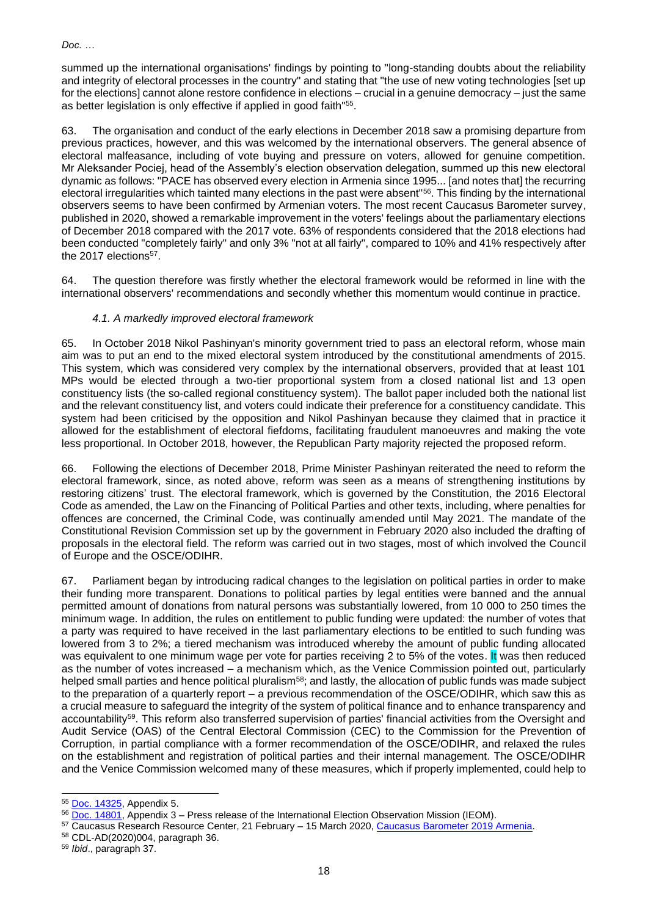summed up the international organisations' findings by pointing to "long-standing doubts about the reliability and integrity of electoral processes in the country" and stating that "the use of new voting technologies [set up for the elections] cannot alone restore confidence in elections – crucial in a genuine democracy – just the same as better legislation is only effective if applied in good faith"<sup>55</sup>.

63. The organisation and conduct of the early elections in December 2018 saw a promising departure from previous practices, however, and this was welcomed by the international observers. The general absence of electoral malfeasance, including of vote buying and pressure on voters, allowed for genuine competition. Mr Aleksander Pociej, head of the Assembly's election observation delegation, summed up this new electoral dynamic as follows: "PACE has observed every election in Armenia since 1995... [and notes that] the recurring electoral irregularities which tainted many elections in the past were absent"<sup>56</sup>. This finding by the international observers seems to have been confirmed by Armenian voters. The most recent Caucasus Barometer survey, published in 2020, showed a remarkable improvement in the voters' feelings about the parliamentary elections of December 2018 compared with the 2017 vote. 63% of respondents considered that the 2018 elections had been conducted "completely fairly" and only 3% "not at all fairly", compared to 10% and 41% respectively after the 2017 elections<sup>57</sup>.

64. The question therefore was firstly whether the electoral framework would be reformed in line with the international observers' recommendations and secondly whether this momentum would continue in practice.

# *4.1. A markedly improved electoral framework*

65. In October 2018 Nikol Pashinyan's minority government tried to pass an electoral reform, whose main aim was to put an end to the mixed electoral system introduced by the constitutional amendments of 2015. This system, which was considered very complex by the international observers, provided that at least 101 MPs would be elected through a two-tier proportional system from a closed national list and 13 open constituency lists (the so-called regional constituency system). The ballot paper included both the national list and the relevant constituency list, and voters could indicate their preference for a constituency candidate. This system had been criticised by the opposition and Nikol Pashinyan because they claimed that in practice it allowed for the establishment of electoral fiefdoms, facilitating fraudulent manoeuvres and making the vote less proportional. In October 2018, however, the Republican Party majority rejected the proposed reform.

66. Following the elections of December 2018, Prime Minister Pashinyan reiterated the need to reform the electoral framework, since, as noted above, reform was seen as a means of strengthening institutions by restoring citizens' trust. The electoral framework, which is governed by the Constitution, the 2016 Electoral Code as amended, the Law on the Financing of Political Parties and other texts, including, where penalties for offences are concerned, the Criminal Code, was continually amended until May 2021. The mandate of the Constitutional Revision Commission set up by the government in February 2020 also included the drafting of proposals in the electoral field. The reform was carried out in two stages, most of which involved the Council of Europe and the OSCE/ODIHR.

67. Parliament began by introducing radical changes to the legislation on political parties in order to make their funding more transparent. Donations to political parties by legal entities were banned and the annual permitted amount of donations from natural persons was substantially lowered, from 10 000 to 250 times the minimum wage. In addition, the rules on entitlement to public funding were updated: the number of votes that a party was required to have received in the last parliamentary elections to be entitled to such funding was lowered from 3 to 2%; a tiered mechanism was introduced whereby the amount of public funding allocated was equivalent to one minimum wage per vote for parties receiving 2 to 5% of the votes. It was then reduced as the number of votes increased – a mechanism which, as the Venice Commission pointed out, particularly helped small parties and hence political pluralism<sup>58</sup>; and lastly, the allocation of public funds was made subject to the preparation of a quarterly report – a previous recommendation of the OSCE/ODIHR, which saw this as a crucial measure to safeguard the integrity of the system of political finance and to enhance transparency and accountability<sup>59</sup>. This reform also transferred supervision of parties' financial activities from the Oversight and Audit Service (OAS) of the Central Electoral Commission (CEC) to the Commission for the Prevention of Corruption, in partial compliance with a former recommendation of the OSCE/ODIHR, and relaxed the rules on the establishment and registration of political parties and their internal management. The OSCE/ODIHR and the Venice Commission welcomed many of these measures, which if properly implemented, could help to

<sup>55</sup> [Doc.](https://pace.coe.int/fr/files/23748/html) [14325,](https://pace.coe.int/en/files/23748/html) Appendix 5.

<sup>56</sup> [Doc.](https://pace.coe.int/fr/files/25251/html) [14801,](https://pace.coe.int/en/files/25251/html) Appendix 3 – Press release of the International Election Observation Mission (IEOM).

<sup>57</sup> Caucasus Research Resource Center, 21 February - 15 March 2020, [Caucasus Barometer 2019 Armenia.](https://caucasusbarometer.org/en/cb2019am/codebook/)

<sup>58</sup> CDL-AD(2020)004, paragraph 36.

<sup>59</sup> *Ibid*., paragraph 37.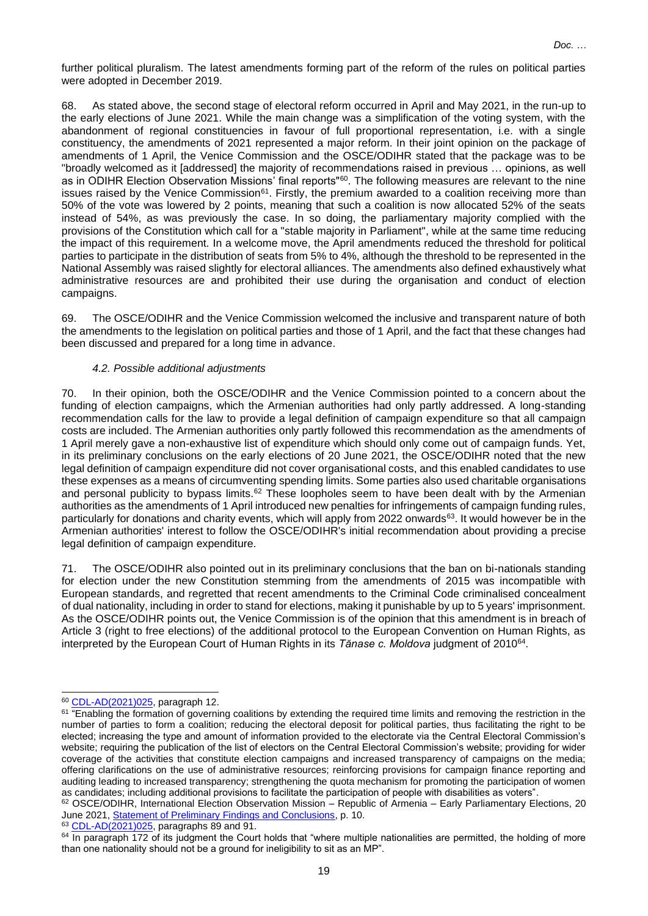further political pluralism. The latest amendments forming part of the reform of the rules on political parties were adopted in December 2019.

68. As stated above, the second stage of electoral reform occurred in April and May 2021, in the run-up to the early elections of June 2021. While the main change was a simplification of the voting system, with the abandonment of regional constituencies in favour of full proportional representation, i.e. with a single constituency, the amendments of 2021 represented a major reform. In their joint opinion on the package of amendments of 1 April, the Venice Commission and the OSCE/ODIHR stated that the package was to be "broadly welcomed as it [addressed] the majority of recommendations raised in previous … opinions, as well as in ODIHR Election Observation Missions' final reports"<sup>60</sup>. The following measures are relevant to the nine issues raised by the Venice Commission<sup>61</sup>. Firstly, the premium awarded to a coalition receiving more than 50% of the vote was lowered by 2 points, meaning that such a coalition is now allocated 52% of the seats instead of 54%, as was previously the case. In so doing, the parliamentary majority complied with the provisions of the Constitution which call for a "stable majority in Parliament", while at the same time reducing the impact of this requirement. In a welcome move, the April amendments reduced the threshold for political parties to participate in the distribution of seats from 5% to 4%, although the threshold to be represented in the National Assembly was raised slightly for electoral alliances. The amendments also defined exhaustively what administrative resources are and prohibited their use during the organisation and conduct of election campaigns.

69. The OSCE/ODIHR and the Venice Commission welcomed the inclusive and transparent nature of both the amendments to the legislation on political parties and those of 1 April, and the fact that these changes had been discussed and prepared for a long time in advance.

# *4.2. Possible additional adjustments*

70. In their opinion, both the OSCE/ODIHR and the Venice Commission pointed to a concern about the funding of election campaigns, which the Armenian authorities had only partly addressed. A long-standing recommendation calls for the law to provide a legal definition of campaign expenditure so that all campaign costs are included. The Armenian authorities only partly followed this recommendation as the amendments of 1 April merely gave a non-exhaustive list of expenditure which should only come out of campaign funds. Yet, in its preliminary conclusions on the early elections of 20 June 2021, the OSCE/ODIHR noted that the new legal definition of campaign expenditure did not cover organisational costs, and this enabled candidates to use these expenses as a means of circumventing spending limits. Some parties also used charitable organisations and personal publicity to bypass limits.<sup>62</sup> These loopholes seem to have been dealt with by the Armenian authorities as the amendments of 1 April introduced new penalties for infringements of campaign funding rules, particularly for donations and charity events, which will apply from 2022 onwards<sup>63</sup>. It would however be in the Armenian authorities' interest to follow the OSCE/ODIHR's initial recommendation about providing a precise legal definition of campaign expenditure.

71. The OSCE/ODIHR also pointed out in its preliminary conclusions that the ban on bi-nationals standing for election under the new Constitution stemming from the amendments of 2015 was incompatible with European standards, and regretted that recent amendments to the Criminal Code criminalised concealment of dual nationality, including in order to stand for elections, making it punishable by up to 5 years' imprisonment. As the OSCE/ODIHR points out, the Venice Commission is of the opinion that this amendment is in breach of Article 3 (right to free elections) of the additional protocol to the European Convention on Human Rights, as interpreted by the European Court of Human Rights in its *Tănase c. Moldova* judgment of 2010<sup>64</sup> .

<sup>63</sup> [CDL-AD\(2021\)025,](https://www.venice.coe.int/webforms/documents/default.aspx?pdffile=CDL-AD(2021)025-e) paragraphs 89 and 91.

<sup>60</sup> [CDL-AD\(2021\)025,](https://www.venice.coe.int/webforms/documents/default.aspx?pdffile=CDL-AD(2021)025-e) paragraph 12.

<sup>&</sup>lt;sup>61</sup> "Enabling the formation of governing coalitions by extending the required time limits and removing the restriction in the number of parties to form a coalition; reducing the electoral deposit for political parties, thus facilitating the right to be elected; increasing the type and amount of information provided to the electorate via the Central Electoral Commission's website; requiring the publication of the list of electors on the Central Electoral Commission's website; providing for wider coverage of the activities that constitute election campaigns and increased transparency of campaigns on the media; offering clarifications on the use of administrative resources; reinforcing provisions for campaign finance reporting and auditing leading to increased transparency; strengthening the quota mechanism for promoting the participation of women as candidates; including additional provisions to facilitate the participation of people with disabilities as voters".

<sup>62</sup> OSCE/ODIHR, International Election Observation Mission – Republic of Armenia – Early Parliamentary Elections, 20 June 2021[, Statement of Preliminary Findings and Conclusions,](https://www.osce.org/files/f/documents/1/3/490307_0.pdf) p. 10.

 $64$  In paragraph 172 of its judgment the Court holds that "where multiple nationalities are permitted, the holding of more than one nationality should not be a ground for ineligibility to sit as an MP".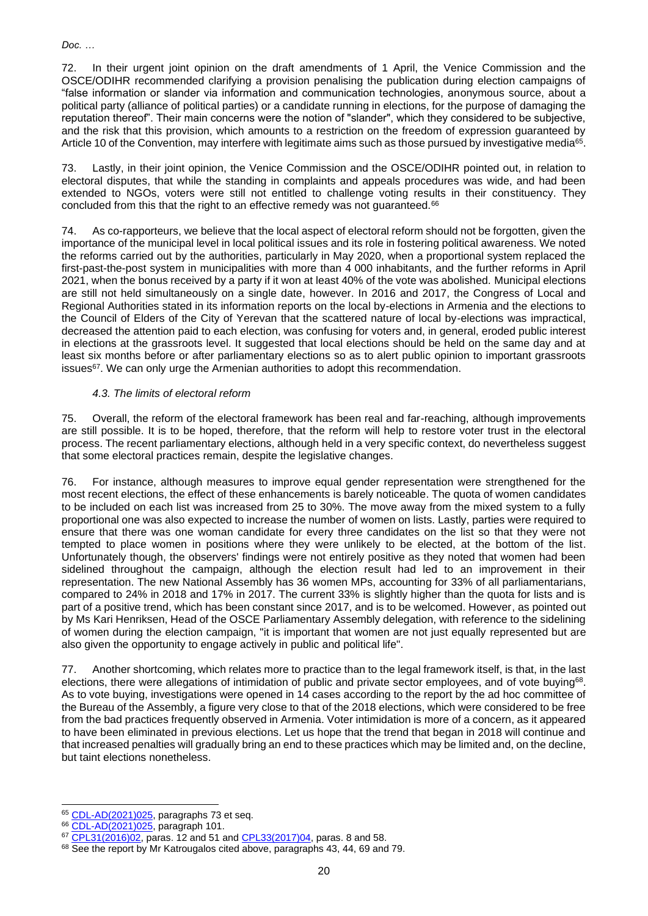72. In their urgent joint opinion on the draft amendments of 1 April, the Venice Commission and the OSCE/ODIHR recommended clarifying a provision penalising the publication during election campaigns of "false information or slander via information and communication technologies, anonymous source, about a political party (alliance of political parties) or a candidate running in elections, for the purpose of damaging the reputation thereof". Their main concerns were the notion of "slander", which they considered to be subjective, and the risk that this provision, which amounts to a restriction on the freedom of expression guaranteed by Article 10 of the Convention, may interfere with legitimate aims such as those pursued by investigative media<sup>65</sup>.

73. Lastly, in their joint opinion, the Venice Commission and the OSCE/ODIHR pointed out, in relation to electoral disputes, that while the standing in complaints and appeals procedures was wide, and had been extended to NGOs, voters were still not entitled to challenge voting results in their constituency. They concluded from this that the right to an effective remedy was not guaranteed.<sup>66</sup>

74. As co-rapporteurs, we believe that the local aspect of electoral reform should not be forgotten, given the importance of the municipal level in local political issues and its role in fostering political awareness. We noted the reforms carried out by the authorities, particularly in May 2020, when a proportional system replaced the first-past-the-post system in municipalities with more than 4 000 inhabitants, and the further reforms in April 2021, when the bonus received by a party if it won at least 40% of the vote was abolished. Municipal elections are still not held simultaneously on a single date, however. In 2016 and 2017, the Congress of Local and Regional Authorities stated in its information reports on the local by-elections in Armenia and the elections to the Council of Elders of the City of Yerevan that the scattered nature of local by-elections was impractical, decreased the attention paid to each election, was confusing for voters and, in general, eroded public interest in elections at the grassroots level. It suggested that local elections should be held on the same day and at least six months before or after parliamentary elections so as to alert public opinion to important grassroots issues<sup>67</sup>. We can only urge the Armenian authorities to adopt this recommendation.

# *4.3. The limits of electoral reform*

75. Overall, the reform of the electoral framework has been real and far-reaching, although improvements are still possible. It is to be hoped, therefore, that the reform will help to restore voter trust in the electoral process. The recent parliamentary elections, although held in a very specific context, do nevertheless suggest that some electoral practices remain, despite the legislative changes.

76. For instance, although measures to improve equal gender representation were strengthened for the most recent elections, the effect of these enhancements is barely noticeable. The quota of women candidates to be included on each list was increased from 25 to 30%. The move away from the mixed system to a fully proportional one was also expected to increase the number of women on lists. Lastly, parties were required to ensure that there was one woman candidate for every three candidates on the list so that they were not tempted to place women in positions where they were unlikely to be elected, at the bottom of the list. Unfortunately though, the observers' findings were not entirely positive as they noted that women had been sidelined throughout the campaign, although the election result had led to an improvement in their representation. The new National Assembly has 36 women MPs, accounting for 33% of all parliamentarians, compared to 24% in 2018 and 17% in 2017. The current 33% is slightly higher than the quota for lists and is part of a positive trend, which has been constant since 2017, and is to be welcomed. However, as pointed out by Ms Kari Henriksen, Head of the OSCE Parliamentary Assembly delegation, with reference to the sidelining of women during the election campaign, "it is important that women are not just equally represented but are also given the opportunity to engage actively in public and political life".

77. Another shortcoming, which relates more to practice than to the legal framework itself, is that, in the last elections, there were allegations of intimidation of public and private sector employees, and of vote buying<sup>68</sup>. As to vote buying, investigations were opened in 14 cases according to the report by the ad hoc committee of the Bureau of the Assembly, a figure very close to that of the 2018 elections, which were considered to be free from the bad practices frequently observed in Armenia. Voter intimidation is more of a concern, as it appeared to have been eliminated in previous elections. Let us hope that the trend that began in 2018 will continue and that increased penalties will gradually bring an end to these practices which may be limited and, on the decline, but taint elections nonetheless.

<sup>65</sup> [CDL-AD\(2021\)025,](https://www.venice.coe.int/webforms/documents/default.aspx?pdffile=CDL-AD(2021)025-e) paragraphs 73 et seq.

<sup>66</sup> [CDL-AD\(2021\)025,](https://www.venice.coe.int/webforms/documents/default.aspx?pdffile=CDL-AD(2021)025-e) paragraph 101.

<sup>67</sup> [CPL31\(2016\)02,](https://rm.coe.int/1680718fbc) paras. 12 and 51 and [CPL33\(2017\)04,](https://rm.coe.int/information-report-on-the-elections-to-the-council-of-elders-of-the-ci/1680750a5a) paras. 8 and 58.

<sup>68</sup> See the report by Mr Katrougalos cited above, paragraphs 43, 44, 69 and 79.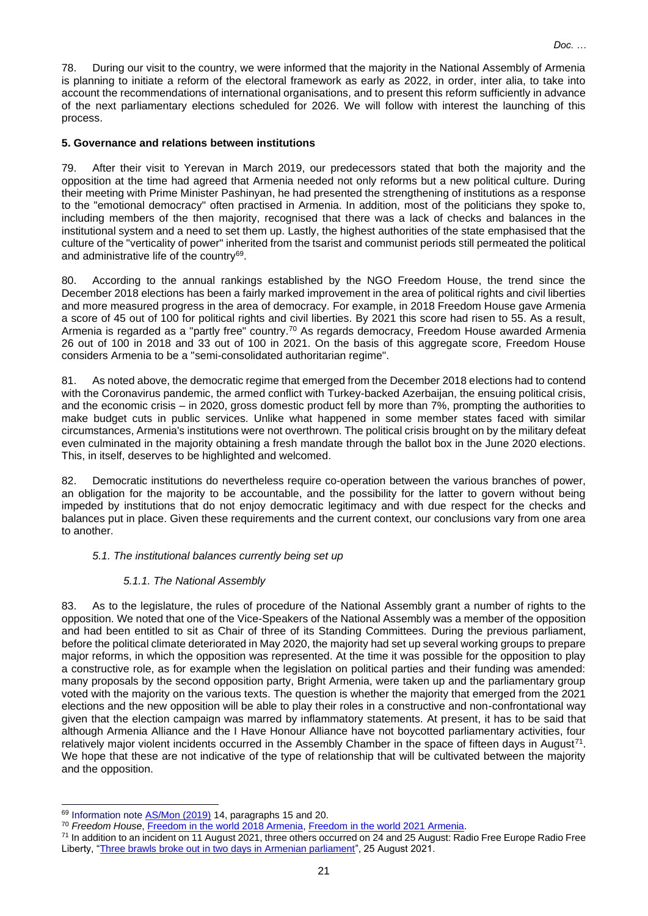78. During our visit to the country, we were informed that the majority in the National Assembly of Armenia is planning to initiate a reform of the electoral framework as early as 2022, in order, inter alia, to take into account the recommendations of international organisations, and to present this reform sufficiently in advance of the next parliamentary elections scheduled for 2026. We will follow with interest the launching of this process.

# **5. Governance and relations between institutions**

79. After their visit to Yerevan in March 2019, our predecessors stated that both the majority and the opposition at the time had agreed that Armenia needed not only reforms but a new political culture. During their meeting with Prime Minister Pashinyan, he had presented the strengthening of institutions as a response to the "emotional democracy" often practised in Armenia. In addition, most of the politicians they spoke to, including members of the then majority, recognised that there was a lack of checks and balances in the institutional system and a need to set them up. Lastly, the highest authorities of the state emphasised that the culture of the "verticality of power" inherited from the tsarist and communist periods still permeated the political and administrative life of the country<sup>69</sup>.

80. According to the annual rankings established by the NGO Freedom House, the trend since the December 2018 elections has been a fairly marked improvement in the area of political rights and civil liberties and more measured progress in the area of democracy. For example, in 2018 Freedom House gave Armenia a score of 45 out of 100 for political rights and civil liberties. By 2021 this score had risen to 55. As a result, Armenia is regarded as a "partly free" country.<sup>70</sup> As regards democracy, Freedom House awarded Armenia 26 out of 100 in 2018 and 33 out of 100 in 2021. On the basis of this aggregate score, Freedom House considers Armenia to be a "semi-consolidated authoritarian regime".

81. As noted above, the democratic regime that emerged from the December 2018 elections had to contend with the Coronavirus pandemic, the armed conflict with Turkey-backed Azerbaijan, the ensuing political crisis, and the economic crisis – in 2020, gross domestic product fell by more than 7%, prompting the authorities to make budget cuts in public services. Unlike what happened in some member states faced with similar circumstances, Armenia's institutions were not overthrown. The political crisis brought on by the military defeat even culminated in the majority obtaining a fresh mandate through the ballot box in the June 2020 elections. This, in itself, deserves to be highlighted and welcomed.

82. Democratic institutions do nevertheless require co-operation between the various branches of power, an obligation for the majority to be accountable, and the possibility for the latter to govern without being impeded by institutions that do not enjoy democratic legitimacy and with due respect for the checks and balances put in place. Given these requirements and the current context, our conclusions vary from one area to another.

# *5.1. The institutional balances currently being set up*

# *5.1.1. The National Assembly*

83. As to the legislature, the rules of procedure of the National Assembly grant a number of rights to the opposition. We noted that one of the Vice-Speakers of the National Assembly was a member of the opposition and had been entitled to sit as Chair of three of its Standing Committees. During the previous parliament, before the political climate deteriorated in May 2020, the majority had set up several working groups to prepare major reforms, in which the opposition was represented. At the time it was possible for the opposition to play a constructive role, as for example when the legislation on political parties and their funding was amended: many proposals by the second opposition party, Bright Armenia, were taken up and the parliamentary group voted with the majority on the various texts. The question is whether the majority that emerged from the 2021 elections and the new opposition will be able to play their roles in a constructive and non-confrontational way given that the election campaign was marred by inflammatory statements. At present, it has to be said that although Armenia Alliance and the I Have Honour Alliance have not boycotted parliamentary activities, four relatively major violent incidents occurred in the Assembly Chamber in the space of fifteen days in August<sup>71</sup>. We hope that these are not indicative of the type of relationship that will be cultivated between the majority and the opposition.

<sup>69</sup> Information note [AS/Mon \(2019\)](http://www.assembly.coe.int/LifeRay/MON/Pdf/DocsAndDecs/2019/AS-MON-2019-14-EN.pdf) 14, paragraphs 15 and 20.

<sup>70</sup> *Freedom House*, [Freedom in the world 2018 Armenia,](https://freedomhouse.org/country/armenia/freedom-world/2018) [Freedom in the world 2021 Armenia.](https://freedomhouse.org/country/armenia/freedom-world/2021)

<sup>&</sup>lt;sup>71</sup> In addition to an incident on 11 August 2021, three others occurred on 24 and 25 August: Radio Free Europe Radio Free Liberty, ["Three brawls broke out in two days in Armenian parliament"](https://www.rferl.org/a/armenia-parliament-brawls/31427836.html), 25 August 2021.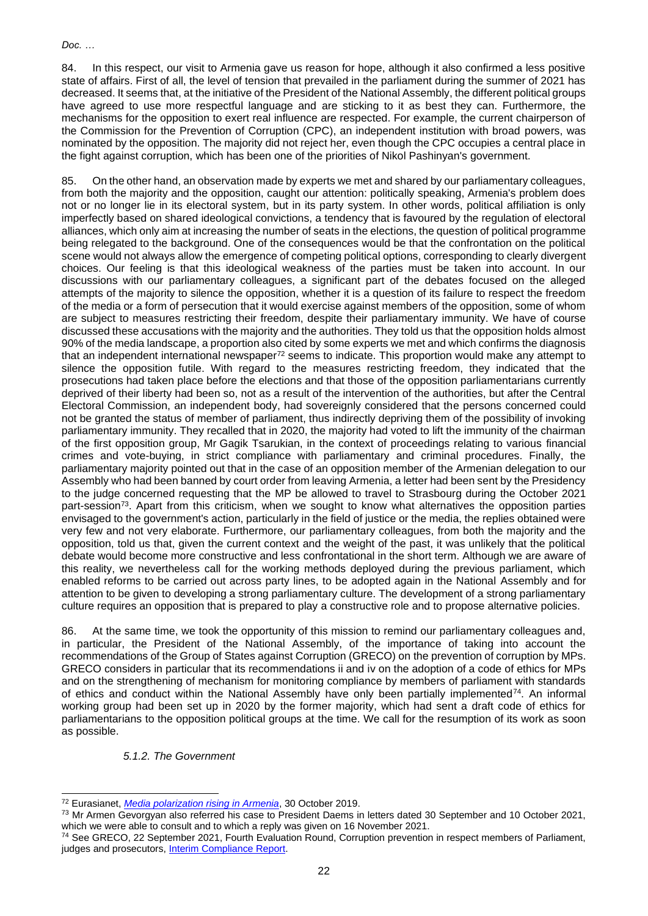84. In this respect, our visit to Armenia gave us reason for hope, although it also confirmed a less positive state of affairs. First of all, the level of tension that prevailed in the parliament during the summer of 2021 has decreased. It seems that, at the initiative of the President of the National Assembly, the different political groups have agreed to use more respectful language and are sticking to it as best they can. Furthermore, the mechanisms for the opposition to exert real influence are respected. For example, the current chairperson of the Commission for the Prevention of Corruption (CPC), an independent institution with broad powers, was nominated by the opposition. The majority did not reject her, even though the CPC occupies a central place in the fight against corruption, which has been one of the priorities of Nikol Pashinyan's government.

85. On the other hand, an observation made by experts we met and shared by our parliamentary colleagues, from both the majority and the opposition, caught our attention: politically speaking, Armenia's problem does not or no longer lie in its electoral system, but in its party system. In other words, political affiliation is only imperfectly based on shared ideological convictions, a tendency that is favoured by the regulation of electoral alliances, which only aim at increasing the number of seats in the elections, the question of political programme being relegated to the background. One of the consequences would be that the confrontation on the political scene would not always allow the emergence of competing political options, corresponding to clearly divergent choices. Our feeling is that this ideological weakness of the parties must be taken into account. In our discussions with our parliamentary colleagues, a significant part of the debates focused on the alleged attempts of the majority to silence the opposition, whether it is a question of its failure to respect the freedom of the media or a form of persecution that it would exercise against members of the opposition, some of whom are subject to measures restricting their freedom, despite their parliamentary immunity. We have of course discussed these accusations with the majority and the authorities. They told us that the opposition holds almost 90% of the media landscape, a proportion also cited by some experts we met and which confirms the diagnosis that an independent international newspaper<sup>72</sup> seems to indicate. This proportion would make any attempt to silence the opposition futile. With regard to the measures restricting freedom, they indicated that the prosecutions had taken place before the elections and that those of the opposition parliamentarians currently deprived of their liberty had been so, not as a result of the intervention of the authorities, but after the Central Electoral Commission, an independent body, had sovereignly considered that the persons concerned could not be granted the status of member of parliament, thus indirectly depriving them of the possibility of invoking parliamentary immunity. They recalled that in 2020, the majority had voted to lift the immunity of the chairman of the first opposition group, Mr Gagik Tsarukian, in the context of proceedings relating to various financial crimes and vote-buying, in strict compliance with parliamentary and criminal procedures. Finally, the parliamentary majority pointed out that in the case of an opposition member of the Armenian delegation to our Assembly who had been banned by court order from leaving Armenia, a letter had been sent by the Presidency to the judge concerned requesting that the MP be allowed to travel to Strasbourg during the October 2021 part-session<sup>73</sup>. Apart from this criticism, when we sought to know what alternatives the opposition parties envisaged to the government's action, particularly in the field of justice or the media, the replies obtained were very few and not very elaborate. Furthermore, our parliamentary colleagues, from both the majority and the opposition, told us that, given the current context and the weight of the past, it was unlikely that the political debate would become more constructive and less confrontational in the short term. Although we are aware of this reality, we nevertheless call for the working methods deployed during the previous parliament, which enabled reforms to be carried out across party lines, to be adopted again in the National Assembly and for attention to be given to developing a strong parliamentary culture. The development of a strong parliamentary culture requires an opposition that is prepared to play a constructive role and to propose alternative policies.

86. At the same time, we took the opportunity of this mission to remind our parliamentary colleagues and, in particular, the President of the National Assembly, of the importance of taking into account the recommendations of the Group of States against Corruption (GRECO) on the prevention of corruption by MPs. GRECO considers in particular that its recommendations ii and iv on the adoption of a code of ethics for MPs and on the strengthening of mechanism for monitoring compliance by members of parliament with standards of ethics and conduct within the National Assembly have only been partially implemented $74$ . An informal working group had been set up in 2020 by the former majority, which had sent a draft code of ethics for parliamentarians to the opposition political groups at the time. We call for the resumption of its work as soon as possible.

# *5.1.2. The Government*

<sup>72</sup> Eurasianet, *[Media polarization rising in Armenia](https://eurasianet.org/media-polarization-rising-in-armenia)*, 30 October 2019.

<sup>73</sup> Mr Armen Gevorgyan also referred his case to President Daems in letters dated 30 September and 10 October 2021, which we were able to consult and to which a reply was given on 16 November 2021.

<sup>74</sup> See GRECO, 22 September 2021, Fourth Evaluation Round, Corruption prevention in respect members of Parliament, judges and prosecutors, **Interim Compliance Report.**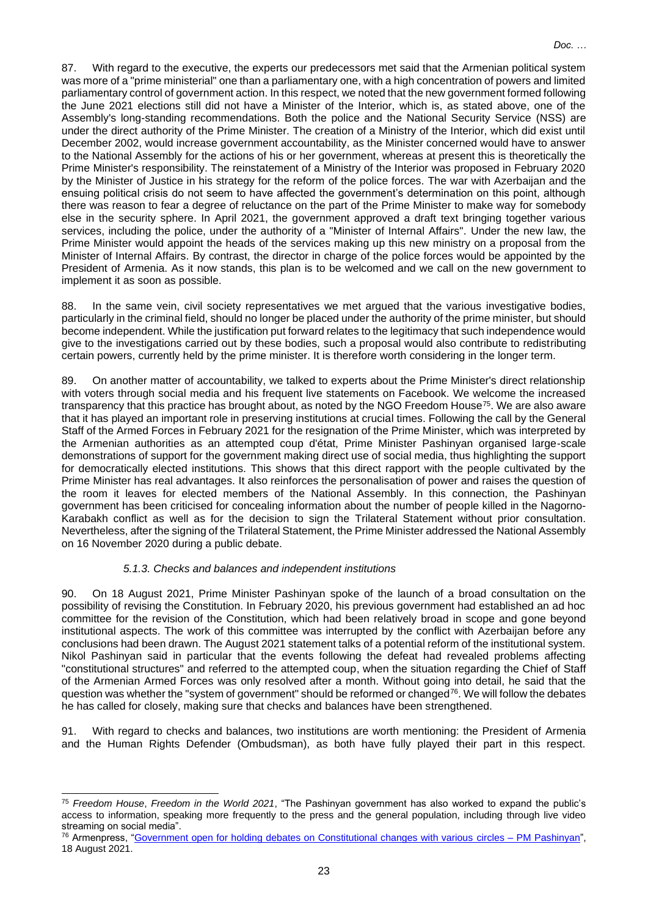87. With regard to the executive, the experts our predecessors met said that the Armenian political system was more of a "prime ministerial" one than a parliamentary one, with a high concentration of powers and limited parliamentary control of government action. In this respect, we noted that the new government formed following the June 2021 elections still did not have a Minister of the Interior, which is, as stated above, one of the Assembly's long-standing recommendations. Both the police and the National Security Service (NSS) are under the direct authority of the Prime Minister. The creation of a Ministry of the Interior, which did exist until December 2002, would increase government accountability, as the Minister concerned would have to answer to the National Assembly for the actions of his or her government, whereas at present this is theoretically the Prime Minister's responsibility. The reinstatement of a Ministry of the Interior was proposed in February 2020 by the Minister of Justice in his strategy for the reform of the police forces. The war with Azerbaijan and the ensuing political crisis do not seem to have affected the government's determination on this point, although there was reason to fear a degree of reluctance on the part of the Prime Minister to make way for somebody else in the security sphere. In April 2021, the government approved a draft text bringing together various services, including the police, under the authority of a "Minister of Internal Affairs". Under the new law, the Prime Minister would appoint the heads of the services making up this new ministry on a proposal from the Minister of Internal Affairs. By contrast, the director in charge of the police forces would be appointed by the President of Armenia. As it now stands, this plan is to be welcomed and we call on the new government to implement it as soon as possible.

88. In the same vein, civil society representatives we met argued that the various investigative bodies, particularly in the criminal field, should no longer be placed under the authority of the prime minister, but should become independent. While the justification put forward relates to the legitimacy that such independence would give to the investigations carried out by these bodies, such a proposal would also contribute to redistributing certain powers, currently held by the prime minister. It is therefore worth considering in the longer term.

89. On another matter of accountability, we talked to experts about the Prime Minister's direct relationship with voters through social media and his frequent live statements on Facebook. We welcome the increased transparency that this practice has brought about, as noted by the NGO Freedom House<sup>75</sup>. We are also aware that it has played an important role in preserving institutions at crucial times. Following the call by the General Staff of the Armed Forces in February 2021 for the resignation of the Prime Minister, which was interpreted by the Armenian authorities as an attempted coup d'état, Prime Minister Pashinyan organised large-scale demonstrations of support for the government making direct use of social media, thus highlighting the support for democratically elected institutions. This shows that this direct rapport with the people cultivated by the Prime Minister has real advantages. It also reinforces the personalisation of power and raises the question of the room it leaves for elected members of the National Assembly. In this connection, the Pashinyan government has been criticised for concealing information about the number of people killed in the Nagorno-Karabakh conflict as well as for the decision to sign the Trilateral Statement without prior consultation. Nevertheless, after the signing of the Trilateral Statement, the Prime Minister addressed the National Assembly on 16 November 2020 during a public debate.

# *5.1.3. Checks and balances and independent institutions*

90. On 18 August 2021, Prime Minister Pashinyan spoke of the launch of a broad consultation on the possibility of revising the Constitution. In February 2020, his previous government had established an ad hoc committee for the revision of the Constitution, which had been relatively broad in scope and gone beyond institutional aspects. The work of this committee was interrupted by the conflict with Azerbaijan before any conclusions had been drawn. The August 2021 statement talks of a potential reform of the institutional system. Nikol Pashinyan said in particular that the events following the defeat had revealed problems affecting "constitutional structures" and referred to the attempted coup, when the situation regarding the Chief of Staff of the Armenian Armed Forces was only resolved after a month. Without going into detail, he said that the question was whether the "system of government" should be reformed or changed<sup>76</sup>. We will follow the debates he has called for closely, making sure that checks and balances have been strengthened.

91. With regard to checks and balances, two institutions are worth mentioning: the President of Armenia and the Human Rights Defender (Ombudsman), as both have fully played their part in this respect.

<sup>75</sup> *Freedom House*, *Freedom in the World 2021*, "The Pashinyan government has also worked to expand the public's access to information, speaking more frequently to the press and the general population, including through live video streaming on social media".

<sup>&</sup>lt;sup>76</sup> Armenpress, ["Government open for holding debates on Constitutional changes with various](https://armenpress.am/eng/news/1061113.html) circles – PM Pashinyan", 18 August 2021.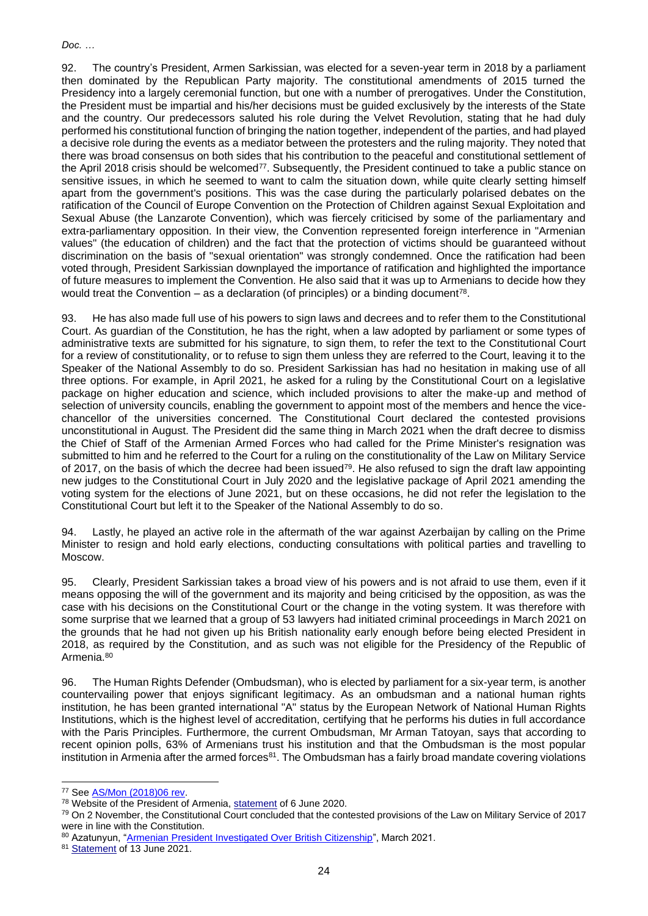92. The country's President, Armen Sarkissian, was elected for a seven-year term in 2018 by a parliament then dominated by the Republican Party majority. The constitutional amendments of 2015 turned the Presidency into a largely ceremonial function, but one with a number of prerogatives. Under the Constitution, the President must be impartial and his/her decisions must be guided exclusively by the interests of the State and the country. Our predecessors saluted his role during the Velvet Revolution, stating that he had duly performed his constitutional function of bringing the nation together, independent of the parties, and had played a decisive role during the events as a mediator between the protesters and the ruling majority. They noted that there was broad consensus on both sides that his contribution to the peaceful and constitutional settlement of the April 2018 crisis should be welcomed<sup>77</sup>. Subsequently, the President continued to take a public stance on sensitive issues, in which he seemed to want to calm the situation down, while quite clearly setting himself apart from the government's positions. This was the case during the particularly polarised debates on the ratification of the Council of Europe Convention on the Protection of Children against Sexual Exploitation and Sexual Abuse (the Lanzarote Convention), which was fiercely criticised by some of the parliamentary and extra-parliamentary opposition. In their view, the Convention represented foreign interference in "Armenian values" (the education of children) and the fact that the protection of victims should be guaranteed without discrimination on the basis of "sexual orientation" was strongly condemned. Once the ratification had been voted through, President Sarkissian downplayed the importance of ratification and highlighted the importance of future measures to implement the Convention. He also said that it was up to Armenians to decide how they would treat the Convention – as a declaration (of principles) or a binding document<sup>78</sup>.

93. He has also made full use of his powers to sign laws and decrees and to refer them to the Constitutional Court. As guardian of the Constitution, he has the right, when a law adopted by parliament or some types of administrative texts are submitted for his signature, to sign them, to refer the text to the Constitutional Court for a review of constitutionality, or to refuse to sign them unless they are referred to the Court, leaving it to the Speaker of the National Assembly to do so. President Sarkissian has had no hesitation in making use of all three options. For example, in April 2021, he asked for a ruling by the Constitutional Court on a legislative package on higher education and science, which included provisions to alter the make-up and method of selection of university councils, enabling the government to appoint most of the members and hence the vicechancellor of the universities concerned. The Constitutional Court declared the contested provisions unconstitutional in August. The President did the same thing in March 2021 when the draft decree to dismiss the Chief of Staff of the Armenian Armed Forces who had called for the Prime Minister's resignation was submitted to him and he referred to the Court for a ruling on the constitutionality of the Law on Military Service of 2017, on the basis of which the decree had been issued<sup>79</sup>. He also refused to sign the draft law appointing new judges to the Constitutional Court in July 2020 and the legislative package of April 2021 amending the voting system for the elections of June 2021, but on these occasions, he did not refer the legislation to the Constitutional Court but left it to the Speaker of the National Assembly to do so.

94. Lastly, he played an active role in the aftermath of the war against Azerbaijan by calling on the Prime Minister to resign and hold early elections, conducting consultations with political parties and travelling to Moscow.

95. Clearly, President Sarkissian takes a broad view of his powers and is not afraid to use them, even if it means opposing the will of the government and its majority and being criticised by the opposition, as was the case with his decisions on the Constitutional Court or the change in the voting system. It was therefore with some surprise that we learned that a group of 53 lawyers had initiated criminal proceedings in March 2021 on the grounds that he had not given up his British nationality early enough before being elected President in 2018, as required by the Constitution, and as such was not eligible for the Presidency of the Republic of Armenia.<sup>80</sup>

96. The Human Rights Defender (Ombudsman), who is elected by parliament for a six-year term, is another countervailing power that enjoys significant legitimacy. As an ombudsman and a national human rights institution, he has been granted international "A" status by the European Network of National Human Rights Institutions, which is the highest level of accreditation, certifying that he performs his duties in full accordance with the Paris Principles. Furthermore, the current Ombudsman, Mr Arman Tatoyan, says that according to recent opinion polls, 63% of Armenians trust his institution and that the Ombudsman is the most popular institution in Armenia after the armed forces<sup>81</sup>. The Ombudsman has a fairly broad mandate covering violations

<sup>77</sup> See [AS/Mon \(2018\)06 rev.](http://www.assembly.coe.int/LifeRay/MON/Pdf/DocsAndDecs/2018/AS-MON-2018-09-EN.pdf)

<sup>78</sup> Website of the President of Armenia, [statement](https://www.president.am/en/press-release/item/2020/06/12/President-Armen-Sarkissian-had-a-meeting/) of 6 June 2020.

<sup>&</sup>lt;sup>79</sup> On 2 November, the Constitutional Court concluded that the contested provisions of the Law on Military Service of 2017 were in line with the Constitution.

<sup>80</sup> Azatunyun, ["Armenian President Investigated Over British Citizenship"](https://www.azatutyun.am/a/31236111.html), March 2021.

<sup>81</sup> [Statement](https://www.ombuds.am/en_us/site/ViewNews/1744) of 13 June 2021.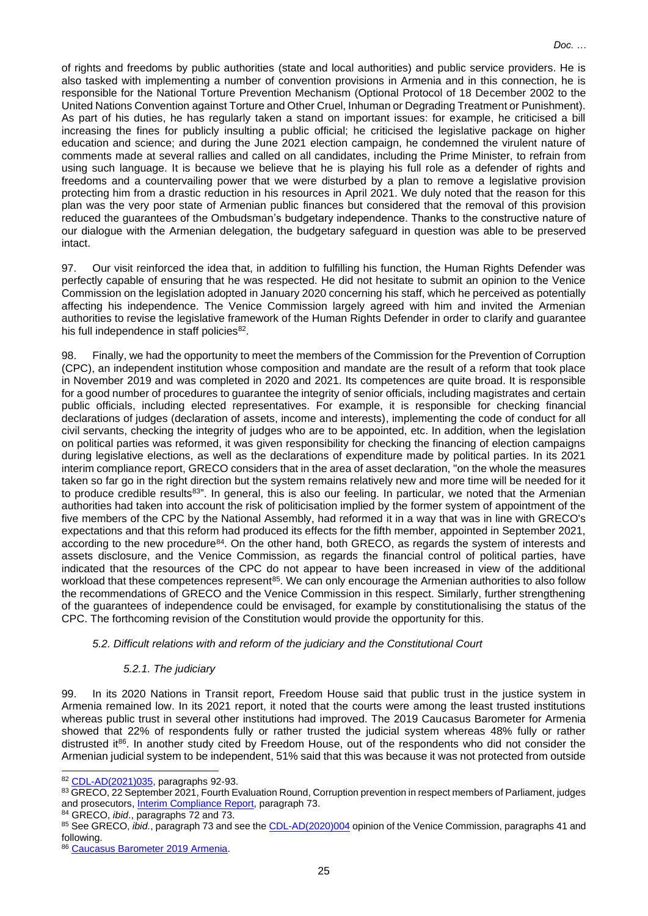of rights and freedoms by public authorities (state and local authorities) and public service providers. He is also tasked with implementing a number of convention provisions in Armenia and in this connection, he is responsible for the National Torture Prevention Mechanism (Optional Protocol of 18 December 2002 to the United Nations Convention against Torture and Other Cruel, Inhuman or Degrading Treatment or Punishment). As part of his duties, he has regularly taken a stand on important issues: for example, he criticised a bill increasing the fines for publicly insulting a public official; he criticised the legislative package on higher education and science; and during the June 2021 election campaign, he condemned the virulent nature of comments made at several rallies and called on all candidates, including the Prime Minister, to refrain from using such language. It is because we believe that he is playing his full role as a defender of rights and freedoms and a countervailing power that we were disturbed by a plan to remove a legislative provision protecting him from a drastic reduction in his resources in April 2021. We duly noted that the reason for this plan was the very poor state of Armenian public finances but considered that the removal of this provision reduced the guarantees of the Ombudsman's budgetary independence. Thanks to the constructive nature of our dialogue with the Armenian delegation, the budgetary safeguard in question was able to be preserved intact.

97. Our visit reinforced the idea that, in addition to fulfilling his function, the Human Rights Defender was perfectly capable of ensuring that he was respected. He did not hesitate to submit an opinion to the Venice Commission on the legislation adopted in January 2020 concerning his staff, which he perceived as potentially affecting his independence. The Venice Commission largely agreed with him and invited the Armenian authorities to revise the legislative framework of the Human Rights Defender in order to clarify and guarantee his full independence in staff policies<sup>82</sup>.

98. Finally, we had the opportunity to meet the members of the Commission for the Prevention of Corruption (CPC), an independent institution whose composition and mandate are the result of a reform that took place in November 2019 and was completed in 2020 and 2021. Its competences are quite broad. It is responsible for a good number of procedures to guarantee the integrity of senior officials, including magistrates and certain public officials, including elected representatives. For example, it is responsible for checking financial declarations of judges (declaration of assets, income and interests), implementing the code of conduct for all civil servants, checking the integrity of judges who are to be appointed, etc. In addition, when the legislation on political parties was reformed, it was given responsibility for checking the financing of election campaigns during legislative elections, as well as the declarations of expenditure made by political parties. In its 2021 interim compliance report, GRECO considers that in the area of asset declaration, "on the whole the measures taken so far go in the right direction but the system remains relatively new and more time will be needed for it to produce credible results<sup>83"</sup>. In general, this is also our feeling. In particular, we noted that the Armenian authorities had taken into account the risk of politicisation implied by the former system of appointment of the five members of the CPC by the National Assembly, had reformed it in a way that was in line with GRECO's expectations and that this reform had produced its effects for the fifth member, appointed in September 2021, according to the new procedure<sup>84</sup>. On the other hand, both GRECO, as regards the system of interests and assets disclosure, and the Venice Commission, as regards the financial control of political parties, have indicated that the resources of the CPC do not appear to have been increased in view of the additional workload that these competences represent<sup>85</sup>. We can only encourage the Armenian authorities to also follow the recommendations of GRECO and the Venice Commission in this respect. Similarly, further strengthening of the guarantees of independence could be envisaged, for example by constitutionalising the status of the CPC. The forthcoming revision of the Constitution would provide the opportunity for this.

# *5.2. Difficult relations with and reform of the judiciary and the Constitutional Court*

# *5.2.1. The judiciary*

99. In its 2020 Nations in Transit report, Freedom House said that public trust in the justice system in Armenia remained low. In its 2021 report, it noted that the courts were among the least trusted institutions whereas public trust in several other institutions had improved. The 2019 Caucasus Barometer for Armenia showed that 22% of respondents fully or rather trusted the judicial system whereas 48% fully or rather distrusted it<sup>86</sup>. In another study cited by Freedom House, out of the respondents who did not consider the Armenian judicial system to be independent, 51% said that this was because it was not protected from outside

<sup>84</sup> GRECO, *ibid*., paragraphs 72 and 73.

<sup>82</sup> [CDL-AD\(2021\)035,](https://www.venice.coe.int/webforms/documents/?pdf=CDL-AD(2021)035-e) paragraphs 92-93.

<sup>83</sup> GRECO, 22 September 2021, Fourth Evaluation Round, Corruption prevention in respect members of Parliament, judges and prosecutors, Interim [Compliance Report,](https://rm.coe.int/fourth-evaluation-round-corruption-prevention-in-respect-of-members-of/1680a3fcad) paragraph 73.

<sup>85</sup> See GRECO, *ibid.*, paragraph 73 and see the [CDL-AD\(2020\)004](https://www.venice.coe.int/webforms/documents/?pdf=CDL-AD(2020)004-arm) opinion of the Venice Commission, paragraphs 41 and following.

<sup>86</sup> [Caucasus Barometer 2019 Armenia.](https://caucasusbarometer.org/en/cb2019am/TRUCRTS/)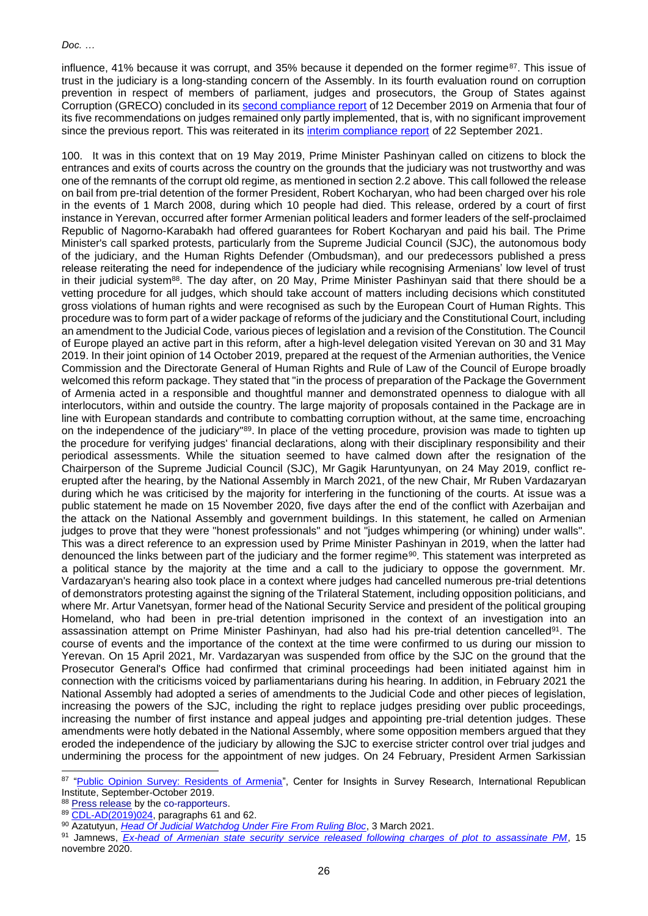influence, 41% because it was corrupt, and 35% because it depended on the former regime<sup>87</sup>. This issue of trust in the judiciary is a long-standing concern of the Assembly. In its fourth evaluation round on corruption prevention in respect of members of parliament, judges and prosecutors, the Group of States against Corruption (GRECO) concluded in its [second compliance report](https://rm.coe.int/fourth-evaluation-round-corruption-prevention-in-respect-of-members-of/1680993e83) of 12 December 2019 on Armenia that four of its five recommendations on judges remained only partly implemented, that is, with no significant improvement since the previous report. This was reiterated in its [interim compliance report](https://rm.coe.int/fourth-evaluation-round-corruption-prevention-in-respect-of-members-of/1680a3fcad) of 22 September 2021.

100. It was in this context that on 19 May 2019, Prime Minister Pashinyan called on citizens to block the entrances and exits of courts across the country on the grounds that the judiciary was not trustworthy and was one of the remnants of the corrupt old regime, as mentioned in section 2.2 above. This call followed the release on bail from pre-trial detention of the former President, Robert Kocharyan, who had been charged over his role in the events of 1 March 2008, during which 10 people had died. This release, ordered by a court of first instance in Yerevan, occurred after former Armenian political leaders and former leaders of the self-proclaimed Republic of Nagorno-Karabakh had offered guarantees for Robert Kocharyan and paid his bail. The Prime Minister's call sparked protests, particularly from the Supreme Judicial Council (SJC), the autonomous body of the judiciary, and the Human Rights Defender (Ombudsman), and our predecessors published a press release reiterating the need for independence of the judiciary while recognising Armenians' low level of trust in their judicial system<sup>88</sup>. The day after, on 20 May, Prime Minister Pashinyan said that there should be a vetting procedure for all judges, which should take account of matters including decisions which constituted gross violations of human rights and were recognised as such by the European Court of Human Rights. This procedure was to form part of a wider package of reforms of the judiciary and the Constitutional Court, including an amendment to the Judicial Code, various pieces of legislation and a revision of the Constitution. The Council of Europe played an active part in this reform, after a high-level delegation visited Yerevan on 30 and 31 May 2019. In their joint opinion of 14 October 2019, prepared at the request of the Armenian authorities, the Venice Commission and the Directorate General of Human Rights and Rule of Law of the Council of Europe broadly welcomed this reform package. They stated that "in the process of preparation of the Package the Government of Armenia acted in a responsible and thoughtful manner and demonstrated openness to dialogue with all interlocutors, within and outside the country. The large majority of proposals contained in the Package are in line with European standards and contribute to combatting corruption without, at the same time, encroaching on the independence of the judiciary"<sup>89</sup>. In place of the vetting procedure, provision was made to tighten up the procedure for verifying judges' financial declarations, along with their disciplinary responsibility and their periodical assessments. While the situation seemed to have calmed down after the resignation of the Chairperson of the Supreme Judicial Council (SJC), Mr Gagik Haruntyunyan, on 24 May 2019, conflict reerupted after the hearing, by the National Assembly in March 2021, of the new Chair, Mr Ruben Vardazaryan during which he was criticised by the majority for interfering in the functioning of the courts. At issue was a public statement he made on 15 November 2020, five days after the end of the conflict with Azerbaijan and the attack on the National Assembly and government buildings. In this statement, he called on Armenian judges to prove that they were "honest professionals" and not "judges whimpering (or whining) under walls". This was a direct reference to an expression used by Prime Minister Pashinyan in 2019, when the latter had denounced the links between part of the judiciary and the former regime<sup>90</sup>. This statement was interpreted as a political stance by the majority at the time and a call to the judiciary to oppose the government. Mr. Vardazaryan's hearing also took place in a context where judges had cancelled numerous pre-trial detentions of demonstrators protesting against the signing of the Trilateral Statement, including opposition politicians, and where Mr. Artur Vanetsyan, former head of the National Security Service and president of the political grouping Homeland, who had been in pre-trial detention imprisoned in the context of an investigation into an assassination attempt on Prime Minister Pashinyan, had also had his pre-trial detention cancelled<sup>91</sup>. The course of events and the importance of the context at the time were confirmed to us during our mission to Yerevan. On 15 April 2021, Mr. Vardazaryan was suspended from office by the SJC on the ground that the Prosecutor General's Office had confirmed that criminal proceedings had been initiated against him in connection with the criticisms voiced by parliamentarians during his hearing. In addition, in February 2021 the National Assembly had adopted a series of amendments to the Judicial Code and other pieces of legislation, increasing the powers of the SJC, including the right to replace judges presiding over public proceedings, increasing the number of first instance and appeal judges and appointing pre-trial detention judges. These amendments were hotly debated in the National Assembly, where some opposition members argued that they eroded the independence of the judiciary by allowing the SJC to exercise stricter control over trial judges and undermining the process for the appointment of new judges. On 24 February, President Armen Sarkissian

<sup>87</sup> ["Public Opinion Survey: Residents of Armenia"](https://www.iri.org/sites/default/files/wysiwyg/iri_poll_armenia_september-october_2019.pdf), Center for Insights in Survey Research, International Republican Institute, September-October 2019.

<sup>88</sup> [Press release](https://pace.coe.int/en/news/7488) by the co-rapporteurs.

<sup>89</sup> [CDL-AD\(2019\)024,](https://www.venice.coe.int/webforms/documents/?pdf=CDL(2019)030-e) paragraphs 61 and 62.

<sup>90</sup> Azatutyun, *[Head Of Judicial Watchdog Under Fire From Ruling Bloc](https://www.azatutyun.am/a/31131452.html)*, 3 March 2021.

<sup>91</sup> Jamnews, *[Ex-head of Armenian state security service released following charges of plot to assassinate PM](file:///C:/Users/mochel_f/ND%20Office%20Echo/DE-DZJ7WE97/Ex-head%20of%20Armenian%20state%20security%20service%20released%20following%20charges%20of%20plot%20to%20assassinate%20PM)*, 15 novembre 2020.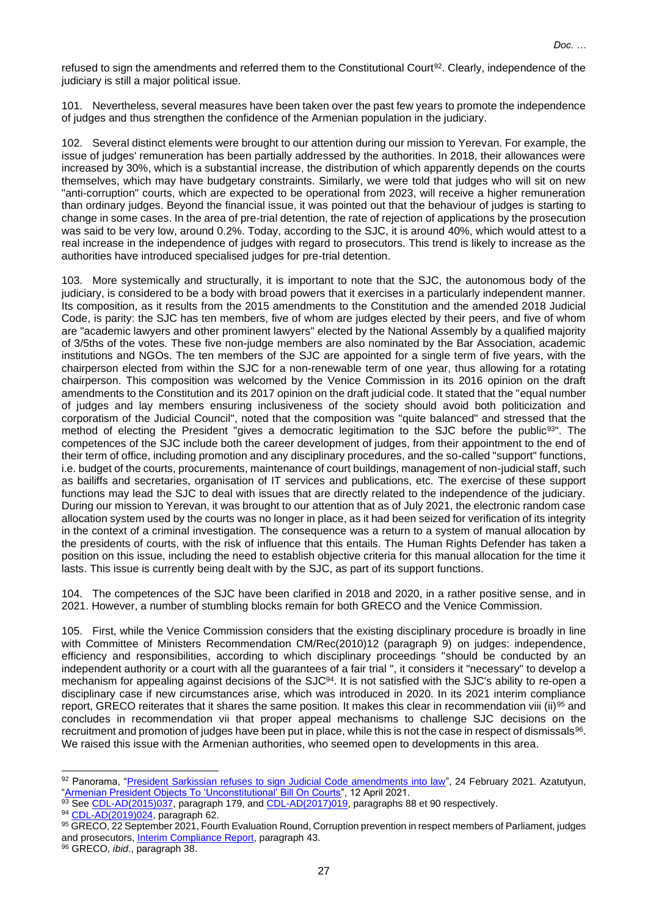refused to sign the amendments and referred them to the Constitutional Court<sup>92</sup>. Clearly, independence of the judiciary is still a major political issue.

101. Nevertheless, several measures have been taken over the past few years to promote the independence of judges and thus strengthen the confidence of the Armenian population in the judiciary.

102. Several distinct elements were brought to our attention during our mission to Yerevan. For example, the issue of judges' remuneration has been partially addressed by the authorities. In 2018, their allowances were increased by 30%, which is a substantial increase, the distribution of which apparently depends on the courts themselves, which may have budgetary constraints. Similarly, we were told that judges who will sit on new "anti-corruption" courts, which are expected to be operational from 2023, will receive a higher remuneration than ordinary judges. Beyond the financial issue, it was pointed out that the behaviour of judges is starting to change in some cases. In the area of pre-trial detention, the rate of rejection of applications by the prosecution was said to be very low, around 0.2%. Today, according to the SJC, it is around 40%, which would attest to a real increase in the independence of judges with regard to prosecutors. This trend is likely to increase as the authorities have introduced specialised judges for pre-trial detention.

103. More systemically and structurally, it is important to note that the SJC, the autonomous body of the judiciary, is considered to be a body with broad powers that it exercises in a particularly independent manner. Its composition, as it results from the 2015 amendments to the Constitution and the amended 2018 Judicial Code, is parity: the SJC has ten members, five of whom are judges elected by their peers, and five of whom are "academic lawyers and other prominent lawyers" elected by the National Assembly by a qualified majority of 3/5ths of the votes. These five non-judge members are also nominated by the Bar Association, academic institutions and NGOs. The ten members of the SJC are appointed for a single term of five years, with the chairperson elected from within the SJC for a non-renewable term of one year, thus allowing for a rotating chairperson. This composition was welcomed by the Venice Commission in its 2016 opinion on the draft amendments to the Constitution and its 2017 opinion on the draft judicial code. It stated that the "equal number of judges and lay members ensuring inclusiveness of the society should avoid both politicization and corporatism of the Judicial Council", noted that the composition was "quite balanced" and stressed that the method of electing the President "gives a democratic legitimation to the SJC before the public<sup>93</sup>". The competences of the SJC include both the career development of judges, from their appointment to the end of their term of office, including promotion and any disciplinary procedures, and the so-called "support" functions, i.e. budget of the courts, procurements, maintenance of court buildings, management of non-judicial staff, such as bailiffs and secretaries, organisation of IT services and publications, etc. The exercise of these support functions may lead the SJC to deal with issues that are directly related to the independence of the judiciary. During our mission to Yerevan, it was brought to our attention that as of July 2021, the electronic random case allocation system used by the courts was no longer in place, as it had been seized for verification of its integrity in the context of a criminal investigation. The consequence was a return to a system of manual allocation by the presidents of courts, with the risk of influence that this entails. The Human Rights Defender has taken a position on this issue, including the need to establish objective criteria for this manual allocation for the time it lasts. This issue is currently being dealt with by the SJC, as part of its support functions.

104. The competences of the SJC have been clarified in 2018 and 2020, in a rather positive sense, and in 2021. However, a number of stumbling blocks remain for both GRECO and the Venice Commission.

105. First, while the Venice Commission considers that the existing disciplinary procedure is broadly in line with Committee of Ministers Recommendation CM/Rec(2010)12 (paragraph 9) on judges: independence, efficiency and responsibilities, according to which disciplinary proceedings "should be conducted by an independent authority or a court with all the guarantees of a fair trial ", it considers it "necessary" to develop a mechanism for appealing against decisions of the SJC<sup>94</sup>. It is not satisfied with the SJC's ability to re-open a disciplinary case if new circumstances arise, which was introduced in 2020. In its 2021 interim compliance report, GRECO reiterates that it shares the same position. It makes this clear in recommendation viii (ii)<sup>95</sup> and concludes in recommendation vii that proper appeal mechanisms to challenge SJC decisions on the recruitment and promotion of judges have been put in place, while this is not the case in respect of dismissals $96$ . We raised this issue with the Armenian authorities, who seemed open to developments in this area.

<sup>92</sup> Panorama, ["President Sarkissian refuses to sign Judicial Code amendments into law"](https://www.panorama.am/en/news/2021/02/24/President-Sarkissian-Judicial-Code/2457987), 24 February 2021. Azatutyun, ["Armenian President Objects To 'Unconstitutional' Bill On Courts"](https://www.azatutyun.am/a/31199835.html), 12 April 2021.

<sup>93</sup> See [CDL-AD\(2015\)037,](https://www.venice.coe.int/webforms/documents/?pdf=CDL-AD(2015)037-e) paragraph 179, and [CDL-AD\(2017\)019,](https://www.venice.coe.int/webforms/documents/?pdf=CDL-AD(2017)019-e) paragraphs 88 et 90 respectively.

<sup>94</sup> [CDL-AD\(2019\)024,](https://www.venice.coe.int/webforms/documents/?pdf=CDL-AD(2019)024-f) paragraph 62.

<sup>95</sup> GRECO, 22 September 2021, Fourth Evaluation Round, Corruption prevention in respect members of Parliament, judges and prosecutors, [Interim Compliance Report,](https://rm.coe.int/fourth-evaluation-round-corruption-prevention-in-respect-of-members-of/1680a3fcad) paragraph 43.

<sup>96</sup> GRECO, *ibid*., paragraph 38.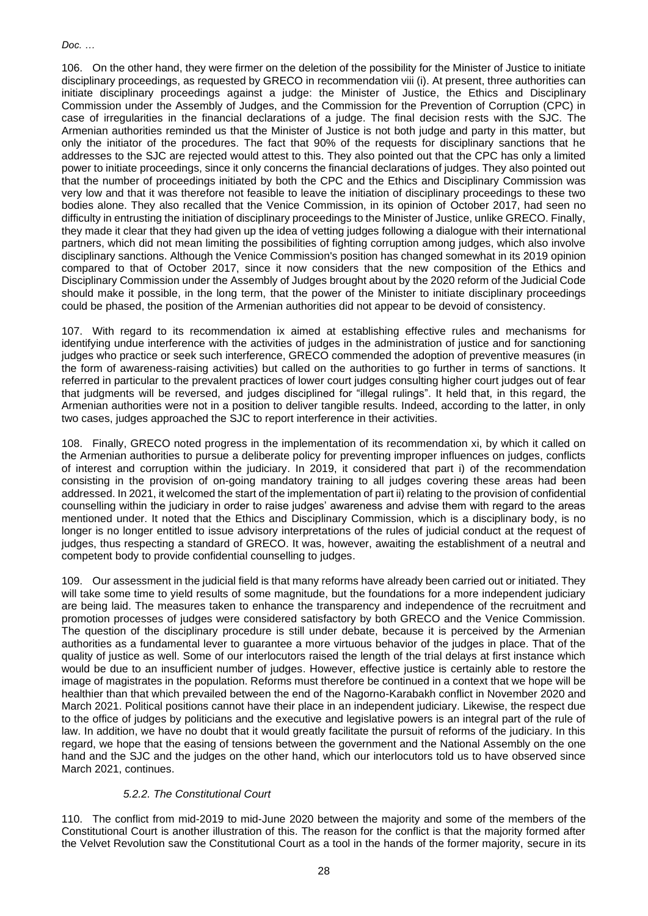106. On the other hand, they were firmer on the deletion of the possibility for the Minister of Justice to initiate disciplinary proceedings, as requested by GRECO in recommendation viii (i). At present, three authorities can initiate disciplinary proceedings against a judge: the Minister of Justice, the Ethics and Disciplinary Commission under the Assembly of Judges, and the Commission for the Prevention of Corruption (CPC) in case of irregularities in the financial declarations of a judge. The final decision rests with the SJC. The Armenian authorities reminded us that the Minister of Justice is not both judge and party in this matter, but only the initiator of the procedures. The fact that 90% of the requests for disciplinary sanctions that he addresses to the SJC are rejected would attest to this. They also pointed out that the CPC has only a limited power to initiate proceedings, since it only concerns the financial declarations of judges. They also pointed out that the number of proceedings initiated by both the CPC and the Ethics and Disciplinary Commission was very low and that it was therefore not feasible to leave the initiation of disciplinary proceedings to these two bodies alone. They also recalled that the Venice Commission, in its opinion of October 2017, had seen no difficulty in entrusting the initiation of disciplinary proceedings to the Minister of Justice, unlike GRECO. Finally, they made it clear that they had given up the idea of vetting judges following a dialogue with their international partners, which did not mean limiting the possibilities of fighting corruption among judges, which also involve disciplinary sanctions. Although the Venice Commission's position has changed somewhat in its 2019 opinion compared to that of October 2017, since it now considers that the new composition of the Ethics and Disciplinary Commission under the Assembly of Judges brought about by the 2020 reform of the Judicial Code should make it possible, in the long term, that the power of the Minister to initiate disciplinary proceedings could be phased, the position of the Armenian authorities did not appear to be devoid of consistency.

107. With regard to its recommendation ix aimed at establishing effective rules and mechanisms for identifying undue interference with the activities of judges in the administration of justice and for sanctioning judges who practice or seek such interference, GRECO commended the adoption of preventive measures (in the form of awareness-raising activities) but called on the authorities to go further in terms of sanctions. It referred in particular to the prevalent practices of lower court judges consulting higher court judges out of fear that judgments will be reversed, and judges disciplined for "illegal rulings". It held that, in this regard, the Armenian authorities were not in a position to deliver tangible results. Indeed, according to the latter, in only two cases, judges approached the SJC to report interference in their activities.

108. Finally, GRECO noted progress in the implementation of its recommendation xi, by which it called on the Armenian authorities to pursue a deliberate policy for preventing improper influences on judges, conflicts of interest and corruption within the judiciary. In 2019, it considered that part i) of the recommendation consisting in the provision of on-going mandatory training to all judges covering these areas had been addressed. In 2021, it welcomed the start of the implementation of part ii) relating to the provision of confidential counselling within the judiciary in order to raise judges' awareness and advise them with regard to the areas mentioned under. It noted that the Ethics and Disciplinary Commission, which is a disciplinary body, is no longer is no longer entitled to issue advisory interpretations of the rules of judicial conduct at the request of judges, thus respecting a standard of GRECO. It was, however, awaiting the establishment of a neutral and competent body to provide confidential counselling to judges.

109. Our assessment in the judicial field is that many reforms have already been carried out or initiated. They will take some time to yield results of some magnitude, but the foundations for a more independent judiciary are being laid. The measures taken to enhance the transparency and independence of the recruitment and promotion processes of judges were considered satisfactory by both GRECO and the Venice Commission. The question of the disciplinary procedure is still under debate, because it is perceived by the Armenian authorities as a fundamental lever to guarantee a more virtuous behavior of the judges in place. That of the quality of justice as well. Some of our interlocutors raised the length of the trial delays at first instance which would be due to an insufficient number of judges. However, effective justice is certainly able to restore the image of magistrates in the population. Reforms must therefore be continued in a context that we hope will be healthier than that which prevailed between the end of the Nagorno-Karabakh conflict in November 2020 and March 2021. Political positions cannot have their place in an independent judiciary. Likewise, the respect due to the office of judges by politicians and the executive and legislative powers is an integral part of the rule of law. In addition, we have no doubt that it would greatly facilitate the pursuit of reforms of the judiciary. In this regard, we hope that the easing of tensions between the government and the National Assembly on the one hand and the SJC and the judges on the other hand, which our interlocutors told us to have observed since March 2021, continues.

# *5.2.2. The Constitutional Court*

110. The conflict from mid-2019 to mid-June 2020 between the majority and some of the members of the Constitutional Court is another illustration of this. The reason for the conflict is that the majority formed after the Velvet Revolution saw the Constitutional Court as a tool in the hands of the former majority, secure in its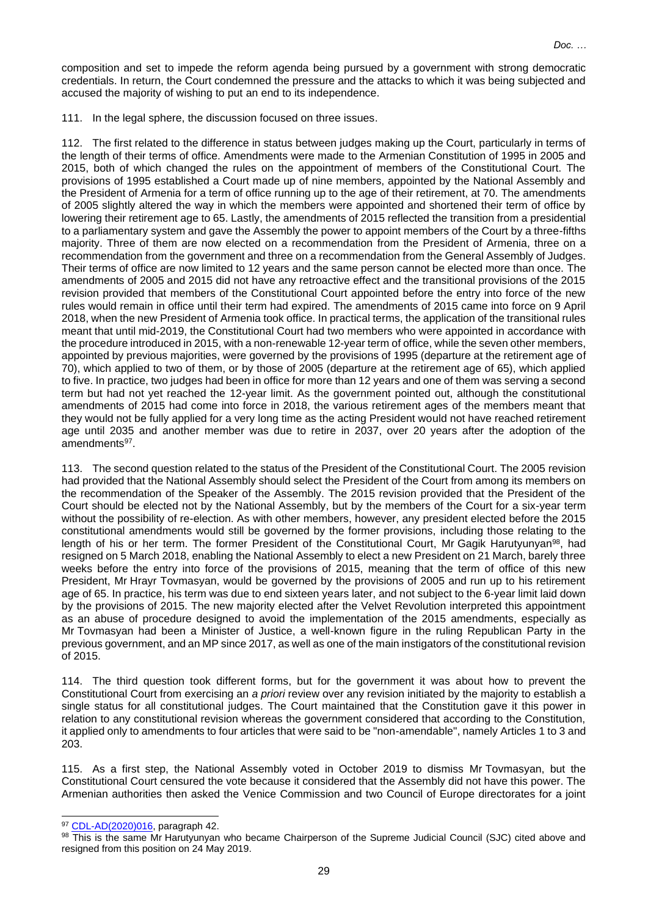composition and set to impede the reform agenda being pursued by a government with strong democratic credentials. In return, the Court condemned the pressure and the attacks to which it was being subjected and accused the majority of wishing to put an end to its independence.

111. In the legal sphere, the discussion focused on three issues.

112. The first related to the difference in status between judges making up the Court, particularly in terms of the length of their terms of office. Amendments were made to the Armenian Constitution of 1995 in 2005 and 2015, both of which changed the rules on the appointment of members of the Constitutional Court. The provisions of 1995 established a Court made up of nine members, appointed by the National Assembly and the President of Armenia for a term of office running up to the age of their retirement, at 70. The amendments of 2005 slightly altered the way in which the members were appointed and shortened their term of office by lowering their retirement age to 65. Lastly, the amendments of 2015 reflected the transition from a presidential to a parliamentary system and gave the Assembly the power to appoint members of the Court by a three-fifths majority. Three of them are now elected on a recommendation from the President of Armenia, three on a recommendation from the government and three on a recommendation from the General Assembly of Judges. Their terms of office are now limited to 12 years and the same person cannot be elected more than once. The amendments of 2005 and 2015 did not have any retroactive effect and the transitional provisions of the 2015 revision provided that members of the Constitutional Court appointed before the entry into force of the new rules would remain in office until their term had expired. The amendments of 2015 came into force on 9 April 2018, when the new President of Armenia took office. In practical terms, the application of the transitional rules meant that until mid-2019, the Constitutional Court had two members who were appointed in accordance with the procedure introduced in 2015, with a non-renewable 12-year term of office, while the seven other members, appointed by previous majorities, were governed by the provisions of 1995 (departure at the retirement age of 70), which applied to two of them, or by those of 2005 (departure at the retirement age of 65), which applied to five. In practice, two judges had been in office for more than 12 years and one of them was serving a second term but had not yet reached the 12-year limit. As the government pointed out, although the constitutional amendments of 2015 had come into force in 2018, the various retirement ages of the members meant that they would not be fully applied for a very long time as the acting President would not have reached retirement age until 2035 and another member was due to retire in 2037, over 20 years after the adoption of the amendments<sup>97</sup>.

113. The second question related to the status of the President of the Constitutional Court. The 2005 revision had provided that the National Assembly should select the President of the Court from among its members on the recommendation of the Speaker of the Assembly. The 2015 revision provided that the President of the Court should be elected not by the National Assembly, but by the members of the Court for a six-year term without the possibility of re-election. As with other members, however, any president elected before the 2015 constitutional amendments would still be governed by the former provisions, including those relating to the length of his or her term. The former President of the Constitutional Court, Mr Gagik Harutyunyan<sup>98</sup>, had resigned on 5 March 2018, enabling the National Assembly to elect a new President on 21 March, barely three weeks before the entry into force of the provisions of 2015, meaning that the term of office of this new President, Mr Hrayr Tovmasyan, would be governed by the provisions of 2005 and run up to his retirement age of 65. In practice, his term was due to end sixteen years later, and not subject to the 6-year limit laid down by the provisions of 2015. The new majority elected after the Velvet Revolution interpreted this appointment as an abuse of procedure designed to avoid the implementation of the 2015 amendments, especially as Mr Tovmasyan had been a Minister of Justice, a well-known figure in the ruling Republican Party in the previous government, and an MP since 2017, as well as one of the main instigators of the constitutional revision of 2015.

114. The third question took different forms, but for the government it was about how to prevent the Constitutional Court from exercising an *a priori* review over any revision initiated by the majority to establish a single status for all constitutional judges. The Court maintained that the Constitution gave it this power in relation to any constitutional revision whereas the government considered that according to the Constitution, it applied only to amendments to four articles that were said to be "non-amendable", namely Articles 1 to 3 and 203.

115. As a first step, the National Assembly voted in October 2019 to dismiss Mr Tovmasyan, but the Constitutional Court censured the vote because it considered that the Assembly did not have this power. The Armenian authorities then asked the Venice Commission and two Council of Europe directorates for a joint

<sup>97</sup> [CDL-AD\(2020\)016,](https://www.venice.coe.int/webforms/documents/?pdf=CDL-AD(2020)016-e) paragraph 42.

<sup>98</sup> This is the same Mr Harutyunyan who became Chairperson of the Supreme Judicial Council (SJC) cited above and resigned from this position on 24 May 2019.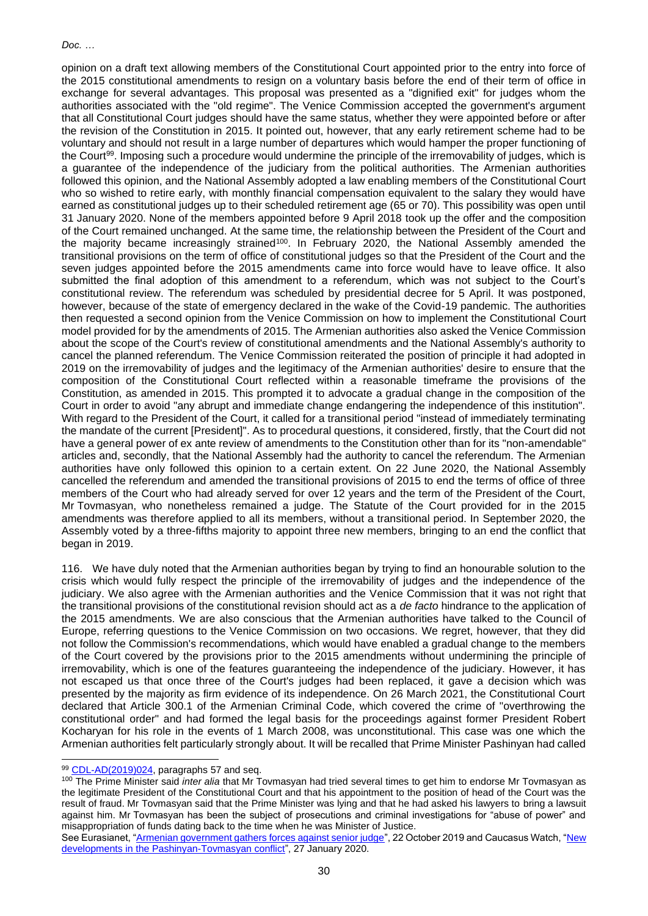opinion on a draft text allowing members of the Constitutional Court appointed prior to the entry into force of the 2015 constitutional amendments to resign on a voluntary basis before the end of their term of office in exchange for several advantages. This proposal was presented as a "dignified exit" for judges whom the authorities associated with the "old regime". The Venice Commission accepted the government's argument that all Constitutional Court judges should have the same status, whether they were appointed before or after the revision of the Constitution in 2015. It pointed out, however, that any early retirement scheme had to be voluntary and should not result in a large number of departures which would hamper the proper functioning of the Court<sup>99</sup>. Imposing such a procedure would undermine the principle of the irremovability of judges, which is a guarantee of the independence of the judiciary from the political authorities. The Armenian authorities followed this opinion, and the National Assembly adopted a law enabling members of the Constitutional Court who so wished to retire early, with monthly financial compensation equivalent to the salary they would have earned as constitutional judges up to their scheduled retirement age (65 or 70). This possibility was open until 31 January 2020. None of the members appointed before 9 April 2018 took up the offer and the composition of the Court remained unchanged. At the same time, the relationship between the President of the Court and the majority became increasingly strained<sup>100</sup>. In February 2020, the National Assembly amended the transitional provisions on the term of office of constitutional judges so that the President of the Court and the seven judges appointed before the 2015 amendments came into force would have to leave office. It also submitted the final adoption of this amendment to a referendum, which was not subject to the Court's constitutional review. The referendum was scheduled by presidential decree for 5 April. It was postponed, however, because of the state of emergency declared in the wake of the Covid-19 pandemic. The authorities then requested a second opinion from the Venice Commission on how to implement the Constitutional Court model provided for by the amendments of 2015. The Armenian authorities also asked the Venice Commission about the scope of the Court's review of constitutional amendments and the National Assembly's authority to cancel the planned referendum. The Venice Commission reiterated the position of principle it had adopted in 2019 on the irremovability of judges and the legitimacy of the Armenian authorities' desire to ensure that the composition of the Constitutional Court reflected within a reasonable timeframe the provisions of the Constitution, as amended in 2015. This prompted it to advocate a gradual change in the composition of the Court in order to avoid "any abrupt and immediate change endangering the independence of this institution". With regard to the President of the Court, it called for a transitional period "instead of immediately terminating the mandate of the current [President]". As to procedural questions, it considered, firstly, that the Court did not have a general power of ex ante review of amendments to the Constitution other than for its "non-amendable" articles and, secondly, that the National Assembly had the authority to cancel the referendum. The Armenian authorities have only followed this opinion to a certain extent. On 22 June 2020, the National Assembly cancelled the referendum and amended the transitional provisions of 2015 to end the terms of office of three members of the Court who had already served for over 12 years and the term of the President of the Court, Mr Tovmasyan, who nonetheless remained a judge. The Statute of the Court provided for in the 2015 amendments was therefore applied to all its members, without a transitional period. In September 2020, the Assembly voted by a three-fifths majority to appoint three new members, bringing to an end the conflict that began in 2019.

116. We have duly noted that the Armenian authorities began by trying to find an honourable solution to the crisis which would fully respect the principle of the irremovability of judges and the independence of the judiciary. We also agree with the Armenian authorities and the Venice Commission that it was not right that the transitional provisions of the constitutional revision should act as a *de facto* hindrance to the application of the 2015 amendments. We are also conscious that the Armenian authorities have talked to the Council of Europe, referring questions to the Venice Commission on two occasions. We regret, however, that they did not follow the Commission's recommendations, which would have enabled a gradual change to the members of the Court covered by the provisions prior to the 2015 amendments without undermining the principle of irremovability, which is one of the features guaranteeing the independence of the judiciary. However, it has not escaped us that once three of the Court's judges had been replaced, it gave a decision which was presented by the majority as firm evidence of its independence. On 26 March 2021, the Constitutional Court declared that Article 300.1 of the Armenian Criminal Code, which covered the crime of "overthrowing the constitutional order" and had formed the legal basis for the proceedings against former President Robert Kocharyan for his role in the events of 1 March 2008, was unconstitutional. This case was one which the Armenian authorities felt particularly strongly about. It will be recalled that Prime Minister Pashinyan had called

<sup>99</sup> [CDL-AD\(2019\)024,](https://www.venice.coe.int/webforms/documents/?pdf=CDL(2019)030-e) paragraphs 57 and seq.

<sup>100</sup> The Prime Minister said *inter alia* that Mr Tovmasyan had tried several times to get him to endorse Mr Tovmasyan as the legitimate President of the Constitutional Court and that his appointment to the position of head of the Court was the result of fraud. Mr Tovmasyan said that the Prime Minister was lying and that he had asked his lawyers to bring a lawsuit against him. Mr Tovmasyan has been the subject of prosecutions and criminal investigations for "abuse of power" and misappropriation of funds dating back to the time when he was Minister of Justice.

See Eurasianet, ["Armenian government gathers forces against senior judge"](https://eurasianet.org/armenian-government-gathers-forces-against-senior-judge), 22 October 2019 and Caucasus Watch, "New [developments in the Pashinyan-Tovmasyan conflict"](http://caucasuswatch.de/news/2342.html), 27 January 2020.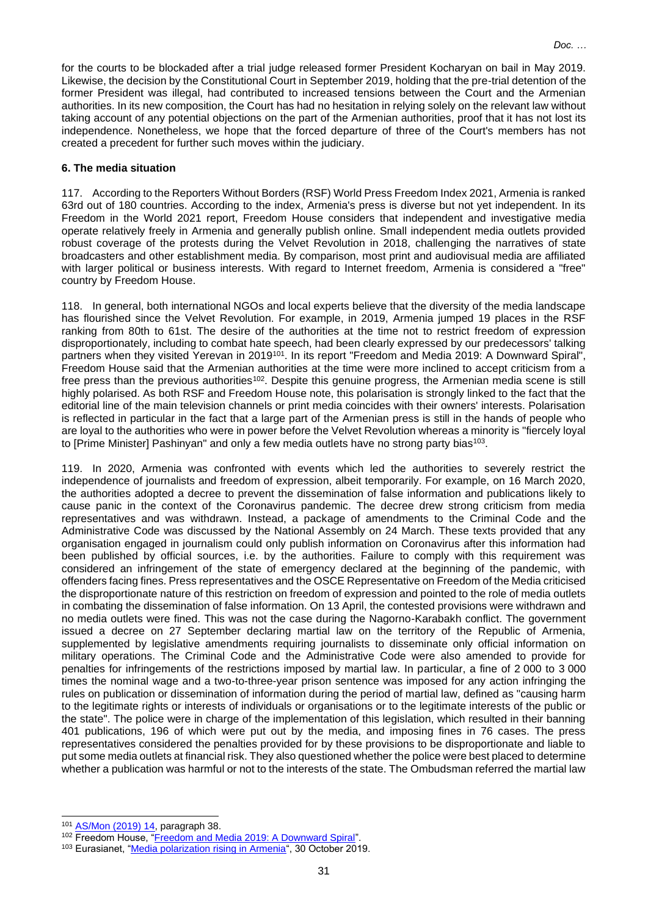for the courts to be blockaded after a trial judge released former President Kocharyan on bail in May 2019. Likewise, the decision by the Constitutional Court in September 2019, holding that the pre-trial detention of the former President was illegal, had contributed to increased tensions between the Court and the Armenian authorities. In its new composition, the Court has had no hesitation in relying solely on the relevant law without taking account of any potential objections on the part of the Armenian authorities, proof that it has not lost its independence. Nonetheless, we hope that the forced departure of three of the Court's members has not created a precedent for further such moves within the judiciary.

#### **6. The media situation**

117. According to the Reporters Without Borders (RSF) World Press Freedom Index 2021, Armenia is ranked 63rd out of 180 countries. According to the index, Armenia's press is diverse but not yet independent. In its Freedom in the World 2021 report, Freedom House considers that independent and investigative media operate relatively freely in Armenia and generally publish online. Small independent media outlets provided robust coverage of the protests during the Velvet Revolution in 2018, challenging the narratives of state broadcasters and other establishment media. By comparison, most print and audiovisual media are affiliated with larger political or business interests. With regard to Internet freedom, Armenia is considered a "free" country by Freedom House.

118. In general, both international NGOs and local experts believe that the diversity of the media landscape has flourished since the Velvet Revolution. For example, in 2019, Armenia jumped 19 places in the RSF ranking from 80th to 61st. The desire of the authorities at the time not to restrict freedom of expression disproportionately, including to combat hate speech, had been clearly expressed by our predecessors' talking partners when they visited Yerevan in 2019<sup>101</sup>. In its report "Freedom and Media 2019: A Downward Spiral", Freedom House said that the Armenian authorities at the time were more inclined to accept criticism from a free press than the previous authorities<sup>102</sup>. Despite this genuine progress, the Armenian media scene is still highly polarised. As both RSF and Freedom House note, this polarisation is strongly linked to the fact that the editorial line of the main television channels or print media coincides with their owners' interests. Polarisation is reflected in particular in the fact that a large part of the Armenian press is still in the hands of people who are loyal to the authorities who were in power before the Velvet Revolution whereas a minority is "fiercely loyal to [Prime Minister] Pashinyan" and only a few media outlets have no strong party bias $103$ .

119. In 2020, Armenia was confronted with events which led the authorities to severely restrict the independence of journalists and freedom of expression, albeit temporarily. For example, on 16 March 2020, the authorities adopted a decree to prevent the dissemination of false information and publications likely to cause panic in the context of the Coronavirus pandemic. The decree drew strong criticism from media representatives and was withdrawn. Instead, a package of amendments to the Criminal Code and the Administrative Code was discussed by the National Assembly on 24 March. These texts provided that any organisation engaged in journalism could only publish information on Coronavirus after this information had been published by official sources, i.e. by the authorities. Failure to comply with this requirement was considered an infringement of the state of emergency declared at the beginning of the pandemic, with offenders facing fines. Press representatives and the OSCE Representative on Freedom of the Media criticised the disproportionate nature of this restriction on freedom of expression and pointed to the role of media outlets in combating the dissemination of false information. On 13 April, the contested provisions were withdrawn and no media outlets were fined. This was not the case during the Nagorno-Karabakh conflict. The government issued a decree on 27 September declaring martial law on the territory of the Republic of Armenia, supplemented by legislative amendments requiring journalists to disseminate only official information on military operations. The Criminal Code and the Administrative Code were also amended to provide for penalties for infringements of the restrictions imposed by martial law. In particular, a fine of 2 000 to 3 000 times the nominal wage and a two-to-three-year prison sentence was imposed for any action infringing the rules on publication or dissemination of information during the period of martial law, defined as "causing harm to the legitimate rights or interests of individuals or organisations or to the legitimate interests of the public or the state". The police were in charge of the implementation of this legislation, which resulted in their banning 401 publications, 196 of which were put out by the media, and imposing fines in 76 cases. The press representatives considered the penalties provided for by these provisions to be disproportionate and liable to put some media outlets at financial risk. They also questioned whether the police were best placed to determine whether a publication was harmful or not to the interests of the state. The Ombudsman referred the martial law

<sup>101</sup> [AS/Mon \(2019\) 14,](http://www.assembly.coe.int/LifeRay/MON/Pdf/DocsAndDecs/2019/AS-MON-2019-14-FR.pdf) paragraph 38.

<sup>102</sup> Freedom House, ["Freedom and Media 2019: A Downward Spiral"](https://freedomhouse.org/report/freedom-and-media/2019/media-freedom-downward-spiral).

<sup>103</sup> Eurasianet, ["Media polarization rising in Armenia"](https://eurasianet.org/media-polarization-rising-in-armenia), 30 October 2019.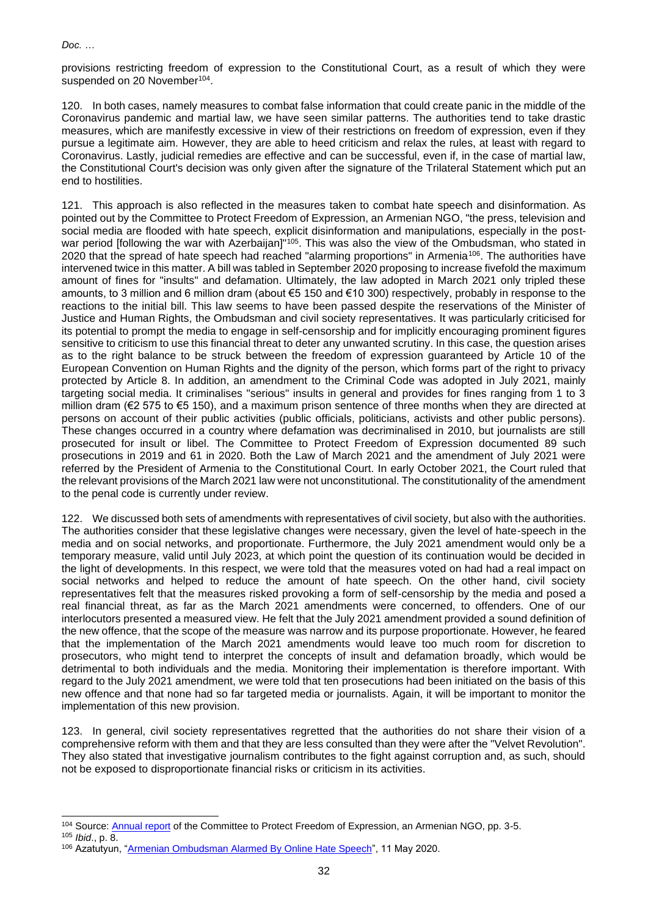provisions restricting freedom of expression to the Constitutional Court, as a result of which they were suspended on 20 November<sup>104</sup>.

120. In both cases, namely measures to combat false information that could create panic in the middle of the Coronavirus pandemic and martial law, we have seen similar patterns. The authorities tend to take drastic measures, which are manifestly excessive in view of their restrictions on freedom of expression, even if they pursue a legitimate aim. However, they are able to heed criticism and relax the rules, at least with regard to Coronavirus. Lastly, judicial remedies are effective and can be successful, even if, in the case of martial law, the Constitutional Court's decision was only given after the signature of the Trilateral Statement which put an end to hostilities.

121. This approach is also reflected in the measures taken to combat hate speech and disinformation. As pointed out by the Committee to Protect Freedom of Expression, an Armenian NGO, "the press, television and social media are flooded with hate speech, explicit disinformation and manipulations, especially in the postwar period [following the war with Azerbaijan]"<sup>105</sup>. This was also the view of the Ombudsman, who stated in 2020 that the spread of hate speech had reached "alarming proportions" in Armenia<sup>106</sup>. The authorities have intervened twice in this matter. A bill was tabled in September 2020 proposing to increase fivefold the maximum amount of fines for "insults" and defamation. Ultimately, the law adopted in March 2021 only tripled these amounts, to 3 million and 6 million dram (about €5 150 and €10 300) respectively, probably in response to the reactions to the initial bill. This law seems to have been passed despite the reservations of the Minister of Justice and Human Rights, the Ombudsman and civil society representatives. It was particularly criticised for its potential to prompt the media to engage in self-censorship and for implicitly encouraging prominent figures sensitive to criticism to use this financial threat to deter any unwanted scrutiny. In this case, the question arises as to the right balance to be struck between the freedom of expression guaranteed by Article 10 of the European Convention on Human Rights and the dignity of the person, which forms part of the right to privacy protected by Article 8. In addition, an amendment to the Criminal Code was adopted in July 2021, mainly targeting social media. It criminalises "serious" insults in general and provides for fines ranging from 1 to 3 million dram (€2 575 to €5 150), and a maximum prison sentence of three months when they are directed at persons on account of their public activities (public officials, politicians, activists and other public persons). These changes occurred in a country where defamation was decriminalised in 2010, but journalists are still prosecuted for insult or libel. The Committee to Protect Freedom of Expression documented 89 such prosecutions in 2019 and 61 in 2020. Both the Law of March 2021 and the amendment of July 2021 were referred by the President of Armenia to the Constitutional Court. In early October 2021, the Court ruled that the relevant provisions of the March 2021 law were not unconstitutional. The constitutionality of the amendment to the penal code is currently under review.

122. We discussed both sets of amendments with representatives of civil society, but also with the authorities. The authorities consider that these legislative changes were necessary, given the level of hate-speech in the media and on social networks, and proportionate. Furthermore, the July 2021 amendment would only be a temporary measure, valid until July 2023, at which point the question of its continuation would be decided in the light of developments. In this respect, we were told that the measures voted on had had a real impact on social networks and helped to reduce the amount of hate speech. On the other hand, civil society representatives felt that the measures risked provoking a form of self-censorship by the media and posed a real financial threat, as far as the March 2021 amendments were concerned, to offenders. One of our interlocutors presented a measured view. He felt that the July 2021 amendment provided a sound definition of the new offence, that the scope of the measure was narrow and its purpose proportionate. However, he feared that the implementation of the March 2021 amendments would leave too much room for discretion to prosecutors, who might tend to interpret the concepts of insult and defamation broadly, which would be detrimental to both individuals and the media. Monitoring their implementation is therefore important. With regard to the July 2021 amendment, we were told that ten prosecutions had been initiated on the basis of this new offence and that none had so far targeted media or journalists. Again, it will be important to monitor the implementation of this new provision.

123. In general, civil society representatives regretted that the authorities do not share their vision of a comprehensive reform with them and that they are less consulted than they were after the "Velvet Revolution". They also stated that investigative journalism contributes to the fight against corruption and, as such, should not be exposed to disproportionate financial risks or criticism in its activities.

<sup>104</sup> Source[: Annual report](https://khosq.am/wp-content/uploads/2021/03/CPFE-ANNUAL-report-2020-ENG.docx) of the Committee to Protect Freedom of Expression, an Armenian NGO, pp. 3-5.

<sup>105</sup> *Ibid*., p. 8.

<sup>106</sup> Azatutyun, ["Armenian Ombudsman Alarmed By Online Hate Speech"](https://www.azatutyun.am/a/30606296.html), 11 May 2020.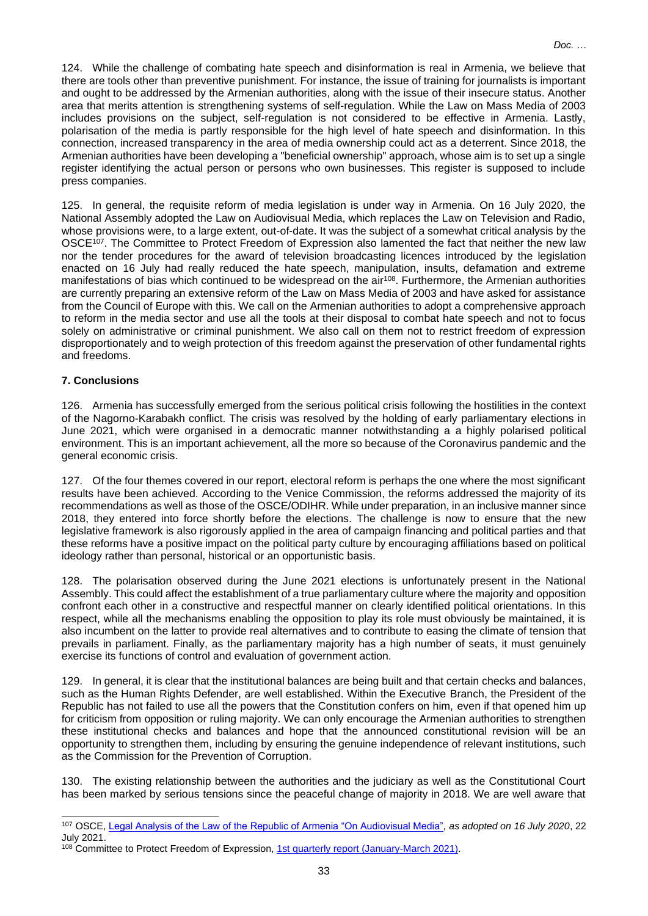124. While the challenge of combating hate speech and disinformation is real in Armenia, we believe that there are tools other than preventive punishment. For instance, the issue of training for journalists is important and ought to be addressed by the Armenian authorities, along with the issue of their insecure status. Another area that merits attention is strengthening systems of self-regulation. While the Law on Mass Media of 2003 includes provisions on the subject, self-regulation is not considered to be effective in Armenia. Lastly, polarisation of the media is partly responsible for the high level of hate speech and disinformation. In this connection, increased transparency in the area of media ownership could act as a deterrent. Since 2018, the Armenian authorities have been developing a "beneficial ownership" approach, whose aim is to set up a single register identifying the actual person or persons who own businesses. This register is supposed to include press companies.

125. In general, the requisite reform of media legislation is under way in Armenia. On 16 July 2020, the National Assembly adopted the Law on Audiovisual Media, which replaces the Law on Television and Radio, whose provisions were, to a large extent, out-of-date. It was the subject of a somewhat critical analysis by the OSCE<sup>107</sup>. The Committee to Protect Freedom of Expression also lamented the fact that neither the new law nor the tender procedures for the award of television broadcasting licences introduced by the legislation enacted on 16 July had really reduced the hate speech, manipulation, insults, defamation and extreme manifestations of bias which continued to be widespread on the air<sup>108</sup>. Furthermore, the Armenian authorities are currently preparing an extensive reform of the Law on Mass Media of 2003 and have asked for assistance from the Council of Europe with this. We call on the Armenian authorities to adopt a comprehensive approach to reform in the media sector and use all the tools at their disposal to combat hate speech and not to focus solely on administrative or criminal punishment. We also call on them not to restrict freedom of expression disproportionately and to weigh protection of this freedom against the preservation of other fundamental rights and freedoms.

# **7. Conclusions**

126. Armenia has successfully emerged from the serious political crisis following the hostilities in the context of the Nagorno-Karabakh conflict. The crisis was resolved by the holding of early parliamentary elections in June 2021, which were organised in a democratic manner notwithstanding a a highly polarised political environment. This is an important achievement, all the more so because of the Coronavirus pandemic and the general economic crisis.

127. Of the four themes covered in our report, electoral reform is perhaps the one where the most significant results have been achieved. According to the Venice Commission, the reforms addressed the majority of its recommendations as well as those of the OSCE/ODIHR. While under preparation, in an inclusive manner since 2018, they entered into force shortly before the elections. The challenge is now to ensure that the new legislative framework is also rigorously applied in the area of campaign financing and political parties and that these reforms have a positive impact on the political party culture by encouraging affiliations based on political ideology rather than personal, historical or an opportunistic basis.

128. The polarisation observed during the June 2021 elections is unfortunately present in the National Assembly. This could affect the establishment of a true parliamentary culture where the majority and opposition confront each other in a constructive and respectful manner on clearly identified political orientations. In this respect, while all the mechanisms enabling the opposition to play its role must obviously be maintained, it is also incumbent on the latter to provide real alternatives and to contribute to easing the climate of tension that prevails in parliament. Finally, as the parliamentary majority has a high number of seats, it must genuinely exercise its functions of control and evaluation of government action.

129. In general, it is clear that the institutional balances are being built and that certain checks and balances, such as the Human Rights Defender, are well established. Within the Executive Branch, the President of the Republic has not failed to use all the powers that the Constitution confers on him, even if that opened him up for criticism from opposition or ruling majority. We can only encourage the Armenian authorities to strengthen these institutional checks and balances and hope that the announced constitutional revision will be an opportunity to strengthen them, including by ensuring the genuine independence of relevant institutions, such as the Commission for the Prevention of Corruption.

130. The existing relationship between the authorities and the judiciary as well as the Constitutional Court has been marked by serious tensions since the peaceful change of majority in 2018. We are well aware that

<sup>107</sup> OSCE, [Legal Analysis of the Law of the Republic of Armenia "On Audiovisual Media"](https://www.osce.org/representative-on-freedom-of-media/493522)*, as adopted on 16 July 2020*, 22 July 2021.

<sup>108</sup> Committee to Protect Freedom of Expression, [1st quarterly report \(January-March 2021\).](https://khosq.am/wp-content/uploads/2021/05/CPFE-1st-quarter-report-2021-ENG.docx)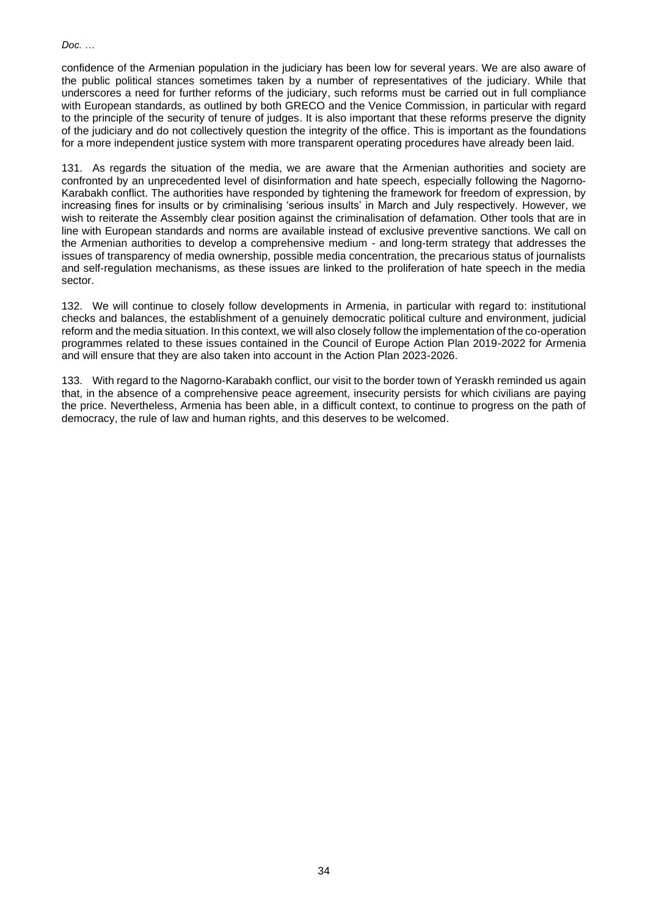confidence of the Armenian population in the judiciary has been low for several years. We are also aware of the public political stances sometimes taken by a number of representatives of the judiciary. While that underscores a need for further reforms of the judiciary, such reforms must be carried out in full compliance with European standards, as outlined by both GRECO and the Venice Commission, in particular with regard to the principle of the security of tenure of judges. It is also important that these reforms preserve the dignity of the judiciary and do not collectively question the integrity of the office. This is important as the foundations for a more independent justice system with more transparent operating procedures have already been laid.

131. As regards the situation of the media, we are aware that the Armenian authorities and society are confronted by an unprecedented level of disinformation and hate speech, especially following the Nagorno-Karabakh conflict. The authorities have responded by tightening the framework for freedom of expression, by increasing fines for insults or by criminalising 'serious insults' in March and July respectively. However, we wish to reiterate the Assembly clear position against the criminalisation of defamation. Other tools that are in line with European standards and norms are available instead of exclusive preventive sanctions. We call on the Armenian authorities to develop a comprehensive medium - and long-term strategy that addresses the issues of transparency of media ownership, possible media concentration, the precarious status of journalists and self-regulation mechanisms, as these issues are linked to the proliferation of hate speech in the media sector.

132. We will continue to closely follow developments in Armenia, in particular with regard to: institutional checks and balances, the establishment of a genuinely democratic political culture and environment, judicial reform and the media situation. In this context, we will also closely follow the implementation of the co-operation programmes related to these issues contained in the Council of Europe Action Plan 2019-2022 for Armenia and will ensure that they are also taken into account in the Action Plan 2023-2026.

133. With regard to the Nagorno-Karabakh conflict, our visit to the border town of Yeraskh reminded us again that, in the absence of a comprehensive peace agreement, insecurity persists for which civilians are paying the price. Nevertheless, Armenia has been able, in a difficult context, to continue to progress on the path of democracy, the rule of law and human rights, and this deserves to be welcomed.